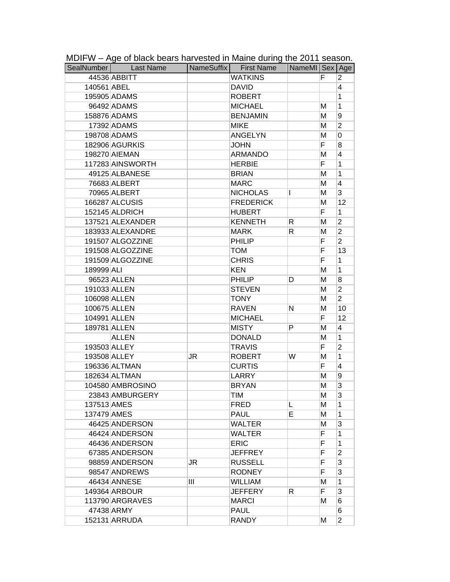|              | <br>SealNumber Last Name |    | . סייי מייישי סי<br>NameSuffix First Name | NameMI Sex Age |    |                |
|--------------|--------------------------|----|-------------------------------------------|----------------|----|----------------|
|              | 44536 ABBITT             |    | <b>WATKINS</b>                            |                | F  | 2              |
| 140561 ABEL  |                          |    | <b>DAVID</b>                              |                |    | 4              |
|              | 195905 ADAMS             |    | <b>ROBERT</b>                             |                |    | 1              |
|              | 96492 ADAMS              |    | <b>MICHAEL</b>                            |                | м  | 1              |
|              | 158876 ADAMS             |    | <b>BENJAMIN</b>                           |                | M  | 9              |
|              | 17392 ADAMS              |    | <b>MIKE</b>                               |                | М  | $\overline{2}$ |
|              | 198708 ADAMS             |    | <b>ANGELYN</b>                            |                | M  | $\mathbf 0$    |
|              | 182906 AGURKIS           |    | <b>JOHN</b>                               |                | F  | 8              |
|              | 198270 AIEMAN            |    | <b>ARMANDO</b>                            |                | M  | 4              |
|              | 117283 AINSWORTH         |    | <b>HERBIE</b>                             |                | F. | 1              |
|              | 49125 ALBANESE           |    | <b>BRIAN</b>                              |                | M  | 1              |
|              | 76683 ALBERT             |    | <b>MARC</b>                               |                | M  | 4              |
|              | 70965 ALBERT             |    | <b>NICHOLAS</b>                           | I              | M  | 3              |
|              | 166287 ALCUSIS           |    | <b>FREDERICK</b>                          |                | M  | 12             |
|              | 152145 ALDRICH           |    | <b>HUBERT</b>                             |                | F  | 1              |
|              | 137521 ALEXANDER         |    | <b>KENNETH</b>                            | R              | M  | $\overline{2}$ |
|              | 183933 ALEXANDRE         |    | <b>MARK</b>                               | R              | M  | $\overline{2}$ |
|              | 191507 ALGOZZINE         |    | <b>PHILIP</b>                             |                | F  | $\overline{2}$ |
|              | 191508 ALGOZZINE         |    | <b>TOM</b>                                |                | F  | 13             |
|              | 191509 ALGOZZINE         |    | <b>CHRIS</b>                              |                | F  | 1              |
| 189999 ALI   |                          |    | <b>KEN</b>                                |                | M  | 1              |
|              | 96523 ALLEN              |    | PHILIP                                    | D              | M  | 8              |
|              | 191033 ALLEN             |    | <b>STEVEN</b>                             |                | M  | $\overline{2}$ |
|              | 106098 ALLEN             |    | <b>TONY</b>                               |                | M  | $\overline{2}$ |
| 100675 ALLEN |                          |    | <b>RAVEN</b>                              | N              | M  | 10             |
|              | 104991 ALLEN             |    | <b>MICHAEL</b>                            |                | F  | 12             |
|              | 189781 ALLEN             |    | <b>MISTY</b>                              | P              | M  | 4              |
|              | <b>ALLEN</b>             |    | <b>DONALD</b>                             |                | M  | 1              |
|              | 193503 ALLEY             |    | <b>TRAVIS</b>                             |                | F  | $\overline{2}$ |
|              | 193508 ALLEY             | JR | <b>ROBERT</b>                             | W              | M  | 1              |
|              | 196336 ALTMAN            |    | <b>CURTIS</b>                             |                | F  | 4              |
|              | 182634 ALTMAN            |    | LARRY                                     |                | M  | 9              |
|              | 104580 AMBROSINO         |    | <b>BRYAN</b>                              |                | M  | 3              |
|              | 23843 AMBURGERY          |    | TIM                                       |                | M  | 3              |
| 137513 AMES  |                          |    | <b>FRED</b>                               | L              | М  | 1              |
| 137479 AMES  |                          |    | <b>PAUL</b>                               | E              | Μ  | 1              |
|              | 46425 ANDERSON           |    | <b>WALTER</b>                             |                | М  | 3              |
|              | 46424 ANDERSON           |    | <b>WALTER</b>                             |                | F. | 1              |
|              | 46436 ANDERSON           |    | <b>ERIC</b>                               |                | F  | 1              |
|              | 67385 ANDERSON           |    | <b>JEFFREY</b>                            |                | F  | $\overline{2}$ |
|              | 98859 ANDERSON           | JR | <b>RUSSELL</b>                            |                | F  | 3              |
|              | 98547 ANDREWS            |    | <b>RODNEY</b>                             |                | F  | 3              |
|              | 46434 ANNESE             | Ш  | <b>WILLIAM</b>                            |                | М  | 1              |
|              | 149364 ARBOUR            |    | <b>JEFFERY</b>                            | R              | F. | 3              |
|              | 113790 ARGRAVES          |    | <b>MARCI</b>                              |                | М  | 6              |
|              | 47438 ARMY               |    | <b>PAUL</b>                               |                |    | 6              |
|              | 152131 ARRUDA            |    | RANDY                                     |                | м  | $\overline{2}$ |

MDIFW – Age of black bears harvested in Maine during the 2011 season.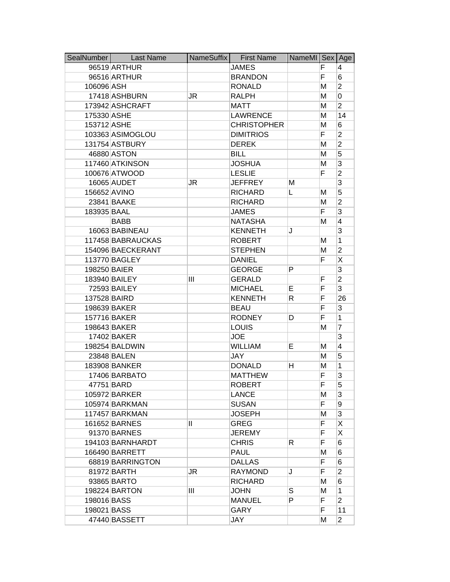| SealNumber   | <b>Last Name</b>  | NameSuffix | <b>First Name</b>  | NameMI Sex Age |    |                |
|--------------|-------------------|------------|--------------------|----------------|----|----------------|
|              | 96519 ARTHUR      |            | <b>JAMES</b>       |                | F  | 4              |
|              | 96516 ARTHUR      |            | <b>BRANDON</b>     |                | F  | 6              |
| 106096 ASH   |                   |            | <b>RONALD</b>      |                | M  | $\overline{2}$ |
|              | 17418 ASHBURN     | JR         | <b>RALPH</b>       |                | M  | 0              |
|              | 173942 ASHCRAFT   |            | <b>MATT</b>        |                | M  | $\overline{2}$ |
| 175330 ASHE  |                   |            | <b>LAWRENCE</b>    |                | Μ  | 14             |
| 153712 ASHE  |                   |            | <b>CHRISTOPHER</b> |                | M  | 6              |
|              | 103363 ASIMOGLOU  |            | <b>DIMITRIOS</b>   |                | F  | $\overline{2}$ |
|              | 131754 ASTBURY    |            | <b>DEREK</b>       |                | M  | $\overline{2}$ |
|              | 46880 ASTON       |            | <b>BILL</b>        |                | M  | 5              |
|              | 117460 ATKINSON   |            | <b>JOSHUA</b>      |                | M  | 3              |
|              | 100676 ATWOOD     |            | <b>LESLIE</b>      |                | F  | $\overline{2}$ |
|              | 16065 AUDET       | JR         | <b>JEFFREY</b>     | М              |    | 3              |
| 156652 AVINO |                   |            | <b>RICHARD</b>     | L              | M  | 5              |
|              | 23841 BAAKE       |            | <b>RICHARD</b>     |                | M  | $\overline{2}$ |
| 183935 BAAL  |                   |            | <b>JAMES</b>       |                | F  | 3              |
|              | <b>BABB</b>       |            | <b>NATASHA</b>     |                | м  | 4              |
|              | 16063 BABINEAU    |            | <b>KENNETH</b>     | J              |    | 3              |
|              | 117458 BABRAUCKAS |            | <b>ROBERT</b>      |                | М  | 1              |
|              | 154096 BAECKERANT |            | <b>STEPHEN</b>     |                | М  | $\overline{2}$ |
|              | 113770 BAGLEY     |            | <b>DANIEL</b>      |                | F  | X              |
| 198250 BAIER |                   |            | <b>GEORGE</b>      | P              |    | 3              |
|              | 183940 BAILEY     | Ш          | <b>GERALD</b>      |                | F  | $\overline{2}$ |
|              | 72593 BAILEY      |            | <b>MICHAEL</b>     | E.             | F  | 3              |
| 137528 BAIRD |                   |            | <b>KENNETH</b>     | R              | F  | 26             |
|              | 198639 BAKER      |            | <b>BEAU</b>        |                | F  | 3              |
|              | 157716 BAKER      |            | <b>RODNEY</b>      | D              | F  | 1              |
|              | 198643 BAKER      |            | <b>LOUIS</b>       |                | M  | 7              |
|              | 17402 BAKER       |            | <b>JOE</b>         |                |    | 3              |
|              | 198254 BALDWIN    |            | <b>WILLIAM</b>     | E.             | M  | 4              |
|              | 23848 BALEN       |            | <b>JAY</b>         |                | м  | 5              |
|              | 183908 BANKER     |            | <b>DONALD</b>      | н              | M  | 1              |
|              | 17406 BARBATO     |            | <b>MATTHEW</b>     |                | F  | 3              |
|              | 47751 BARD        |            | ROBERT             |                | F  | 5              |
|              | 105972 BARKER     |            | <b>LANCE</b>       |                | М  | 3              |
|              | 105974 BARKMAN    |            | <b>SUSAN</b>       |                | F. | 9              |
|              | 117457 BARKMAN    |            | <b>JOSEPH</b>      |                | М  | 3              |
|              | 161652 BARNES     | Ш          | <b>GREG</b>        |                | F. | Χ              |
|              | 91370 BARNES      |            | <b>JEREMY</b>      |                | F  | X              |
|              | 194103 BARNHARDT  |            | <b>CHRIS</b>       | R              | F  | 6              |
|              | 166490 BARRETT    |            | <b>PAUL</b>        |                | M  | 6              |
|              | 68819 BARRINGTON  |            | <b>DALLAS</b>      |                | F  | 6              |
|              | 81972 BARTH       | JR         | <b>RAYMOND</b>     | J              | F  | $\overline{2}$ |
|              | 93865 BARTO       |            | <b>RICHARD</b>     |                | М  | 6              |
|              | 198224 BARTON     | Ш          | <b>JOHN</b>        | S              | M  | 1              |
| 198016 BASS  |                   |            | <b>MANUEL</b>      | P              | F. | $\overline{2}$ |
| 198021 BASS  |                   |            | <b>GARY</b>        |                | F  | 11             |
|              | 47440 BASSETT     |            | JAY                |                | М  | $\overline{2}$ |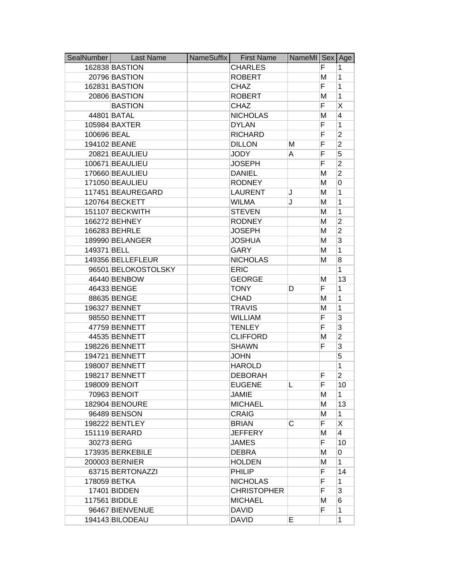| SealNumber  | <b>Last Name</b>    | NameSuffix | <b>First Name</b>  | NameMI Sex |    | Age            |
|-------------|---------------------|------------|--------------------|------------|----|----------------|
|             | 162838 BASTION      |            | <b>CHARLES</b>     |            | F  | 1              |
|             | 20796 BASTION       |            | <b>ROBERT</b>      |            | M  | 1              |
|             | 162831 BASTION      |            | <b>CHAZ</b>        |            | F  | 1              |
|             | 20806 BASTION       |            | <b>ROBERT</b>      |            | M  | 1              |
|             | <b>BASTION</b>      |            | CHAZ               |            | F  | X              |
|             | 44801 BATAL         |            | <b>NICHOLAS</b>    |            | M  | 4              |
|             | 105984 BAXTER       |            | <b>DYLAN</b>       |            | F  | 1              |
| 100696 BEAL |                     |            | <b>RICHARD</b>     |            | F  | $\overline{2}$ |
|             | 194102 BEANE        |            | <b>DILLON</b>      | Μ          | F  | $\overline{2}$ |
|             | 20821 BEAULIEU      |            | <b>JODY</b>        | A          | F  | 5              |
|             | 100671 BEAULIEU     |            | <b>JOSEPH</b>      |            | F  | $\overline{c}$ |
|             | 170660 BEAULIEU     |            | <b>DANIEL</b>      |            | M  | $\overline{2}$ |
|             | 171050 BEAULIEU     |            | <b>RODNEY</b>      |            | M  | 0              |
|             | 117451 BEAUREGARD   |            | <b>LAURENT</b>     | J          | M  | 1              |
|             | 120764 BECKETT      |            | <b>WILMA</b>       | J          | M  | 1              |
|             | 151107 BECKWITH     |            | <b>STEVEN</b>      |            | М  | 1              |
|             | 166272 BEHNEY       |            | <b>RODNEY</b>      |            | M  | 2              |
|             | 166283 BEHRLE       |            | <b>JOSEPH</b>      |            | M  | $\overline{2}$ |
|             | 189990 BELANGER     |            | <b>JOSHUA</b>      |            | M  | 3              |
| 149371 BELL |                     |            | <b>GARY</b>        |            | M  | 1              |
|             | 149356 BELLEFLEUR   |            | <b>NICHOLAS</b>    |            | M  | 8              |
|             | 96501 BELOKOSTOLSKY |            | <b>ERIC</b>        |            |    | 1              |
|             | 46440 BENBOW        |            | <b>GEORGE</b>      |            | M  | 13             |
|             | 46433 BENGE         |            | <b>TONY</b>        | D          | F  | 1              |
|             | 88635 BENGE         |            | <b>CHAD</b>        |            | M  | 1              |
|             | 196327 BENNET       |            | <b>TRAVIS</b>      |            | M  | 1              |
|             | 98550 BENNETT       |            | <b>WILLIAM</b>     |            | F  | 3              |
|             | 47759 BENNETT       |            | <b>TENLEY</b>      |            | F  | 3              |
|             | 44535 BENNETT       |            | <b>CLIFFORD</b>    |            | M  | $\overline{2}$ |
|             | 198226 BENNETT      |            | <b>SHAWN</b>       |            | F  | 3              |
|             | 194721 BENNETT      |            | <b>JOHN</b>        |            |    | 5              |
|             | 198007 BENNETT      |            | <b>HAROLD</b>      |            |    | 1              |
|             | 198217 BENNETT      |            | <b>DEBORAH</b>     |            | F  | 2              |
|             | 198009 BENOIT       |            | <b>EUGENE</b>      | L.         | F  | 10             |
|             | 70963 BENOIT        |            | <b>JAMIE</b>       |            | M  | 1              |
|             | 182904 BENOURE      |            | <b>MICHAEL</b>     |            | M  | 13             |
|             | 96489 BENSON        |            | <b>CRAIG</b>       |            | M  | 1              |
|             | 198222 BENTLEY      |            | <b>BRIAN</b>       | С          | F. | X              |
|             | 151119 BERARD       |            | <b>JEFFERY</b>     |            | М  | 4              |
|             | 30273 BERG          |            | <b>JAMES</b>       |            | F. | 10             |
|             | 173935 BERKEBILE    |            | <b>DEBRA</b>       |            | M  | 0              |
|             | 200003 BERNIER      |            | <b>HOLDEN</b>      |            | М  | 1              |
|             | 63715 BERTONAZZI    |            | <b>PHILIP</b>      |            | F  | 14             |
|             | 178059 BETKA        |            | <b>NICHOLAS</b>    |            | F  | 1              |
|             | 17401 BIDDEN        |            | <b>CHRISTOPHER</b> |            | F  | 3              |
|             | 117561 BIDDLE       |            | <b>MICHAEL</b>     |            | м  | 6              |
|             | 96467 BIENVENUE     |            | <b>DAVID</b>       |            | F  | 1              |
|             | 194143 BILODEAU     |            | <b>DAVID</b>       | E          |    | 1              |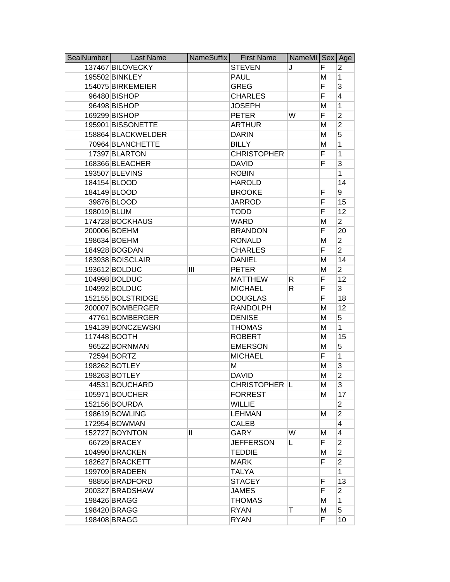| SealNumber  | <b>Last Name</b>   | NameSuffix   | <b>First Name</b>  | NameMI Sex Age |    |                |
|-------------|--------------------|--------------|--------------------|----------------|----|----------------|
|             | 137467 BILOVECKY   |              | <b>STEVEN</b>      | J              | F  | 2              |
|             | 195502 BINKLEY     |              | <b>PAUL</b>        |                | M  | 1              |
|             | 154075 BIRKEMEIER  |              | <b>GREG</b>        |                | F  | 3              |
|             | 96480 BISHOP       |              | <b>CHARLES</b>     |                | F  | 4              |
|             | 96498 BISHOP       |              | <b>JOSEPH</b>      |                | M  | 1              |
|             | 169299 BISHOP      |              | <b>PETER</b>       | W              | F  | $\overline{2}$ |
|             | 195901 BISSONETTE  |              | <b>ARTHUR</b>      |                | M  | $\overline{2}$ |
|             | 158864 BLACKWELDER |              | <b>DARIN</b>       |                | M  | 5              |
|             | 70964 BLANCHETTE   |              | <b>BILLY</b>       |                | M  | 1              |
|             | 17397 BLARTON      |              | <b>CHRISTOPHER</b> |                | F  | 1              |
|             | 168366 BLEACHER    |              | <b>DAVID</b>       |                | F  | 3              |
|             | 193507 BLEVINS     |              | <b>ROBIN</b>       |                |    | 1              |
|             | 184154 BLOOD       |              | <b>HAROLD</b>      |                |    | 14             |
|             | 184149 BLOOD       |              | <b>BROOKE</b>      |                | F  | 9              |
|             | 39876 BLOOD        |              | <b>JARROD</b>      |                | F  | 15             |
| 198019 BLUM |                    |              | <b>TODD</b>        |                | F  | 12             |
|             | 174728 BOCKHAUS    |              | <b>WARD</b>        |                | M  | $\overline{2}$ |
|             | 200006 BOEHM       |              | <b>BRANDON</b>     |                | F  | 20             |
|             | 198634 BOEHM       |              | <b>RONALD</b>      |                | M  | $\overline{2}$ |
|             | 184928 BOGDAN      |              | <b>CHARLES</b>     |                | F  | $\overline{2}$ |
|             | 183938 BOISCLAIR   |              | <b>DANIEL</b>      |                | M  | 14             |
|             | 193612 BOLDUC      | Ш            | <b>PETER</b>       |                | M  | $\overline{2}$ |
|             | 104998 BOLDUC      |              | <b>MATTHEW</b>     | R              | F  | 12             |
|             | 104992 BOLDUC      |              | <b>MICHAEL</b>     | R              | F  | 3              |
|             | 152155 BOLSTRIDGE  |              | <b>DOUGLAS</b>     |                | F  | 18             |
|             | 200007 BOMBERGER   |              | <b>RANDOLPH</b>    |                | M  | 12             |
|             | 47761 BOMBERGER    |              | <b>DENISE</b>      |                | M  | 5              |
|             | 194139 BONCZEWSKI  |              | <b>THOMAS</b>      |                | M  | 1              |
|             | 117448 BOOTH       |              | <b>ROBERT</b>      |                | M  | 15             |
|             | 96522 BORNMAN      |              | <b>EMERSON</b>     |                | M  | 5              |
|             | 72594 BORTZ        |              | <b>MICHAEL</b>     |                | F  | 1              |
|             | 198262 BOTLEY      |              | M                  |                | M  | 3              |
|             | 198263 BOTLEY      |              | <b>DAVID</b>       |                | M  | $\overline{2}$ |
|             | 44531 BOUCHARD     |              | CHRISTOPHER  L     |                | м  | 3              |
|             | 105971 BOUCHER     |              | <b>FORREST</b>     |                | м  | 17             |
|             | 152156 BOURDA      |              | <b>WILLIE</b>      |                |    | $\overline{2}$ |
|             | 198619 BOWLING     |              | <b>LEHMAN</b>      |                | M  | $\overline{2}$ |
|             | 172954 BOWMAN      |              | <b>CALEB</b>       |                |    | 4              |
|             | 152727 BOYNTON     | $\mathbf{H}$ | GARY               | W              | м  | 4              |
|             | 66729 BRACEY       |              | <b>JEFFERSON</b>   | L.             | F. | $\overline{2}$ |
|             | 104990 BRACKEN     |              | <b>TEDDIE</b>      |                | М  | $\overline{2}$ |
|             | 182627 BRACKETT    |              | <b>MARK</b>        |                | F  | $\overline{2}$ |
|             | 199709 BRADEEN     |              | <b>TALYA</b>       |                |    | 1              |
|             | 98856 BRADFORD     |              | <b>STACEY</b>      |                | F  | 13             |
|             | 200327 BRADSHAW    |              | <b>JAMES</b>       |                | F  | $\overline{2}$ |
|             | 198426 BRAGG       |              | <b>THOMAS</b>      |                | M  | $\mathbf{1}$   |
|             | 198420 BRAGG       |              | <b>RYAN</b>        | т              | M  | 5              |
|             | 198408 BRAGG       |              | <b>RYAN</b>        |                | F  | 10             |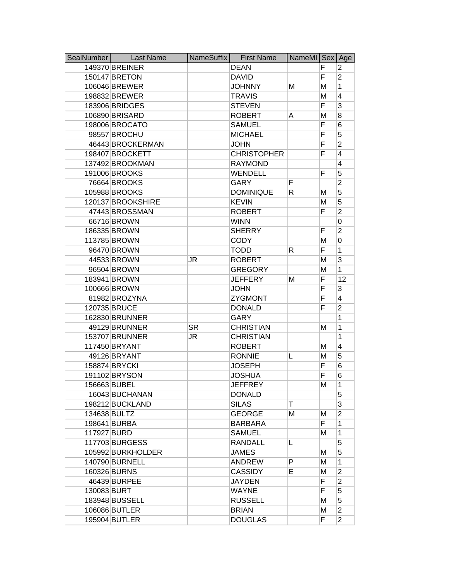| SealNumber  | <b>Last Name</b>  | NameSuffix | <b>First Name</b>  | NameMI Sex Age |    |                |
|-------------|-------------------|------------|--------------------|----------------|----|----------------|
|             | 149370 BREINER    |            | <b>DEAN</b>        |                | F  | 2              |
|             | 150147 BRETON     |            | <b>DAVID</b>       |                | F  | $\overline{2}$ |
|             | 106046 BREWER     |            | <b>JOHNNY</b>      | М              | M  | 1              |
|             | 198832 BREWER     |            | <b>TRAVIS</b>      |                | M  | 4              |
|             | 183906 BRIDGES    |            | <b>STEVEN</b>      |                | F  | 3              |
|             | 106890 BRISARD    |            | <b>ROBERT</b>      | A              | M  | 8              |
|             | 198006 BROCATO    |            | <b>SAMUEL</b>      |                | F  | 6              |
|             | 98557 BROCHU      |            | <b>MICHAEL</b>     |                | F  | 5              |
|             | 46443 BROCKERMAN  |            | <b>JOHN</b>        |                | F  | $\overline{2}$ |
|             | 198407 BROCKETT   |            | <b>CHRISTOPHER</b> |                | F  | 4              |
|             | 137492 BROOKMAN   |            | <b>RAYMOND</b>     |                |    | 4              |
|             | 191006 BROOKS     |            | <b>WENDELL</b>     |                | F  | 5              |
|             | 76664 BROOKS      |            | <b>GARY</b>        | F              |    | $\overline{2}$ |
|             | 105988 BROOKS     |            | <b>DOMINIQUE</b>   | R              | М  | 5              |
|             | 120137 BROOKSHIRE |            | <b>KEVIN</b>       |                | M  | 5              |
|             | 47443 BROSSMAN    |            | <b>ROBERT</b>      |                | F  | $\overline{2}$ |
|             | 66716 BROWN       |            | <b>WINN</b>        |                |    | 0              |
|             | 186335 BROWN      |            | <b>SHERRY</b>      |                | F  | $\overline{2}$ |
|             | 113785 BROWN      |            | <b>CODY</b>        |                | M  | 0              |
|             | 96470 BROWN       |            | <b>TODD</b>        | R              | F  | 1              |
|             | 44533 BROWN       | JR         | <b>ROBERT</b>      |                | M  | 3              |
|             | 96504 BROWN       |            | <b>GREGORY</b>     |                | M  | 1              |
|             | 183941 BROWN      |            | <b>JEFFERY</b>     | M              | F  | 12             |
|             | 100666 BROWN      |            | <b>JOHN</b>        |                | F  | 3              |
|             | 81982 BROZYNA     |            | <b>ZYGMONT</b>     |                | F  | 4              |
|             | 120735 BRUCE      |            | <b>DONALD</b>      |                | F  | $\overline{2}$ |
|             | 162830 BRUNNER    |            | <b>GARY</b>        |                |    | 1              |
|             | 49129 BRUNNER     | <b>SR</b>  | <b>CHRISTIAN</b>   |                | М  | 1              |
|             | 153707 BRUNNER    | JR         | <b>CHRISTIAN</b>   |                |    | 1              |
|             | 117450 BRYANT     |            | <b>ROBERT</b>      |                | M  | 4              |
|             | 49126 BRYANT      |            | <b>RONNIE</b>      | L              | M  | 5              |
|             | 158874 BRYCKI     |            | JOSEPH             |                | F  | 6              |
|             | 191102 BRYSON     |            | <b>JOSHUA</b>      |                | F  | 6              |
|             | 156663 BUBEL      |            | <b>JEFFREY</b>     |                | м  | 1              |
|             | 16043 BUCHANAN    |            | <b>DONALD</b>      |                |    | 5              |
|             | 198212 BUCKLAND   |            | <b>SILAS</b>       | Τ              |    | 3              |
|             | 134638 BULTZ      |            | <b>GEORGE</b>      | М              | M  | $\overline{2}$ |
|             | 198641 BURBA      |            | <b>BARBARA</b>     |                | F. | 1              |
| 117927 BURD |                   |            | <b>SAMUEL</b>      |                | м  | 1              |
|             | 117703 BURGESS    |            | <b>RANDALL</b>     | L              |    | 5              |
|             | 105992 BURKHOLDER |            | <b>JAMES</b>       |                | M  | 5              |
|             | 140790 BURNELL    |            | ANDREW             | P              | М  | 1              |
|             | 160326 BURNS      |            | <b>CASSIDY</b>     | Е              | М  | $\overline{2}$ |
|             | 46439 BURPEE      |            | <b>JAYDEN</b>      |                | F  | $\overline{2}$ |
| 130083 BURT |                   |            | <b>WAYNE</b>       |                | F. | 5              |
|             | 183948 BUSSELL    |            | <b>RUSSELL</b>     |                | M  | 5              |
|             | 106086 BUTLER     |            | <b>BRIAN</b>       |                | М  | $\overline{2}$ |
|             | 195904 BUTLER     |            | <b>DOUGLAS</b>     |                | F. | $\overline{2}$ |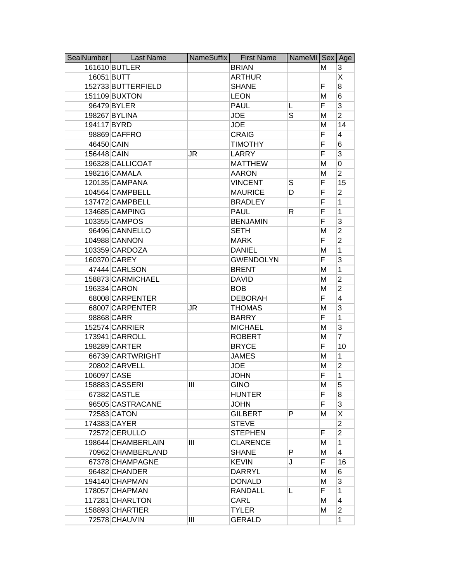| SealNumber  | <b>Last Name</b>   | NameSuffix | <b>First Name</b> | NameMI Sex Age |    |                |
|-------------|--------------------|------------|-------------------|----------------|----|----------------|
|             | 161610 BUTLER      |            | <b>BRIAN</b>      |                | м  | 3              |
| 16051 BUTT  |                    |            | <b>ARTHUR</b>     |                |    | X              |
|             | 152733 BUTTERFIELD |            | <b>SHANE</b>      |                | F  | 8              |
|             | 151109 BUXTON      |            | <b>LEON</b>       |                | M  | 6              |
|             | 96479 BYLER        |            | <b>PAUL</b>       | L              | F  | 3              |
|             | 198267 BYLINA      |            | <b>JOE</b>        | S              | М  | $\overline{2}$ |
| 194117 BYRD |                    |            | <b>JOE</b>        |                | M  | 14             |
|             | 98869 CAFFRO       |            | <b>CRAIG</b>      |                | F  | 4              |
| 46450 CAIN  |                    |            | <b>TIMOTHY</b>    |                | F  | 6              |
| 156448 CAIN |                    | JR         | <b>LARRY</b>      |                | F  | 3              |
|             | 196328 CALLICOAT   |            | <b>MATTHEW</b>    |                | M  | 0              |
|             | 198216 CAMALA      |            | <b>AARON</b>      |                | M  | $\overline{2}$ |
|             | 120135 CAMPANA     |            | <b>VINCENT</b>    | S              | F  | 15             |
|             | 104564 CAMPBELL    |            | <b>MAURICE</b>    | D              | F  | $\overline{2}$ |
|             | 137472 CAMPBELL    |            | <b>BRADLEY</b>    |                | F  | 1              |
|             | 134685 CAMPING     |            | <b>PAUL</b>       | R              | F  | 1              |
|             | 103355 CAMPOS      |            | <b>BENJAMIN</b>   |                | F  | 3              |
|             | 96496 CANNELLO     |            | <b>SETH</b>       |                | M  | $\overline{2}$ |
|             | 104988 CANNON      |            | <b>MARK</b>       |                | F  | $\overline{2}$ |
|             | 103359 CARDOZA     |            | <b>DANIEL</b>     |                | M  | 1              |
|             | 160370 CAREY       |            | <b>GWENDOLYN</b>  |                | F  | 3              |
|             | 47444 CARLSON      |            | <b>BRENT</b>      |                | Μ  | 1              |
|             | 158873 CARMICHAEL  |            | <b>DAVID</b>      |                | M  | $\overline{2}$ |
|             | 196334 CARON       |            | <b>BOB</b>        |                | M  | $\overline{2}$ |
|             | 68008 CARPENTER    |            | <b>DEBORAH</b>    |                | F  | 4              |
|             | 68007 CARPENTER    | JR         | <b>THOMAS</b>     |                | M  | 3              |
|             | 98868 CARR         |            | <b>BARRY</b>      |                | F  | 1              |
|             | 152574 CARRIER     |            | <b>MICHAEL</b>    |                | M  | 3              |
|             | 173941 CARROLL     |            | <b>ROBERT</b>     |                | M  | $\overline{7}$ |
|             | 198289 CARTER      |            | <b>BRYCE</b>      |                | F  | 10             |
|             | 66739 CARTWRIGHT   |            | <b>JAMES</b>      |                | M  | 1              |
|             | 20802 CARVELL      |            | <b>JOE</b>        |                | M  | $\overline{2}$ |
| 106097 CASE |                    |            | <b>JOHN</b>       |                | F  | 1              |
|             | 158883 CASSERI     | Ш          | <b>GINO</b>       |                | М  | 5              |
|             | 67382 CASTLE       |            | <b>HUNTER</b>     |                | F  | 8              |
|             | 96505 CASTRACANE   |            | <b>JOHN</b>       |                | F  | 3              |
|             | 72583 CATON        |            | <b>GILBERT</b>    | P              | м  | X              |
|             | 174383 CAYER       |            | <b>STEVE</b>      |                |    | $\overline{2}$ |
|             | 72572 CERULLO      |            | <b>STEPHEN</b>    |                | F  | $\overline{2}$ |
|             | 198644 CHAMBERLAIN | Ш          | <b>CLARENCE</b>   |                | м  | 1              |
|             | 70962 CHAMBERLAND  |            | <b>SHANE</b>      | P              | М  | 4              |
|             | 67378 CHAMPAGNE    |            | <b>KEVIN</b>      | J              | F  | 16             |
|             | 96482 CHANDER      |            | <b>DARRYL</b>     |                | M  | 6              |
|             | 194140 CHAPMAN     |            | <b>DONALD</b>     |                | М  | 3              |
|             | 178057 CHAPMAN     |            | <b>RANDALL</b>    | L              | F. | 1              |
|             | 117281 CHARLTON    |            | CARL              |                | M  | 4              |
|             | 158893 CHARTIER    |            | <b>TYLER</b>      |                | м  | $\overline{2}$ |
|             | 72578 CHAUVIN      | Ш          | <b>GERALD</b>     |                |    | 1              |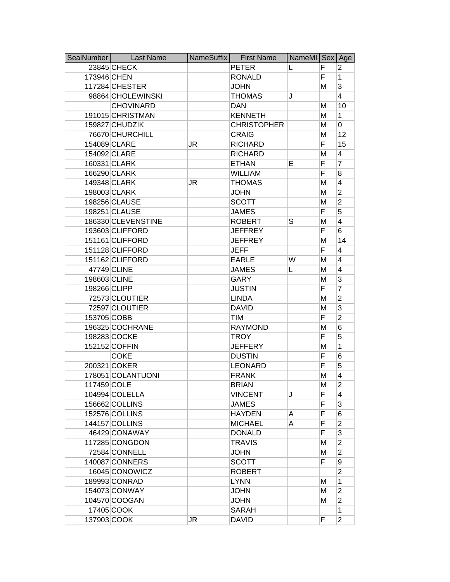| SealNumber   | <b>Last Name</b>   | NameSuffix | <b>First Name</b>  | NameMI Sex Age |   |                         |
|--------------|--------------------|------------|--------------------|----------------|---|-------------------------|
|              | 23845 CHECK        |            | <b>PETER</b>       | L              | F | 2                       |
| 173946 CHEN  |                    |            | <b>RONALD</b>      |                | F | 1                       |
|              | 117284 CHESTER     |            | <b>JOHN</b>        |                | м | 3                       |
|              | 98864 CHOLEWINSKI  |            | <b>THOMAS</b>      | J              |   | $\overline{4}$          |
|              | <b>CHOVINARD</b>   |            | <b>DAN</b>         |                | M | 10                      |
|              | 191015 CHRISTMAN   |            | <b>KENNETH</b>     |                | м | 1                       |
|              | 159827 CHUDZIK     |            | <b>CHRISTOPHER</b> |                | M | 0                       |
|              | 76670 CHURCHILL    |            | <b>CRAIG</b>       |                | M | 12                      |
|              | 154089 CLARE       | JR         | <b>RICHARD</b>     |                | F | 15                      |
|              | 154092 CLARE       |            | <b>RICHARD</b>     |                | M | $\overline{4}$          |
|              | 160331 CLARK       |            | <b>ETHAN</b>       | Е              | F | 7                       |
|              | 166290 CLARK       |            | <b>WILLIAM</b>     |                | F | 8                       |
|              | 149348 CLARK       | JR         | <b>THOMAS</b>      |                | M | $\overline{\mathbf{4}}$ |
|              | 198003 CLARK       |            | <b>JOHN</b>        |                | M | $\overline{2}$          |
|              | 198256 CLAUSE      |            | <b>SCOTT</b>       |                | M | $\overline{2}$          |
|              | 198251 CLAUSE      |            | <b>JAMES</b>       |                | F | 5                       |
|              | 186330 CLEVENSTINE |            | <b>ROBERT</b>      | S              | M | 4                       |
|              | 193603 CLIFFORD    |            | <b>JEFFREY</b>     |                | F | 6                       |
|              | 151161 CLIFFORD    |            | <b>JEFFREY</b>     |                | M | 14                      |
|              | 151128 CLIFFORD    |            | <b>JEFF</b>        |                | F | 4                       |
|              | 151162 CLIFFORD    |            | <b>EARLE</b>       | W              | M | 4                       |
|              | 47749 CLINE        |            | <b>JAMES</b>       | L              | М | 4                       |
| 198603 CLINE |                    |            | <b>GARY</b>        |                | M | 3                       |
| 198266 CLIPP |                    |            | <b>JUSTIN</b>      |                | F | 7                       |
|              | 72573 CLOUTIER     |            | <b>LINDA</b>       |                | M | $\overline{2}$          |
|              | 72597 CLOUTIER     |            | <b>DAVID</b>       |                | M | $\overline{3}$          |
| 153705 COBB  |                    |            | <b>TIM</b>         |                | F | $\overline{2}$          |
|              | 196325 COCHRANE    |            | <b>RAYMOND</b>     |                | M | 6                       |
|              | 198283 COCKE       |            | <b>TROY</b>        |                | F | 5                       |
|              | 152152 COFFIN      |            | <b>JEFFERY</b>     |                | M | 1                       |
|              | <b>COKE</b>        |            | <b>DUSTIN</b>      |                | F | 6                       |
|              | 200321 COKER       |            | <b>LEONARD</b>     |                | F | 5                       |
|              | 178051 COLANTUONI  |            | <b>FRANK</b>       |                | M | 4                       |
| 117459 COLE  |                    |            | <b>BRIAN</b>       |                | M | 2                       |
|              | 104994 COLELLA     |            | <b>VINCENT</b>     | J              | F | $\overline{4}$          |
|              | 156662 COLLINS     |            | <b>JAMES</b>       |                | F | 3                       |
|              | 152576 COLLINS     |            | <b>HAYDEN</b>      | A              | F | 6                       |
|              | 144157 COLLINS     |            | <b>MICHAEL</b>     | A              | F | $\overline{2}$          |
|              | 46429 CONAWAY      |            | <b>DONALD</b>      |                | F | 3                       |
|              | 117285 CONGDON     |            | <b>TRAVIS</b>      |                | M | $\overline{2}$          |
|              | 72584 CONNELL      |            | <b>JOHN</b>        |                | M | $\overline{2}$          |
|              | 140087 CONNERS     |            | <b>SCOTT</b>       |                | F | 9                       |
|              | 16045 CONOWICZ     |            | <b>ROBERT</b>      |                |   | $\overline{2}$          |
|              | 189993 CONRAD      |            | <b>LYNN</b>        |                | М | 1                       |
|              | 154073 CONWAY      |            | <b>JOHN</b>        |                | м | $\overline{2}$          |
|              | 104570 COOGAN      |            | <b>JOHN</b>        |                | M | $\overline{2}$          |
|              | 17405 COOK         |            | <b>SARAH</b>       |                |   | 1                       |
| 137903 COOK  |                    | JR         | <b>DAVID</b>       |                | F | $\overline{2}$          |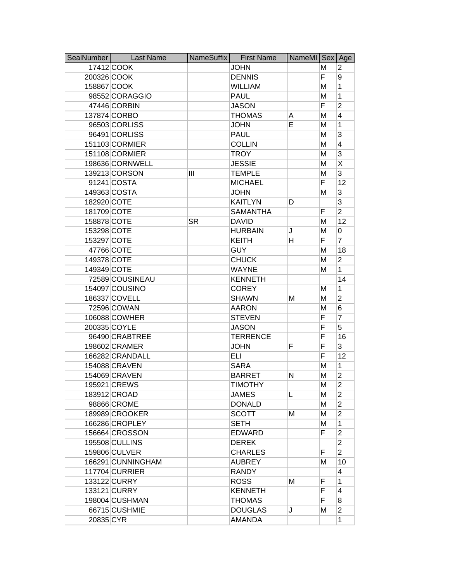| SealNumber  | <b>Last Name</b>  | NameSuffix | <b>First Name</b> | NameMI Sex Age |    |                |
|-------------|-------------------|------------|-------------------|----------------|----|----------------|
|             | 17412 COOK        |            | <b>JOHN</b>       |                | м  | 2              |
| 200326 COOK |                   |            | <b>DENNIS</b>     |                | F. | 9              |
| 158867 COOK |                   |            | <b>WILLIAM</b>    |                | M  | 1              |
|             | 98552 CORAGGIO    |            | <b>PAUL</b>       |                | M  | 1              |
|             | 47446 CORBIN      |            | <b>JASON</b>      |                | F  | $\overline{2}$ |
|             | 137874 CORBO      |            | <b>THOMAS</b>     | A              | M  | $\overline{4}$ |
|             | 96503 CORLISS     |            | <b>JOHN</b>       | Е              | M  | 1              |
|             | 96491 CORLISS     |            | <b>PAUL</b>       |                | M  | 3              |
|             | 151103 CORMIER    |            | <b>COLLIN</b>     |                | M  | 4              |
|             | 151108 CORMIER    |            | <b>TROY</b>       |                | M  | 3              |
|             | 198636 CORNWELL   |            | <b>JESSIE</b>     |                | M  | Χ              |
|             | 139213 CORSON     | Ш          | <b>TEMPLE</b>     |                | M  | 3              |
|             | 91241 COSTA       |            | <b>MICHAEL</b>    |                | F. | 12             |
|             | 149363 COSTA      |            | <b>JOHN</b>       |                | M  | 3              |
| 182920 COTE |                   |            | <b>KAITLYN</b>    | D              |    | 3              |
| 181709 COTE |                   |            | <b>SAMANTHA</b>   |                | F  | $\overline{2}$ |
| 158878 COTE |                   | <b>SR</b>  | <b>DAVID</b>      |                | М  | 12             |
| 153298 COTE |                   |            | <b>HURBAIN</b>    | J              | M  | 0              |
| 153297 COTE |                   |            | <b>KEITH</b>      | н              | F. | $\overline{7}$ |
|             | 47766 COTE        |            | <b>GUY</b>        |                | M  | 18             |
| 149378 COTE |                   |            | <b>CHUCK</b>      |                | M  | $\overline{2}$ |
| 149349 COTE |                   |            | <b>WAYNE</b>      |                | M  | 1              |
|             | 72589 COUSINEAU   |            | <b>KENNETH</b>    |                |    | 14             |
|             | 154097 COUSINO    |            | <b>COREY</b>      |                | М  | 1              |
|             | 186337 COVELL     |            | <b>SHAWN</b>      | Μ              | M  | $\overline{2}$ |
|             | 72596 COWAN       |            | <b>AARON</b>      |                | M  | 6              |
|             | 106088 COWHER     |            | <b>STEVEN</b>     |                | F  | 7              |
|             | 200335 COYLE      |            | <b>JASON</b>      |                | F  | 5              |
|             | 96490 CRABTREE    |            | <b>TERRENCE</b>   |                | F  | 16             |
|             | 198602 CRAMER     |            | <b>JOHN</b>       | F              | F  | 3              |
|             | 166282 CRANDALL   |            | <b>ELI</b>        |                | F  | 12             |
|             | 154088 CRAVEN     |            | <b>SARA</b>       |                | M  | 1              |
|             | 154069 CRAVEN     |            | <b>BARRET</b>     | Ν              | M  | $\overline{2}$ |
|             | 195921 CREWS      |            | TIMOTHY           |                | м  | 2              |
|             | 183912 CROAD      |            | <b>JAMES</b>      | L              | М  | $\overline{2}$ |
|             | 98866 CROME       |            | <b>DONALD</b>     |                | M  | $\overline{2}$ |
|             | 189989 CROOKER    |            | <b>SCOTT</b>      | Μ              | M  | $\overline{2}$ |
|             | 166286 CROPLEY    |            | <b>SETH</b>       |                | м  | 1              |
|             | 156664 CROSSON    |            | <b>EDWARD</b>     |                | F  | $\overline{2}$ |
|             | 195508 CULLINS    |            | <b>DEREK</b>      |                |    | $\overline{2}$ |
|             | 159806 CULVER     |            | <b>CHARLES</b>    |                | F  | $\overline{2}$ |
|             | 166291 CUNNINGHAM |            | <b>AUBREY</b>     |                | м  | 10             |
|             | 117704 CURRIER    |            | <b>RANDY</b>      |                |    | 4              |
|             | 133122 CURRY      |            | <b>ROSS</b>       | Μ              | F  | 1              |
|             | 133121 CURRY      |            | <b>KENNETH</b>    |                | F  | 4              |
|             | 198004 CUSHMAN    |            | <b>THOMAS</b>     |                | F  | 8              |
|             | 66715 CUSHMIE     |            | <b>DOUGLAS</b>    | J              | М  | $\overline{2}$ |
| 20835 CYR   |                   |            | AMANDA            |                |    | 1              |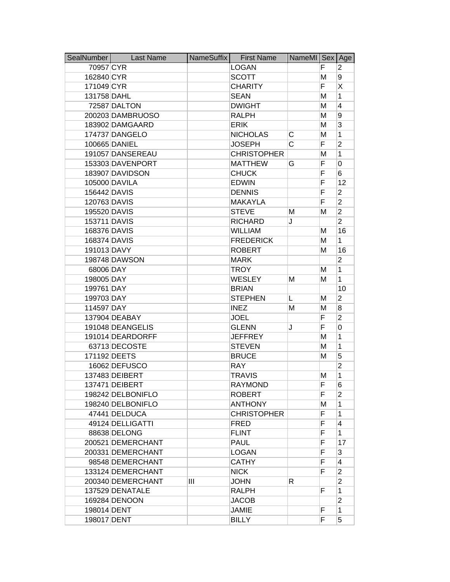| SealNumber   | <b>Last Name</b>  | NameSuffix | <b>First Name</b>  | NameMI Sex Age |   |                         |
|--------------|-------------------|------------|--------------------|----------------|---|-------------------------|
| 70957 CYR    |                   |            | <b>LOGAN</b>       |                | F | 2                       |
| 162840 CYR   |                   |            | <b>SCOTT</b>       |                | M | 9                       |
| 171049 CYR   |                   |            | <b>CHARITY</b>     |                | F | Χ                       |
| 131758 DAHL  |                   |            | <b>SEAN</b>        |                | M | 1                       |
|              | 72587 DALTON      |            | <b>DWIGHT</b>      |                | Μ | 4                       |
|              | 200203 DAMBRUOSO  |            | <b>RALPH</b>       |                | M | 9                       |
|              | 183902 DAMGAARD   |            | <b>ERIK</b>        |                | Μ | 3                       |
|              | 174737 DANGELO    |            | <b>NICHOLAS</b>    | С              | M | 1                       |
|              | 100665 DANIEL     |            | <b>JOSEPH</b>      | C              | F | $\overline{2}$          |
|              | 191057 DANSEREAU  |            | <b>CHRISTOPHER</b> |                | M | 1                       |
|              | 153303 DAVENPORT  |            | <b>MATTHEW</b>     | G              | F | 0                       |
|              | 183907 DAVIDSON   |            | <b>CHUCK</b>       |                | F | 6                       |
|              | 105000 DAVILA     |            | <b>EDWIN</b>       |                | F | 12                      |
| 156442 DAVIS |                   |            | <b>DENNIS</b>      |                | F | $\overline{2}$          |
| 120763 DAVIS |                   |            | <b>MAKAYLA</b>     |                | F | $\overline{2}$          |
| 195520 DAVIS |                   |            | <b>STEVE</b>       | М              | Μ | $\overline{\mathbf{c}}$ |
| 153711 DAVIS |                   |            | <b>RICHARD</b>     | J              |   | $\overline{2}$          |
| 168376 DAVIS |                   |            | <b>WILLIAM</b>     |                | M | 16                      |
| 168374 DAVIS |                   |            | <b>FREDERICK</b>   |                | M | $\mathbf{1}$            |
| 191013 DAVY  |                   |            | <b>ROBERT</b>      |                | Μ | 16                      |
|              | 198748 DAWSON     |            | <b>MARK</b>        |                |   | $\overline{2}$          |
| 68006 DAY    |                   |            | <b>TROY</b>        |                | Μ | 1                       |
| 198005 DAY   |                   |            | <b>WESLEY</b>      | м              | м | 1                       |
| 199761 DAY   |                   |            | <b>BRIAN</b>       |                |   | 10                      |
| 199703 DAY   |                   |            | <b>STEPHEN</b>     | L              | Μ | $\overline{c}$          |
| 114597 DAY   |                   |            | <b>INEZ</b>        | М              | M | $\bf{8}$                |
|              | 137904 DEABAY     |            | <b>JOEL</b>        |                | F | $\overline{2}$          |
|              | 191048 DEANGELIS  |            | <b>GLENN</b>       | J              | F | 0                       |
|              | 191014 DEARDORFF  |            | <b>JEFFREY</b>     |                | M | 1                       |
|              | 63713 DECOSTE     |            | <b>STEVEN</b>      |                | M | 1                       |
|              | 171192 DEETS      |            | <b>BRUCE</b>       |                | Μ | 5                       |
|              | 16062 DEFUSCO     |            | <b>RAY</b>         |                |   | $\overline{2}$          |
|              | 137483 DEIBERT    |            | <b>TRAVIS</b>      |                | Μ | 1                       |
|              | 137471 DEIBERT    |            | <b>RAYMOND</b>     |                | ۳ | 6                       |
|              | 198242 DELBONIFLO |            | <b>ROBERT</b>      |                | F | $\overline{2}$          |
|              | 198240 DELBONIFLO |            | <b>ANTHONY</b>     |                | M | 1                       |
|              | 47441 DELDUCA     |            | <b>CHRISTOPHER</b> |                | F | 1                       |
|              | 49124 DELLIGATTI  |            | <b>FRED</b>        |                | F | $\overline{4}$          |
|              | 88638 DELONG      |            | <b>FLINT</b>       |                | F | 1                       |
|              | 200521 DEMERCHANT |            | <b>PAUL</b>        |                | F | 17                      |
|              | 200331 DEMERCHANT |            | <b>LOGAN</b>       |                | F | 3                       |
|              | 98548 DEMERCHANT  |            | <b>CATHY</b>       |                | F | 4                       |
|              | 133124 DEMERCHANT |            | <b>NICK</b>        |                | F | $\overline{2}$          |
|              | 200340 DEMERCHANT | Ш          | <b>JOHN</b>        | R              |   | $\overline{2}$          |
|              | 137529 DENATALE   |            | RALPH              |                | F | 1                       |
|              | 169284 DENOON     |            | <b>JACOB</b>       |                |   | $\overline{c}$          |
| 198014 DENT  |                   |            | <b>JAMIE</b>       |                | F | 1                       |
| 198017 DENT  |                   |            | <b>BILLY</b>       |                | F | 5                       |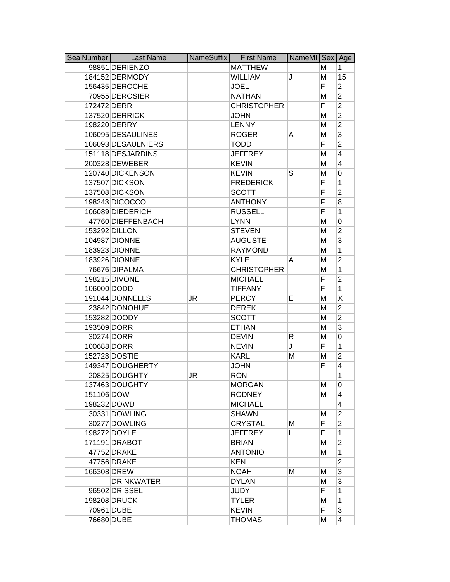| SealNumber  | <b>Last Name</b>   | NameSuffix | <b>First Name</b>  | NameMI Sex |   | Age                     |
|-------------|--------------------|------------|--------------------|------------|---|-------------------------|
|             | 98851 DERIENZO     |            | <b>MATTHEW</b>     |            | м | 1                       |
|             | 184152 DERMODY     |            | <b>WILLIAM</b>     | J          | M | 15                      |
|             | 156435 DEROCHE     |            | <b>JOEL</b>        |            | F | $\overline{2}$          |
|             | 70955 DEROSIER     |            | <b>NATHAN</b>      |            | M | $\overline{2}$          |
| 172472 DERR |                    |            | <b>CHRISTOPHER</b> |            | F | $\overline{2}$          |
|             | 137520 DERRICK     |            | <b>JOHN</b>        |            | M | $\overline{2}$          |
|             | 198220 DERRY       |            | <b>LENNY</b>       |            | M | $\overline{2}$          |
|             | 106095 DESAULINES  |            | <b>ROGER</b>       | A          | M | 3                       |
|             | 106093 DESAULNIERS |            | <b>TODD</b>        |            | F | $\overline{2}$          |
|             | 151118 DESJARDINS  |            | <b>JEFFREY</b>     |            | M | 4                       |
|             | 200328 DEWEBER     |            | <b>KEVIN</b>       |            | M | 4                       |
|             | 120740 DICKENSON   |            | <b>KEVIN</b>       | S          | M | 0                       |
|             | 137507 DICKSON     |            | <b>FREDERICK</b>   |            | F | 1                       |
|             | 137508 DICKSON     |            | <b>SCOTT</b>       |            | F | $\overline{2}$          |
|             | 198243 DICOCCO     |            | <b>ANTHONY</b>     |            | F | 8                       |
|             | 106089 DIEDERICH   |            | <b>RUSSELL</b>     |            | F | 1                       |
|             | 47760 DIEFFENBACH  |            | <b>LYNN</b>        |            | M | 0                       |
|             | 153292 DILLON      |            | <b>STEVEN</b>      |            | M | $\overline{2}$          |
|             | 104987 DIONNE      |            | <b>AUGUSTE</b>     |            | M | 3                       |
|             | 183923 DIONNE      |            | <b>RAYMOND</b>     |            | M | 1                       |
|             | 183926 DIONNE      |            | <b>KYLE</b>        | A          | M | $\overline{2}$          |
|             | 76676 DIPALMA      |            | <b>CHRISTOPHER</b> |            | M | 1                       |
|             | 198215 DIVONE      |            | <b>MICHAEL</b>     |            | F | $\overline{2}$          |
| 106000 DODD |                    |            | <b>TIFFANY</b>     |            | F | 1                       |
|             | 191044 DONNELLS    | JR         | <b>PERCY</b>       | Е          | M | Χ                       |
|             | 23842 DONOHUE      |            | <b>DEREK</b>       |            | M | $\overline{2}$          |
|             | 153282 DOODY       |            | <b>SCOTT</b>       |            | M | $\overline{2}$          |
| 193509 DORR |                    |            | <b>ETHAN</b>       |            | M | 3                       |
|             | 30274 DORR         |            | <b>DEVIN</b>       | R          | M | 0                       |
| 100688 DORR |                    |            | <b>NEVIN</b>       | J          | F | 1                       |
|             | 152728 DOSTIE      |            | <b>KARL</b>        | Μ          | M | $\overline{2}$          |
|             | 149347 DOUGHERTY   |            | <b>JOHN</b>        |            | F | 4                       |
|             | 20825 DOUGHTY      | JR         | <b>RON</b>         |            |   | 1                       |
|             | 137463 DOUGHTY     |            | <b>MORGAN</b>      |            | м | 0                       |
| 151106 DOW  |                    |            | <b>RODNEY</b>      |            | м | 4                       |
|             | 198232 DOWD        |            | <b>MICHAEL</b>     |            |   | $\overline{\mathbf{4}}$ |
|             | 30331 DOWLING      |            | <b>SHAWN</b>       |            | M | $\overline{2}$          |
|             | 30277 DOWLING      |            | <b>CRYSTAL</b>     | Μ          | F | $\overline{2}$          |
|             | 198272 DOYLE       |            | <b>JEFFREY</b>     | L          | F | 1                       |
|             | 171191 DRABOT      |            | <b>BRIAN</b>       |            | М | $\overline{2}$          |
|             | 47752 DRAKE        |            | <b>ANTONIO</b>     |            | M | 1                       |
|             | 47756 DRAKE        |            | <b>KEN</b>         |            |   | $\overline{2}$          |
| 166308 DREW |                    |            | <b>NOAH</b>        | Μ          | м | 3                       |
|             | <b>DRINKWATER</b>  |            | <b>DYLAN</b>       |            | M | 3                       |
|             | 96502 DRISSEL      |            | <b>JUDY</b>        |            | F | 1                       |
|             | 198208 DRUCK       |            | <b>TYLER</b>       |            | M | 1                       |
|             | 70961 DUBE         |            | <b>KEVIN</b>       |            | F | 3                       |
|             | 76680 DUBE         |            | <b>THOMAS</b>      |            | M | 4                       |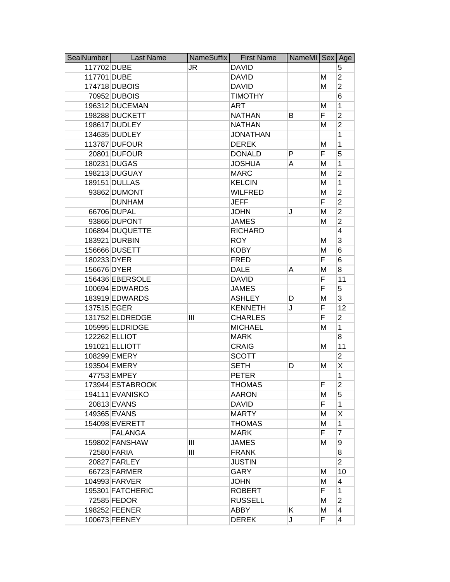| SealNumber  | <b>Last Name</b> | NameSuffix | <b>First Name</b> | NameMI Sex Age |    |                |
|-------------|------------------|------------|-------------------|----------------|----|----------------|
| 117702 DUBE |                  | JR         | <b>DAVID</b>      |                |    | 5              |
| 117701 DUBE |                  |            | <b>DAVID</b>      |                | М  | $\overline{2}$ |
|             | 174718 DUBOIS    |            | <b>DAVID</b>      |                | M  | $\overline{2}$ |
|             | 70952 DUBOIS     |            | <b>TIMOTHY</b>    |                |    | 6              |
|             | 196312 DUCEMAN   |            | <b>ART</b>        |                | M  | 1              |
|             | 198288 DUCKETT   |            | <b>NATHAN</b>     | В              | F  | $\overline{2}$ |
|             | 198617 DUDLEY    |            | <b>NATHAN</b>     |                | M  | $\overline{2}$ |
|             | 134635 DUDLEY    |            | <b>JONATHAN</b>   |                |    | 1              |
|             | 113787 DUFOUR    |            | <b>DEREK</b>      |                | M  | 1              |
|             | 20801 DUFOUR     |            | <b>DONALD</b>     | P              | F  | 5              |
|             | 180231 DUGAS     |            | <b>JOSHUA</b>     | A              | M  | 1              |
|             | 198213 DUGUAY    |            | <b>MARC</b>       |                | M  | $\overline{2}$ |
|             | 189151 DULLAS    |            | <b>KELCIN</b>     |                | M  | 1              |
|             | 93862 DUMONT     |            | <b>WILFRED</b>    |                | M  | $\overline{2}$ |
|             | <b>DUNHAM</b>    |            | <b>JEFF</b>       |                | F  | $\overline{2}$ |
|             | 66706 DUPAL      |            | <b>JOHN</b>       | J              | M  | $\overline{2}$ |
|             | 93866 DUPONT     |            | <b>JAMES</b>      |                | М  | $\overline{2}$ |
|             | 106894 DUQUETTE  |            | <b>RICHARD</b>    |                |    | 4              |
|             | 183921 DURBIN    |            | <b>ROY</b>        |                | M  | 3              |
|             | 156666 DUSETT    |            | <b>KOBY</b>       |                | M  | 6              |
| 180233 DYER |                  |            | <b>FRED</b>       |                | F  | 6              |
| 156676 DYER |                  |            | <b>DALE</b>       | A              | M  | 8              |
|             | 156436 EBERSOLE  |            | <b>DAVID</b>      |                | F  | 11             |
|             | 100694 EDWARDS   |            | <b>JAMES</b>      |                | F  | 5              |
|             | 183919 EDWARDS   |            | <b>ASHLEY</b>     | D              | M  | 3              |
| 137515 EGER |                  |            | <b>KENNETH</b>    | J              | F  | 12             |
|             | 131752 ELDREDGE  | Ш          | <b>CHARLES</b>    |                | F  | $\overline{2}$ |
|             | 105995 ELDRIDGE  |            | <b>MICHAEL</b>    |                | M  | 1              |
|             | 122262 ELLIOT    |            | <b>MARK</b>       |                |    | 8              |
|             | 191021 ELLIOTT   |            | <b>CRAIG</b>      |                | M  | 11             |
|             | 108299 EMERY     |            | <b>SCOTT</b>      |                |    | $\overline{2}$ |
|             | 193504 EMERY     |            | <b>SETH</b>       | D              | М  | X              |
|             | 47753 EMPEY      |            | <b>PETER</b>      |                |    | 1              |
|             | 173944 ESTABROOK |            | THOMAS            |                | F  | 2              |
|             | 194111 EVANISKO  |            | <b>AARON</b>      |                | M  | 5              |
|             | 20813 EVANS      |            | <b>DAVID</b>      |                | F  | $\mathbf{1}$   |
|             | 149365 EVANS     |            | <b>MARTY</b>      |                | М  | Χ              |
|             | 154098 EVERETT   |            | <b>THOMAS</b>     |                | M  | 1              |
|             | <b>FALANGA</b>   |            | <b>MARK</b>       |                | F. | 7              |
|             | 159802 FANSHAW   | Ш          | <b>JAMES</b>      |                | м  | 9              |
|             | 72580 FARIA      | III        | <b>FRANK</b>      |                |    | 8              |
|             | 20827 FARLEY     |            | <b>JUSTIN</b>     |                |    | $\overline{2}$ |
|             | 66723 FARMER     |            | GARY              |                | м  | 10             |
|             | 104993 FARVER    |            | <b>JOHN</b>       |                | М  | 4              |
|             | 195301 FATCHERIC |            | <b>ROBERT</b>     |                | F. | 1              |
|             | 72585 FEDOR      |            | <b>RUSSELL</b>    |                | M  | $\overline{2}$ |
|             | 198252 FEENER    |            | <b>ABBY</b>       | Κ              | M  | 4              |
|             | 100673 FEENEY    |            | <b>DEREK</b>      | J              | F  | 4              |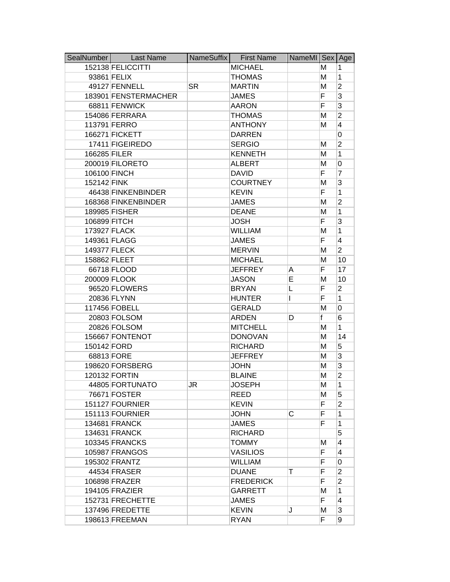| SealNumber   | <b>Last Name</b>     | NameSuffix | <b>First Name</b> | NameMI Sex Age |             |                |
|--------------|----------------------|------------|-------------------|----------------|-------------|----------------|
|              | 152138 FELICCITTI    |            | <b>MICHAEL</b>    |                | м           | 1              |
|              | 93861 FELIX          |            | <b>THOMAS</b>     |                | M           | 1              |
|              | 49127 FENNELL        | <b>SR</b>  | <b>MARTIN</b>     |                | M           | $\overline{2}$ |
|              | 183901 FENSTERMACHER |            | <b>JAMES</b>      |                | F           | 3              |
|              | 68811 FENWICK        |            | <b>AARON</b>      |                | F           | 3              |
|              | 154086 FERRARA       |            | <b>THOMAS</b>     |                | M           | $\overline{2}$ |
|              | 113791 FERRO         |            | <b>ANTHONY</b>    |                | М           | 4              |
|              | 166271 FICKETT       |            | <b>DARREN</b>     |                |             | 0              |
|              | 17411 FIGEIREDO      |            | <b>SERGIO</b>     |                | M           | $\overline{2}$ |
| 166285 FILER |                      |            | <b>KENNETH</b>    |                | M           | 1              |
|              | 200019 FILORETO      |            | <b>ALBERT</b>     |                | M           | 0              |
| 106100 FINCH |                      |            | <b>DAVID</b>      |                | F           | 7              |
| 152142 FINK  |                      |            | <b>COURTNEY</b>   |                | M           | 3              |
|              | 46438 FINKENBINDER   |            | <b>KEVIN</b>      |                | F           | 1              |
|              | 168368 FINKENBINDER  |            | <b>JAMES</b>      |                | M           | $\overline{2}$ |
|              | 189985 FISHER        |            | <b>DEANE</b>      |                | M           | 1              |
| 106899 FITCH |                      |            | <b>JOSH</b>       |                | F           | 3              |
|              | 173927 FLACK         |            | <b>WILLIAM</b>    |                | M           | 1              |
|              | 149361 FLAGG         |            | <b>JAMES</b>      |                | F.          | 4              |
|              | 149377 FLECK         |            | <b>MERVIN</b>     |                | M           | $\overline{2}$ |
|              | 158862 FLEET         |            | <b>MICHAEL</b>    |                | M           | 10             |
|              | 66718 FLOOD          |            | <b>JEFFREY</b>    | A              | F           | 17             |
|              | 200009 FLOOK         |            | <b>JASON</b>      | E              | M           | 10             |
|              | 96520 FLOWERS        |            | <b>BRYAN</b>      | L              | F           | $\overline{2}$ |
|              | 20836 FLYNN          |            | <b>HUNTER</b>     | L              | F           | $\mathbf{1}$   |
|              | 117456 FOBELL        |            | <b>GERALD</b>     |                | M           | 0              |
|              | 20803 FOLSOM         |            | <b>ARDEN</b>      | D              | f           | 6              |
|              | 20826 FOLSOM         |            | <b>MITCHELL</b>   |                | M           | $\mathbf{1}$   |
|              | 156667 FONTENOT      |            | <b>DONOVAN</b>    |                | М           | 14             |
| 150142 FORD  |                      |            | <b>RICHARD</b>    |                | M           | 5              |
|              | 68813 FORE           |            | <b>JEFFREY</b>    |                | M           | 3              |
|              | 198620 FORSBERG      |            | <b>JOHN</b>       |                | M           | 3              |
|              | 120132 FORTIN        |            | <b>BLAINE</b>     |                | M           | $\overline{2}$ |
|              | 44805 FORTUNATO      | JR.        | <b>JOSEPH</b>     |                | м           | 1              |
|              | 76671 FOSTER         |            | <b>REED</b>       |                | М           | 5              |
|              | 151127 FOURNIER      |            | <b>KEVIN</b>      |                | $\mathsf F$ | $\overline{2}$ |
|              | 151113 FOURNIER      |            | <b>JOHN</b>       | C              | F           | 1              |
|              | 134681 FRANCK        |            | <b>JAMES</b>      |                | F           | 1              |
|              | 134631 FRANCK        |            | <b>RICHARD</b>    |                |             | 5              |
|              | 103345 FRANCKS       |            | <b>TOMMY</b>      |                | М           | 4              |
|              | 105987 FRANGOS       |            | <b>VASILIOS</b>   |                | F.          | 4              |
|              | 195302 FRANTZ        |            | <b>WILLIAM</b>    |                | F           | 0              |
|              | 44534 FRASER         |            | <b>DUANE</b>      | т              | F           | $\overline{2}$ |
|              | 106898 FRAZER        |            | <b>FREDERICK</b>  |                | F.          | $\overline{2}$ |
|              | 194105 FRAZIER       |            | <b>GARRETT</b>    |                | м           | 1              |
|              | 152731 FRECHETTE     |            | <b>JAMES</b>      |                | F.          | 4              |
|              | 137496 FREDETTE      |            | <b>KEVIN</b>      | J              | M           | 3              |
|              | 198613 FREEMAN       |            | <b>RYAN</b>       |                | F.          | 9              |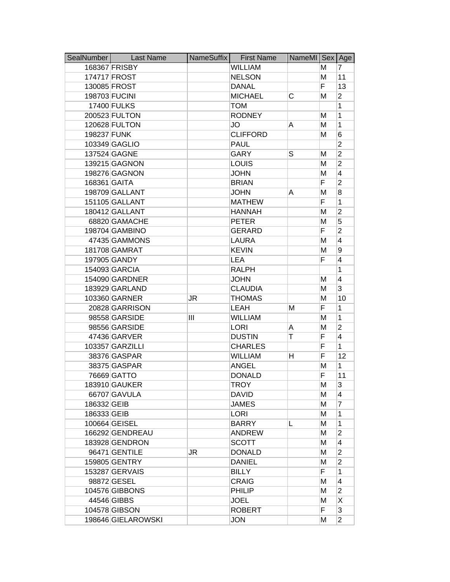| SealNumber   | <b>Last Name</b>   | NameSuffix | <b>First Name</b> | NameMI Sex Age |    |                |
|--------------|--------------------|------------|-------------------|----------------|----|----------------|
|              | 168367 FRISBY      |            | <b>WILLIAM</b>    |                | м  | 7              |
|              | 174717 FROST       |            | <b>NELSON</b>     |                | M  | 11             |
|              | 130085 FROST       |            | <b>DANAL</b>      |                | F  | 13             |
|              | 198703 FUCINI      |            | <b>MICHAEL</b>    | C              | M  | $\overline{2}$ |
|              | 17400 FULKS        |            | <b>TOM</b>        |                |    | 1              |
|              | 200523 FULTON      |            | <b>RODNEY</b>     |                | М  | $\mathbf{1}$   |
|              | 120628 FULTON      |            | <b>JO</b>         | A              | M  | $\mathbf{1}$   |
| 198237 FUNK  |                    |            | <b>CLIFFORD</b>   |                | M  | 6              |
|              | 103349 GAGLIO      |            | <b>PAUL</b>       |                |    | $\overline{2}$ |
|              | 137524 GAGNE       |            | <b>GARY</b>       | S              | М  | $\overline{2}$ |
|              | 139215 GAGNON      |            | <b>LOUIS</b>      |                | M  | $\overline{2}$ |
|              | 198276 GAGNON      |            | <b>JOHN</b>       |                | M  | 4              |
| 168361 GAITA |                    |            | <b>BRIAN</b>      |                | F. | $\overline{2}$ |
|              | 198709 GALLANT     |            | <b>JOHN</b>       | A              | M  | 8              |
|              | 151105 GALLANT     |            | <b>MATHEW</b>     |                | F  | 1              |
|              | 180412 GALLANT     |            | <b>HANNAH</b>     |                | M  | $\overline{2}$ |
|              | 68820 GAMACHE      |            | <b>PETER</b>      |                | M  | 5              |
|              | 198704 GAMBINO     |            | <b>GERARD</b>     |                | F  | $\overline{2}$ |
|              | 47435 GAMMONS      |            | <b>LAURA</b>      |                | M  | 4              |
|              | 181708 GAMRAT      |            | <b>KEVIN</b>      |                | M  | 9              |
|              | 197905 GANDY       |            | <b>LEA</b>        |                | F  | 4              |
|              | 154093 GARCIA      |            | <b>RALPH</b>      |                |    | 1              |
|              | 154090 GARDNER     |            | <b>JOHN</b>       |                | М  | 4              |
|              | 183929 GARLAND     |            | <b>CLAUDIA</b>    |                | M  | 3              |
|              | 103360 GARNER      | JR         | <b>THOMAS</b>     |                | M  | 10             |
|              | 20828 GARRISON     |            | LEAH              | М              | F  | $\mathbf{1}$   |
|              | 98558 GARSIDE      | Ш          | <b>WILLIAM</b>    |                | M  | $\mathbf{1}$   |
|              | 98556 GARSIDE      |            | <b>LORI</b>       | A              | M  | $\overline{2}$ |
|              | 47436 GARVER       |            | <b>DUSTIN</b>     | т              | F  | $\overline{4}$ |
|              | 103357 GARZILLI    |            | <b>CHARLES</b>    |                | F  | $\mathbf{1}$   |
|              | 38376 GASPAR       |            | <b>WILLIAM</b>    | н              | F  | 12             |
|              | 38375 GASPAR       |            | <b>ANGEL</b>      |                | M  | $\mathbf{1}$   |
|              | 76669 GATTO        |            | <b>DONALD</b>     |                | F  | 11             |
|              | 183910 GAUKER      |            | TROY              |                | M  | 3              |
|              | 66707 GAVULA       |            | <b>DAVID</b>      |                | M  | 4              |
| 186332 GEIB  |                    |            | <b>JAMES</b>      |                | М  | $\overline{7}$ |
| 186333 GEIB  |                    |            | <b>LORI</b>       |                | M  | 1              |
|              | 100664 GEISEL      |            | <b>BARRY</b>      | L              | M  | 1              |
|              | 166292 GENDREAU    |            | <b>ANDREW</b>     |                | м  | 2              |
|              | 183928 GENDRON     |            | <b>SCOTT</b>      |                | м  | 4              |
|              | 96471 GENTILE      | JR         | <b>DONALD</b>     |                | M  | $\overline{2}$ |
|              | 159805 GENTRY      |            | <b>DANIEL</b>     |                | M  | $\overline{2}$ |
|              | 153287 GERVAIS     |            | <b>BILLY</b>      |                | F  | 1              |
|              | 98872 GESEL        |            | <b>CRAIG</b>      |                | M  | 4              |
|              | 104576 GIBBONS     |            | <b>PHILIP</b>     |                | M  | $\overline{2}$ |
|              | 44546 GIBBS        |            | <b>JOEL</b>       |                | M  | X              |
|              | 104578 GIBSON      |            | <b>ROBERT</b>     |                | F  | 3              |
|              | 198646 GIELAROWSKI |            | <b>JON</b>        |                | M  | $\overline{2}$ |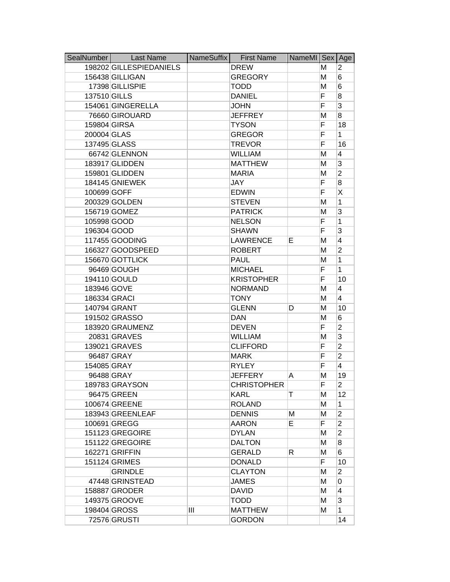| SealNumber   | <b>Last Name</b>        | NameSuffix | <b>First Name</b>  | NameMI Sex Age |   |                |
|--------------|-------------------------|------------|--------------------|----------------|---|----------------|
|              | 198202 GILLESPIEDANIELS |            | <b>DREW</b>        |                | м | 2              |
|              | 156438 GILLIGAN         |            | <b>GREGORY</b>     |                | м | 6              |
|              | 17398 GILLISPIE         |            | <b>TODD</b>        |                | M | 6              |
| 137510 GILLS |                         |            | <b>DANIEL</b>      |                | F | 8              |
|              | 154061 GINGERELLA       |            | <b>JOHN</b>        |                | F | 3              |
|              | 76660 GIROUARD          |            | <b>JEFFREY</b>     |                | M | 8              |
| 159804 GIRSA |                         |            | <b>TYSON</b>       |                | F | 18             |
| 200004 GLAS  |                         |            | <b>GREGOR</b>      |                | F | $\mathbf{1}$   |
|              | 137495 GLASS            |            | <b>TREVOR</b>      |                | F | 16             |
|              | 66742 GLENNON           |            | <b>WILLIAM</b>     |                | M | 4              |
|              | 183917 GLIDDEN          |            | <b>MATTHEW</b>     |                | M | 3              |
|              | 159801 GLIDDEN          |            | <b>MARIA</b>       |                | M | $\overline{2}$ |
|              | 184145 GNIEWEK          |            | <b>JAY</b>         |                | F | 8              |
| 100699 GOFF  |                         |            | <b>EDWIN</b>       |                | F | Χ              |
|              | 200329 GOLDEN           |            | <b>STEVEN</b>      |                | M | 1              |
|              | 156719 GOMEZ            |            | <b>PATRICK</b>     |                | M | 3              |
| 105998 GOOD  |                         |            | <b>NELSON</b>      |                | F | 1              |
| 196304 GOOD  |                         |            | <b>SHAWN</b>       |                | F | 3              |
|              | 117455 GOODING          |            | <b>LAWRENCE</b>    | E              | M | 4              |
|              | 166327 GOODSPEED        |            | <b>ROBERT</b>      |                | M | $\overline{2}$ |
|              | 156670 GOTTLICK         |            | <b>PAUL</b>        |                | M | 1              |
|              | 96469 GOUGH             |            | <b>MICHAEL</b>     |                | F | 1              |
|              | 194110 GOULD            |            | <b>KRISTOPHER</b>  |                | F | 10             |
| 183946 GOVE  |                         |            | <b>NORMAND</b>     |                | M | 4              |
| 186334 GRACI |                         |            | <b>TONY</b>        |                | M | 4              |
|              | 140794 GRANT            |            | <b>GLENN</b>       | D              | M | 10             |
|              | 191502 GRASSO           |            | <b>DAN</b>         |                | M | 6              |
|              | 183920 GRAUMENZ         |            | <b>DEVEN</b>       |                | F | $\overline{2}$ |
|              | 20831 GRAVES            |            | <b>WILLIAM</b>     |                | M | 3              |
|              | 139021 GRAVES           |            | <b>CLIFFORD</b>    |                | F | $\overline{2}$ |
|              | 96487 GRAY              |            | <b>MARK</b>        |                | F | $\overline{2}$ |
| 154085 GRAY  |                         |            | <b>RYLEY</b>       |                | F | 4              |
|              | 96488 GRAY              |            | <b>JEFFERY</b>     | A              | M | 19             |
|              | 189783 GRAYSON          |            | <b>CHRISTOPHER</b> |                | F | 2              |
|              | 96475 GREEN             |            | <b>KARL</b>        | т              | M | 12             |
|              | 100674 GREENE           |            | <b>ROLAND</b>      |                | M | 1              |
|              | 183943 GREENLEAF        |            | <b>DENNIS</b>      | Μ              | M | $\overline{2}$ |
|              | 100691 GREGG            |            | <b>AARON</b>       | E              | F | $\overline{2}$ |
|              | 151123 GREGOIRE         |            | <b>DYLAN</b>       |                | М | $\overline{2}$ |
|              | 151122 GREGOIRE         |            | <b>DALTON</b>      |                | М | 8              |
|              | 162271 GRIFFIN          |            | <b>GERALD</b>      | R              | M | 6              |
|              | 151124 GRIMES           |            | <b>DONALD</b>      |                | F | 10             |
|              | <b>GRINDLE</b>          |            | <b>CLAYTON</b>     |                | M | $\overline{2}$ |
|              | 47448 GRINSTEAD         |            | <b>JAMES</b>       |                | M | 0              |
|              | 158887 GRODER           |            | DAVID              |                | М | 4              |
|              | 149375 GROOVE           |            | <b>TODD</b>        |                | M | 3              |
|              | 198404 GROSS            | Ш          | <b>MATTHEW</b>     |                | М | $\mathbf{1}$   |
|              | 72576 GRUSTI            |            | <b>GORDON</b>      |                |   | 14             |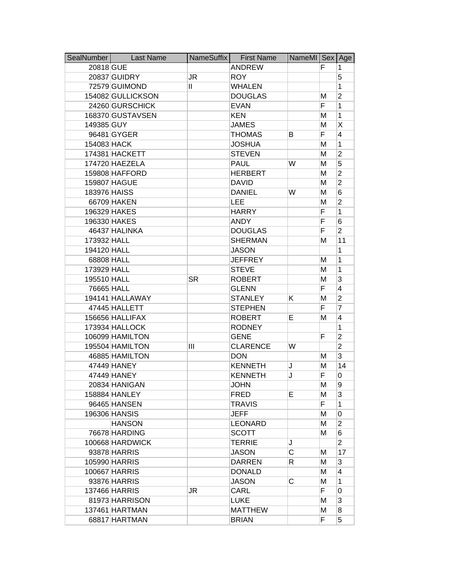| SealNumber   | <b>Last Name</b>  | NameSuffix   | <b>First Name</b> | NameMI   Sex |                | Age            |
|--------------|-------------------|--------------|-------------------|--------------|----------------|----------------|
| 20818 GUE    |                   |              | <b>ANDREW</b>     |              | F              | 1              |
|              | 20837 GUIDRY      | JR           | <b>ROY</b>        |              |                | 5              |
|              | 72579 GUIMOND     | $\mathbf{H}$ | <b>WHALEN</b>     |              |                | 1              |
|              | 154082 GULLICKSON |              | <b>DOUGLAS</b>    |              | М              | $\overline{2}$ |
|              | 24260 GURSCHICK   |              | <b>EVAN</b>       |              | F              | 1              |
|              | 168370 GUSTAVSEN  |              | <b>KEN</b>        |              | M              | 1              |
| 149385 GUY   |                   |              | <b>JAMES</b>      |              | M              | Χ              |
|              | 96481 GYGER       |              | <b>THOMAS</b>     | В            | F              | 4              |
| 154083 HACK  |                   |              | <b>JOSHUA</b>     |              | M              | 1              |
|              | 174381 HACKETT    |              | <b>STEVEN</b>     |              | Μ              | $\overline{2}$ |
|              | 174720 HAEZELA    |              | <b>PAUL</b>       | W            | Μ              | 5              |
|              | 159808 HAFFORD    |              | <b>HERBERT</b>    |              | M              | $\overline{2}$ |
|              | 159807 HAGUE      |              | <b>DAVID</b>      |              | M              | $\overline{2}$ |
| 183976 HAISS |                   |              | <b>DANIEL</b>     | W            | M              | 6              |
|              | 66709 HAKEN       |              | <b>LEE</b>        |              | M              | $\overline{2}$ |
|              | 196329 HAKES      |              | <b>HARRY</b>      |              | F              | 1              |
|              | 196330 HAKES      |              | <b>ANDY</b>       |              | F              | 6              |
|              | 46437 HALINKA     |              | <b>DOUGLAS</b>    |              | F              | $\overline{2}$ |
| 173932 HALL  |                   |              | <b>SHERMAN</b>    |              | M              | 11             |
| 194120 HALL  |                   |              | <b>JASON</b>      |              |                | 1              |
| 68808 HALL   |                   |              | <b>JEFFREY</b>    |              | M              | 1              |
| 173929 HALL  |                   |              | <b>STEVE</b>      |              | Μ              | 1              |
| 195510 HALL  |                   | <b>SR</b>    | <b>ROBERT</b>     |              | M              | 3              |
| 76665 HALL   |                   |              | <b>GLENN</b>      |              | F.             | 4              |
|              | 194141 HALLAWAY   |              | <b>STANLEY</b>    | Κ            | M              | $\overline{2}$ |
|              | 47445 HALLETT     |              | <b>STEPHEN</b>    |              | F              | $\overline{7}$ |
|              | 156656 HALLIFAX   |              | <b>ROBERT</b>     | Е            | M              | 4              |
|              | 173934 HALLOCK    |              | <b>RODNEY</b>     |              |                | 1              |
|              | 106099 HAMILTON   |              | <b>GENE</b>       |              | F              | $\overline{2}$ |
|              | 195504 HAMILTON   | Ш            | <b>CLARENCE</b>   | W            |                | $\overline{2}$ |
|              | 46885 HAMILTON    |              | <b>DON</b>        |              | M              | 3              |
|              | 47449 HANEY       |              | <b>KENNETH</b>    | J            | M              | 14             |
|              | 47449 HANEY       |              | <b>KENNETH</b>    | J            | F              | 0              |
|              | 20834 HANIGAN     |              | <b>JOHN</b>       |              | M              | 9              |
|              | 158884 HANLEY     |              | <b>FRED</b>       | E.           | M              | 3              |
|              | 96465 HANSEN      |              | <b>TRAVIS</b>     |              | $\overline{F}$ | 1              |
|              | 196306 HANSIS     |              | <b>JEFF</b>       |              | M              | 0              |
|              | <b>HANSON</b>     |              | LEONARD           |              | M              | $\overline{2}$ |
|              | 76678 HARDING     |              | <b>SCOTT</b>      |              | М              | 6              |
|              | 100668 HARDWICK   |              | <b>TERRIE</b>     | J            |                | $\overline{2}$ |
|              | 93878 HARRIS      |              | <b>JASON</b>      | C            | м              | 17             |
|              | 105990 HARRIS     |              | <b>DARREN</b>     | R            | M              | 3              |
|              | 100667 HARRIS     |              | <b>DONALD</b>     |              | M              | 4              |
|              | 93876 HARRIS      |              | <b>JASON</b>      | С            | м              | 1              |
|              | 137466 HARRIS     | JR           | CARL              |              | F.             | 0              |
|              | 81973 HARRISON    |              | <b>LUKE</b>       |              | M              | 3              |
|              | 137461 HARTMAN    |              | <b>MATTHEW</b>    |              | M              | 8              |
|              | 68817 HARTMAN     |              | <b>BRIAN</b>      |              | F              | 5              |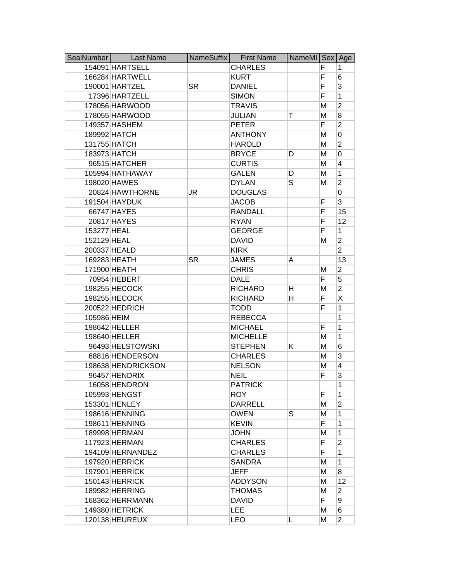| SealNumber  | Last Name          | NameSuffix | <b>First Name</b> | NameMI Sex Age |    |                |
|-------------|--------------------|------------|-------------------|----------------|----|----------------|
|             | 154091 HARTSELL    |            | <b>CHARLES</b>    |                | F  | 1              |
|             | 166284 HARTWELL    |            | <b>KURT</b>       |                | F  | 6              |
|             | 190001 HARTZEL     | <b>SR</b>  | <b>DANIEL</b>     |                | F  | 3              |
|             | 17396 HARTZELL     |            | <b>SIMON</b>      |                | F  | 1              |
|             | 178056 HARWOOD     |            | <b>TRAVIS</b>     |                | M  | $\overline{2}$ |
|             | 178055 HARWOOD     |            | <b>JULIAN</b>     | Τ              | M  | 8              |
|             | 149357 HASHEM      |            | <b>PETER</b>      |                | F  | $\overline{2}$ |
|             | 189992 HATCH       |            | <b>ANTHONY</b>    |                | M  | 0              |
|             | 131755 HATCH       |            | <b>HAROLD</b>     |                | M  | $\overline{2}$ |
|             | 183973 HATCH       |            | <b>BRYCE</b>      | D              | M  | 0              |
|             | 96515 HATCHER      |            | <b>CURTIS</b>     |                | M  | 4              |
|             | 105994 HATHAWAY    |            | <b>GALEN</b>      | D              | M  | $\mathbf{1}$   |
|             | 198020 HAWES       |            | <b>DYLAN</b>      | S              | М  | $\overline{2}$ |
|             | 20824 HAWTHORNE    | JR         | <b>DOUGLAS</b>    |                |    | 0              |
|             | 191504 HAYDUK      |            | <b>JACOB</b>      |                | F  | 3              |
|             | 66747 HAYES        |            | <b>RANDALL</b>    |                | F  | 15             |
|             | 20817 HAYES        |            | <b>RYAN</b>       |                | F  | 12             |
| 153277 HEAL |                    |            | <b>GEORGE</b>     |                | F  | 1              |
| 152129 HEAL |                    |            | <b>DAVID</b>      |                | M  | $\overline{2}$ |
|             | 200337 HEALD       |            | <b>KIRK</b>       |                |    | $\overline{2}$ |
|             | 169283 HEATH       | <b>SR</b>  | <b>JAMES</b>      | A              |    | 13             |
|             | 171900 HEATH       |            | <b>CHRIS</b>      |                | М  | 2              |
|             | 70954 HEBERT       |            | <b>DALE</b>       |                | F  | 5              |
|             | 198255 HECOCK      |            | <b>RICHARD</b>    | н              | М  | $\overline{2}$ |
|             | 198255 HECOCK      |            | <b>RICHARD</b>    | н              | F  | X              |
|             | 200522 HEDRICH     |            | <b>TODD</b>       |                | F  | 1              |
| 105986 HEIM |                    |            | <b>REBECCA</b>    |                |    | 1              |
|             | 198642 HELLER      |            | <b>MICHAEL</b>    |                | F  | 1              |
|             | 198640 HELLER      |            | <b>MICHELLE</b>   |                | М  | 1              |
|             | 96493 HELSTOWSKI   |            | <b>STEPHEN</b>    | Κ              | M  | 6              |
|             | 68816 HENDERSON    |            | <b>CHARLES</b>    |                | M  | 3              |
|             | 198638 HENDRICKSON |            | <b>NELSON</b>     |                | M  | 4              |
|             | 96457 HENDRIX      |            | <b>NEIL</b>       |                | F  | 3              |
|             | 16058 HENDRON      |            | <b>PATRICK</b>    |                |    | 1              |
|             | 105993 HENGST      |            | <b>ROY</b>        |                | F  | $\mathbf{1}$   |
|             | 153301 HENLEY      |            | <b>DARRELL</b>    |                | М  | $\overline{2}$ |
|             | 198616 HENNING     |            | <b>OWEN</b>       | S              | M  | 1              |
|             | 198611 HENNING     |            | <b>KEVIN</b>      |                | F  | 1              |
|             | 189998 HERMAN      |            | <b>JOHN</b>       |                | М  | 1              |
|             | 117923 HERMAN      |            | <b>CHARLES</b>    |                | F. | $\overline{2}$ |
|             | 194109 HERNANDEZ   |            | <b>CHARLES</b>    |                | F. | 1              |
|             | 197920 HERRICK     |            | <b>SANDRA</b>     |                | M  | 1              |
|             | 197901 HERRICK     |            | <b>JEFF</b>       |                | М  | 8              |
|             | 150143 HERRICK     |            | <b>ADDYSON</b>    |                | M  | 12             |
|             | 189982 HERRING     |            | <b>THOMAS</b>     |                | M  | $\overline{2}$ |
|             | 168362 HERRMANN    |            | <b>DAVID</b>      |                | F. | 9              |
|             | 149380 HETRICK     |            | <b>LEE</b>        |                | M  | 6              |
|             | 120138 HEUREUX     |            | <b>LEO</b>        |                | M  | $\overline{2}$ |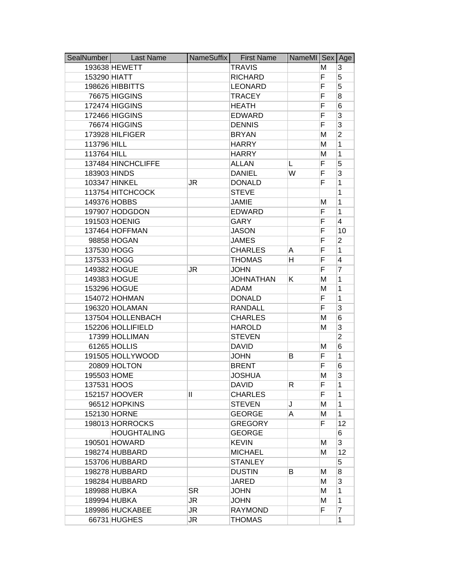| SealNumber   | <b>Last Name</b>   | NameSuffix   | <b>First Name</b> | NameMI Sex |    | Age            |
|--------------|--------------------|--------------|-------------------|------------|----|----------------|
|              | 193638 HEWETT      |              | <b>TRAVIS</b>     |            | м  | 3              |
| 153290 HIATT |                    |              | <b>RICHARD</b>    |            | F. | 5              |
|              | 198626 HIBBITTS    |              | <b>LEONARD</b>    |            | F  | 5              |
|              | 76675 HIGGINS      |              | <b>TRACEY</b>     |            | F  | 8              |
|              | 172474 HIGGINS     |              | <b>HEATH</b>      |            | F  | 6              |
|              | 172466 HIGGINS     |              | <b>EDWARD</b>     |            | F  | 3              |
|              | 76674 HIGGINS      |              | <b>DENNIS</b>     |            | F  | 3              |
|              | 173928 HILFIGER    |              | <b>BRYAN</b>      |            | M  | $\overline{2}$ |
| 113796 HILL  |                    |              | <b>HARRY</b>      |            | M  | 1              |
| 113764 HILL  |                    |              | <b>HARRY</b>      |            | M  | 1              |
|              | 137484 HINCHCLIFFE |              | <b>ALLAN</b>      | L          | F  | 5              |
| 183903 HINDS |                    |              | <b>DANIEL</b>     | W          | F  | 3              |
|              | 103347 HINKEL      | JR           | <b>DONALD</b>     |            | F  | 1              |
|              | 113754 HITCHCOCK   |              | <b>STEVE</b>      |            |    | 1              |
|              | 149376 HOBBS       |              | <b>JAMIE</b>      |            | M  | 1              |
|              | 197907 HODGDON     |              | <b>EDWARD</b>     |            | F  | 1              |
|              | 191503 HOENIG      |              | <b>GARY</b>       |            | F  | 4              |
|              | 137464 HOFFMAN     |              | <b>JASON</b>      |            | F  | 10             |
|              | 98858 HOGAN        |              | <b>JAMES</b>      |            | F  | $\overline{2}$ |
| 137530 HOGG  |                    |              | <b>CHARLES</b>    | A          | F  | 1              |
| 137533 HOGG  |                    |              | <b>THOMAS</b>     | н          | F  | 4              |
|              | 149382 HOGUE       | JR           | <b>JOHN</b>       |            | F  | 7              |
|              | 149383 HOGUE       |              | <b>JOHNATHAN</b>  | Κ          | M  | 1              |
|              | 153296 HOGUE       |              | <b>ADAM</b>       |            | M  | 1              |
|              | 154072 HOHMAN      |              | <b>DONALD</b>     |            | F  | 1              |
|              | 196320 HOLAMAN     |              | <b>RANDALL</b>    |            | F  | 3              |
|              | 137504 HOLLENBACH  |              | <b>CHARLES</b>    |            | М  | 6              |
|              | 152206 HOLLIFIELD  |              | <b>HAROLD</b>     |            | M  | 3              |
|              | 17399 HOLLIMAN     |              | <b>STEVEN</b>     |            |    | $\overline{2}$ |
|              | 61265 HOLLIS       |              | <b>DAVID</b>      |            | M  | 6              |
|              | 191505 HOLLYWOOD   |              | <b>JOHN</b>       | в          | F  | 1              |
|              | 20809 HOLTON       |              | <b>BRENT</b>      |            | F  | 6              |
| 195503 HOME  |                    |              | <b>JOSHUA</b>     |            | M  | 3              |
| 137531 HOOS  |                    |              | <b>DAVID</b>      | R.         | F  | 1              |
|              | 152157 HOOVER      | $\mathbf{I}$ | <b>CHARLES</b>    |            | F  | 1              |
|              | 96512 HOPKINS      |              | <b>STEVEN</b>     | J          | M  | $\mathbf{1}$   |
|              | 152130 HORNE       |              | <b>GEORGE</b>     | A          | M  | $\mathbf{1}$   |
|              | 198013 HORROCKS    |              | <b>GREGORY</b>    |            | F  | 12             |
|              | <b>HOUGHTALING</b> |              | <b>GEORGE</b>     |            |    | 6              |
|              | 190501 HOWARD      |              | <b>KEVIN</b>      |            | M  | 3              |
|              | 198274 HUBBARD     |              | <b>MICHAEL</b>    |            | М  | 12             |
|              | 153706 HUBBARD     |              | <b>STANLEY</b>    |            |    | 5              |
|              | 198278 HUBBARD     |              | <b>DUSTIN</b>     | B          | м  | 8              |
|              | 198284 HUBBARD     |              | <b>JARED</b>      |            | M  | 3              |
|              | 189988 HUBKA       | <b>SR</b>    | <b>JOHN</b>       |            | М  | 1              |
|              | 189994 HUBKA       | JR           | <b>JOHN</b>       |            | M  | 1              |
|              | 189986 HUCKABEE    | JR           | <b>RAYMOND</b>    |            | F  | 7              |
|              | 66731 HUGHES       | JR           | <b>THOMAS</b>     |            |    | 1              |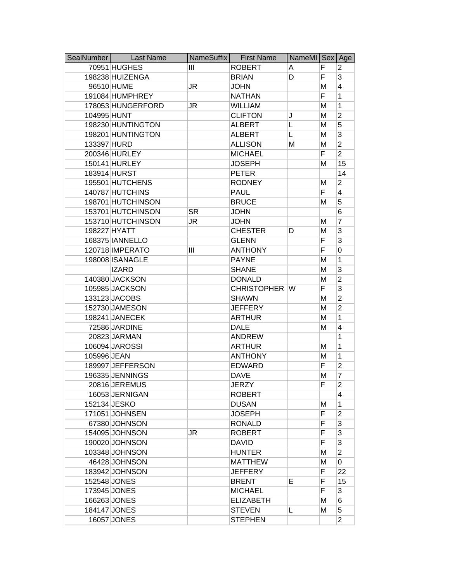| SealNumber  | <b>Last Name</b>  | NameSuffix | <b>First Name</b> | NameMI Sex Age |   |                |
|-------------|-------------------|------------|-------------------|----------------|---|----------------|
|             | 70951 HUGHES      | Ш          | <b>ROBERT</b>     | Α              | F | 2              |
|             | 198238 HUIZENGA   |            | <b>BRIAN</b>      | D              | F | 3              |
|             | 96510 HUME        | JR         | <b>JOHN</b>       |                | M | 4              |
|             | 191084 HUMPHREY   |            | <b>NATHAN</b>     |                | F | 1              |
|             | 178053 HUNGERFORD | JR         | <b>WILLIAM</b>    |                | M | 1              |
| 104995 HUNT |                   |            | <b>CLIFTON</b>    | J              | M | $\overline{2}$ |
|             | 198230 HUNTINGTON |            | <b>ALBERT</b>     | L              | M | 5              |
|             | 198201 HUNTINGTON |            | <b>ALBERT</b>     | L              | M | 3              |
| 133397 HURD |                   |            | <b>ALLISON</b>    | Μ              | M | $\overline{2}$ |
|             | 200346 HURLEY     |            | <b>MICHAEL</b>    |                | F | $\overline{2}$ |
|             | 150141 HURLEY     |            | <b>JOSEPH</b>     |                | M | 15             |
|             | 183914 HURST      |            | <b>PETER</b>      |                |   | 14             |
|             | 195501 HUTCHENS   |            | <b>RODNEY</b>     |                | М | $\overline{2}$ |
|             | 140787 HUTCHINS   |            | <b>PAUL</b>       |                | F | 4              |
|             | 198701 HUTCHINSON |            | <b>BRUCE</b>      |                | M | 5              |
|             | 153701 HUTCHINSON | <b>SR</b>  | <b>JOHN</b>       |                |   | 6              |
|             | 153710 HUTCHINSON | JR         | <b>JOHN</b>       |                | M | 7              |
|             | 198227 HYATT      |            | <b>CHESTER</b>    | D              | M | 3              |
|             | 168375 IANNELLO   |            | <b>GLENN</b>      |                | F | 3              |
|             | 120718 IMPERATO   | Ш          | <b>ANTHONY</b>    |                | F | 0              |
|             | 198008 ISANAGLE   |            | <b>PAYNE</b>      |                | M | 1              |
|             | <b>IZARD</b>      |            | <b>SHANE</b>      |                | M | 3              |
|             | 140380 JACKSON    |            | <b>DONALD</b>     |                | M | $\overline{2}$ |
|             | 105985 JACKSON    |            | CHRISTOPHER W     |                | F | 3              |
|             | 133123 JACOBS     |            | <b>SHAWN</b>      |                | M | $\overline{2}$ |
|             | 152730 JAMESON    |            | <b>JEFFERY</b>    |                | M | $\overline{2}$ |
|             | 198241 JANECEK    |            | <b>ARTHUR</b>     |                | M | 1              |
|             | 72586 JARDINE     |            | <b>DALE</b>       |                | M | 4              |
|             | 20823 JARMAN      |            | <b>ANDREW</b>     |                |   | 1              |
|             | 106094 JAROSSI    |            | <b>ARTHUR</b>     |                | M | 1              |
| 105996 JEAN |                   |            | <b>ANTHONY</b>    |                | M | 1              |
|             | 189997 JEFFERSON  |            | <b>EDWARD</b>     |                | F | $\overline{2}$ |
|             | 196335 JENNINGS   |            | <b>DAVE</b>       |                | M | 7              |
|             | 20816 JEREMUS     |            | JERZY             |                | F | 2              |
|             | 16053 JERNIGAN    |            | <b>ROBERT</b>     |                |   | 4              |
|             | 152134 JESKO      |            | <b>DUSAN</b>      |                | M | 1              |
|             | 171051 JOHNSEN    |            | <b>JOSEPH</b>     |                | F | $\overline{2}$ |
|             | 67380 JOHNSON     |            | <b>RONALD</b>     |                | F | 3              |
|             | 154095 JOHNSON    | JR         | <b>ROBERT</b>     |                | F | 3              |
|             | 190020 JOHNSON    |            | <b>DAVID</b>      |                | F | 3              |
|             | 103348 JOHNSON    |            | <b>HUNTER</b>     |                | M | $\overline{2}$ |
|             | 46428 JOHNSON     |            | <b>MATTHEW</b>    |                | M | 0              |
|             | 183942 JOHNSON    |            | <b>JEFFERY</b>    |                | F | 22             |
|             | 152548 JONES      |            | <b>BRENT</b>      | Е              | F | 15             |
|             | 173945 JONES      |            | <b>MICHAEL</b>    |                | F | 3              |
|             | 166263 JONES      |            | <b>ELIZABETH</b>  |                | M | 6              |
|             | 184147 JONES      |            | <b>STEVEN</b>     | L              | M | 5              |
|             | 16057 JONES       |            | <b>STEPHEN</b>    |                |   | $\overline{2}$ |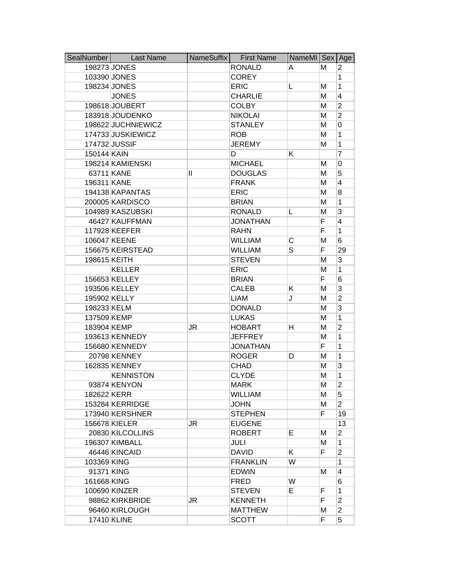| SealNumber   | <b>Last Name</b>   | NameSuffix | <b>First Name</b> | NameMI Sex Age |    |                |
|--------------|--------------------|------------|-------------------|----------------|----|----------------|
|              | 198273 JONES       |            | <b>RONALD</b>     | A              | м  | 2              |
|              | 103390 JONES       |            | <b>COREY</b>      |                |    | 1              |
|              | 198234 JONES       |            | <b>ERIC</b>       | L              | M  | 1              |
|              | <b>JONES</b>       |            | <b>CHARLIE</b>    |                | M  | 4              |
|              | 198618 JOUBERT     |            | <b>COLBY</b>      |                | M  | $\overline{2}$ |
|              | 183918 JOUDENKO    |            | <b>NIKOLAI</b>    |                | Μ  | $\overline{2}$ |
|              | 198622 JUCHNIEWICZ |            | <b>STANLEY</b>    |                | M  | 0              |
|              | 174733 JUSKIEWICZ  |            | <b>ROB</b>        |                | M  | 1              |
|              | 174732 JUSSIF      |            | <b>JEREMY</b>     |                | M  | 1              |
| 150144 KAIN  |                    |            | D                 | Κ              |    | $\overline{7}$ |
|              | 198214 KAMIENSKI   |            | <b>MICHAEL</b>    |                | M  | 0              |
|              | 63711 KANE         | Ш          | <b>DOUGLAS</b>    |                | M  | 5              |
| 196311 KANE  |                    |            | <b>FRANK</b>      |                | M  | 4              |
|              | 194138 KAPANTAS    |            | <b>ERIC</b>       |                | M  | 8              |
|              | 200005 KARDISCO    |            | <b>BRIAN</b>      |                | M  | 1              |
|              | 104989 KASZUBSKI   |            | <b>RONALD</b>     | L              | M  | 3              |
|              | 46427 KAUFFMAN     |            | <b>JONATHAN</b>   |                | F  | 4              |
|              | 117928 KEEFER      |            | <b>RAHN</b>       |                | F  | 1              |
|              | 106047 KEENE       |            | <b>WILLIAM</b>    | С              | M  | 6              |
|              | 156675 KEIRSTEAD   |            | <b>WILLIAM</b>    | S              | F  | 29             |
| 198615 KEITH |                    |            | <b>STEVEN</b>     |                | M  | 3              |
|              | <b>KELLER</b>      |            | <b>ERIC</b>       |                | M  | 1              |
|              | 156653 KELLEY      |            | <b>BRIAN</b>      |                | F  | 6              |
|              | 193506 KELLEY      |            | <b>CALEB</b>      | K.             | M  | 3              |
| 195902 KELLY |                    |            | <b>LIAM</b>       | J              | M  | $\overline{2}$ |
| 198233 KELM  |                    |            | <b>DONALD</b>     |                | M  | 3              |
| 137509 KEMP  |                    |            | <b>LUKAS</b>      |                | M  | 1              |
| 183904 KEMP  |                    | JR         | <b>HOBART</b>     | н              | М  | $\overline{2}$ |
|              | 193613 KENNEDY     |            | <b>JEFFREY</b>    |                | M  | 1              |
|              | 156680 KENNEDY     |            | <b>JONATHAN</b>   |                | F  | 1              |
|              | 20798 KENNEY       |            | <b>ROGER</b>      | D              | M  | 1              |
|              | 162835 KENNEY      |            | <b>CHAD</b>       |                | M  | 3              |
|              | <b>KENNISTON</b>   |            | <b>CLYDE</b>      |                | M  | 1              |
|              | 93874 KENYON       |            | <b>MARK</b>       |                | м  | 2              |
| 182622 KERR  |                    |            | <b>WILLIAM</b>    |                | M  | 5              |
|              | 153284 KERRIDGE    |            | <b>JOHN</b>       |                | M  | $\overline{2}$ |
|              | 173940 KERSHNER    |            | <b>STEPHEN</b>    |                | F. | 19             |
|              | 156678 KIELER      | JR         | <b>EUGENE</b>     |                |    | 13             |
|              | 20830 KILCOLLINS   |            | <b>ROBERT</b>     | E.             | м  | 2              |
|              | 196307 KIMBALL     |            | JULI              |                | Μ  | 1              |
|              | 46446 KINCAID      |            | <b>DAVID</b>      | K.             | F. | $\overline{2}$ |
| 103369 KING  |                    |            | <b>FRANKLIN</b>   | W              |    | 1              |
| 91371 KING   |                    |            | <b>EDWIN</b>      |                | м  | 4              |
| 161668 KING  |                    |            | <b>FRED</b>       | W              |    | 6              |
|              | 100690 KINZER      |            | <b>STEVEN</b>     | E.             | F  | 1              |
|              | 98862 KIRKBRIDE    | JR         | <b>KENNETH</b>    |                | F  | $\overline{2}$ |
|              | 96460 KIRLOUGH     |            | <b>MATTHEW</b>    |                | М  | $\overline{2}$ |
|              | 17410 KLINE        |            | <b>SCOTT</b>      |                | F  | 5              |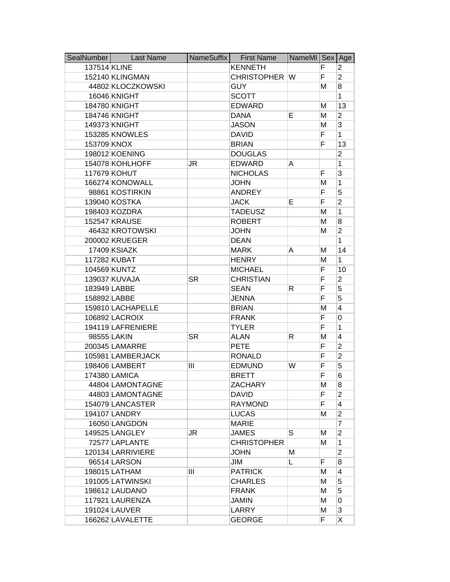| SealNumber   | <b>Last Name</b>  | NameSuffix | <b>First Name</b>    | NameMI Sex Age |    |                |
|--------------|-------------------|------------|----------------------|----------------|----|----------------|
| 137514 KLINE |                   |            | <b>KENNETH</b>       |                | F  | 2              |
|              | 152140 KLINGMAN   |            | <b>CHRISTOPHER W</b> |                | F  | $\overline{2}$ |
|              | 44802 KLOCZKOWSKI |            | <b>GUY</b>           |                | м  | 8              |
|              | 16046 KNIGHT      |            | <b>SCOTT</b>         |                |    | 1              |
|              | 184780 KNIGHT     |            | <b>EDWARD</b>        |                | M  | 13             |
|              | 184746 KNIGHT     |            | <b>DANA</b>          | Е              | M  | $\overline{2}$ |
|              | 149373 KNIGHT     |            | <b>JASON</b>         |                | M  | 3              |
|              | 153285 KNOWLES    |            | <b>DAVID</b>         |                | F  | 1              |
| 153709 KNOX  |                   |            | <b>BRIAN</b>         |                | F  | 13             |
|              | 198012 KOENING    |            | <b>DOUGLAS</b>       |                |    | $\overline{2}$ |
|              | 154078 KOHLHOFF   | JR         | <b>EDWARD</b>        | A              |    | 1              |
|              | 117679 KOHUT      |            | <b>NICHOLAS</b>      |                | F  | 3              |
|              | 166274 KONOWALL   |            | <b>JOHN</b>          |                | M  | 1              |
|              | 98861 KOSTIRKIN   |            | <b>ANDREY</b>        |                | F  | 5              |
|              | 139040 KOSTKA     |            | <b>JACK</b>          | Е              | F  | $\overline{2}$ |
|              | 198403 KOZDRA     |            | <b>TADEUSZ</b>       |                | M  | 1              |
|              | 152547 KRAUSE     |            | <b>ROBERT</b>        |                | M  | 8              |
|              | 46432 KROTOWSKI   |            | <b>JOHN</b>          |                | M  | $\overline{2}$ |
|              | 200002 KRUEGER    |            | <b>DEAN</b>          |                |    | 1              |
|              | 17409 KSIAZK      |            | <b>MARK</b>          | A              | М  | 14             |
|              | 117282 KUBAT      |            | <b>HENRY</b>         |                | M  | 1              |
|              | 104569 KUNTZ      |            | <b>MICHAEL</b>       |                | F  | 10             |
|              | 139037 KUVAJA     | <b>SR</b>  | <b>CHRISTIAN</b>     |                | F  | $\overline{2}$ |
|              | 183949 LABBE      |            | <b>SEAN</b>          | R.             | F  | 5              |
|              | 158892 LABBE      |            | <b>JENNA</b>         |                | F  | 5              |
|              | 159810 LACHAPELLE |            | <b>BRIAN</b>         |                | M  | 4              |
|              | 106892 LACROIX    |            | <b>FRANK</b>         |                | F  | 0              |
|              | 194119 LAFRENIERE |            | <b>TYLER</b>         |                | F  | 1              |
|              | 98555 LAKIN       | <b>SR</b>  | <b>ALAN</b>          | R              | M  | 4              |
|              | 200345 LAMARRE    |            | <b>PETE</b>          |                | F  | $\overline{2}$ |
|              | 105981 LAMBERJACK |            | <b>RONALD</b>        |                | F  | $\overline{2}$ |
|              | 198406 LAMBERT    | Ш          | <b>EDMUND</b>        | W              | F  | 5              |
|              | 174380 LAMICA     |            | <b>BRETT</b>         |                | F  | 6              |
|              | 44804 LAMONTAGNE  |            | <b>ZACHARY</b>       |                | M  | 8              |
|              | 44803 LAMONTAGNE  |            | <b>DAVID</b>         |                | F  | $\overline{2}$ |
|              | 154079 LANCASTER  |            | <b>RAYMOND</b>       |                | F  | 4              |
|              | 194107 LANDRY     |            | <b>LUCAS</b>         |                | M  | $\overline{2}$ |
|              | 16050 LANGDON     |            | MARIE                |                |    | 7              |
|              | 149525 LANGLEY    | JR         | <b>JAMES</b>         | S              | м  | 2              |
|              | 72577 LAPLANTE    |            | <b>CHRISTOPHER</b>   |                | м  | 1              |
|              | 120134 LARRIVIERE |            | <b>JOHN</b>          | Μ              |    | $\overline{2}$ |
|              | 96514 LARSON      |            | JIM                  | L              | F  | 8              |
|              | 198015 LATHAM     | Ш          | <b>PATRICK</b>       |                | м  | 4              |
|              | 191005 LATWINSKI  |            | <b>CHARLES</b>       |                | М  | 5              |
|              | 198612 LAUDANO    |            | <b>FRANK</b>         |                | M  | 5              |
|              | 117921 LAURENZA   |            | <b>JAMIN</b>         |                | M  | 0              |
|              | 191024 LAUVER     |            | LARRY                |                | М  | 3              |
|              | 166262 LAVALETTE  |            | <b>GEORGE</b>        |                | F. | X              |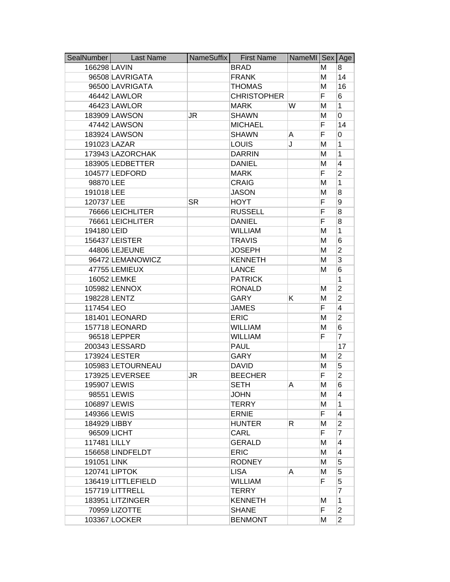| SealNumber   | <b>Last Name</b>   | NameSuffix | <b>First Name</b>  | NameMI   Sex |    | Age            |
|--------------|--------------------|------------|--------------------|--------------|----|----------------|
| 166298 LAVIN |                    |            | <b>BRAD</b>        |              | м  | 8              |
|              | 96508 LAVRIGATA    |            | <b>FRANK</b>       |              | M  | 14             |
|              | 96500 LAVRIGATA    |            | <b>THOMAS</b>      |              | M  | 16             |
|              | 46442 LAWLOR       |            | <b>CHRISTOPHER</b> |              | F  | 6              |
|              | 46423 LAWLOR       |            | <b>MARK</b>        | W            | M  | 1              |
|              | 183909 LAWSON      | JR         | <b>SHAWN</b>       |              | M  | 0              |
|              | 47442 LAWSON       |            | <b>MICHAEL</b>     |              | F  | 14             |
|              | 183924 LAWSON      |            | <b>SHAWN</b>       | A            | F  | 0              |
|              | 191023 LAZAR       |            | <b>LOUIS</b>       | J            | M  | 1              |
|              | 173943 LAZORCHAK   |            | <b>DARRIN</b>      |              | M  | 1              |
|              | 183905 LEDBETTER   |            | <b>DANIEL</b>      |              | M  | 4              |
|              | 104577 LEDFORD     |            | <b>MARK</b>        |              | F  | $\overline{2}$ |
| 98870 LEE    |                    |            | <b>CRAIG</b>       |              | M  | 1              |
| 191018 LEE   |                    |            | <b>JASON</b>       |              | M  | 8              |
| 120737 LEE   |                    | <b>SR</b>  | <b>HOYT</b>        |              | F  | 9              |
|              | 76666 LEICHLITER   |            | <b>RUSSELL</b>     |              | F  | 8              |
|              | 76661 LEICHLITER   |            | <b>DANIEL</b>      |              | F  | 8              |
| 194180 LEID  |                    |            | <b>WILLIAM</b>     |              | M  | 1              |
|              | 156437 LEISTER     |            | <b>TRAVIS</b>      |              | M  | 6              |
|              | 44806 LEJEUNE      |            | <b>JOSEPH</b>      |              | M  | $\overline{2}$ |
|              | 96472 LEMANOWICZ   |            | <b>KENNETH</b>     |              | M  | 3              |
|              | 47755 LEMIEUX      |            | <b>LANCE</b>       |              | M  | 6              |
|              | 16052 LEMKE        |            | <b>PATRICK</b>     |              |    | 1              |
|              | 105982 LENNOX      |            | <b>RONALD</b>      |              | м  | $\overline{2}$ |
| 198228 LENTZ |                    |            | <b>GARY</b>        | Κ            | M  | $\overline{2}$ |
| 117454 LEO   |                    |            | <b>JAMES</b>       |              | F  | 4              |
|              | 181401 LEONARD     |            | <b>ERIC</b>        |              | M  | $\overline{2}$ |
|              | 157718 LEONARD     |            | <b>WILLIAM</b>     |              | M  | 6              |
|              | 96518 LEPPER       |            | <b>WILLIAM</b>     |              | F  | 7              |
|              | 200343 LESSARD     |            | <b>PAUL</b>        |              |    | 17             |
|              | 173924 LESTER      |            | <b>GARY</b>        |              | M  | $\overline{2}$ |
|              | 105983 LETOURNEAU  |            | <b>DAVID</b>       |              | M  | 5              |
|              | 173925 LEVERSEE    | JR         | <b>BEECHER</b>     |              | F  | $\overline{2}$ |
| 195907 LEWIS |                    |            | SETH               | A            | м  | 6              |
|              | 98551 LEWIS        |            | <b>JOHN</b>        |              | м  | 4              |
|              | 106897 LEWIS       |            | <b>TERRY</b>       |              | M  | $\mathbf{1}$   |
| 149366 LEWIS |                    |            | <b>ERNIE</b>       |              | F. | $\overline{4}$ |
| 184929 LIBBY |                    |            | <b>HUNTER</b>      | R.           | М  | $\overline{2}$ |
|              | 96509 LICHT        |            | CARL               |              | F  | 7              |
| 117481 LILLY |                    |            | <b>GERALD</b>      |              | М  | 4              |
|              | 156658 LINDFELDT   |            | <b>ERIC</b>        |              | M  | $\overline{4}$ |
| 191051 LINK  |                    |            | <b>RODNEY</b>      |              | М  | 5              |
|              | 120741 LIPTOK      |            | <b>LISA</b>        | A            | М  | 5              |
|              | 136419 LITTLEFIELD |            | <b>WILLIAM</b>     |              | F  | 5              |
|              | 157719 LITTRELL    |            | <b>TERRY</b>       |              |    | 7              |
|              | 183951 LITZINGER   |            | <b>KENNETH</b>     |              | м  | $\mathbf{1}$   |
|              | 70959 LIZOTTE      |            | <b>SHANE</b>       |              | F  | $\overline{2}$ |
|              | 103367 LOCKER      |            | <b>BENMONT</b>     |              | М  | $\overline{2}$ |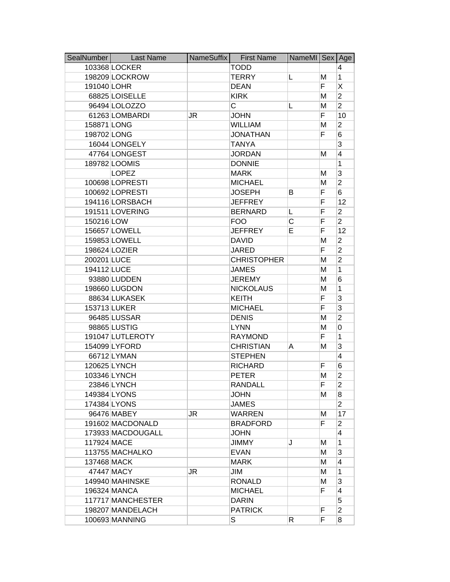| SealNumber  | <b>Last Name</b>  | NameSuffix | <b>First Name</b>       | NameMI Sex Age |    |                |
|-------------|-------------------|------------|-------------------------|----------------|----|----------------|
|             | 103368 LOCKER     |            | TODD                    |                |    | 4              |
|             | 198209 LOCKROW    |            | <b>TERRY</b>            | L              | Μ  | $\mathbf{1}$   |
| 191040 LOHR |                   |            | <b>DEAN</b>             |                | F. | Χ              |
|             | 68825 LOISELLE    |            | <b>KIRK</b>             |                | Μ  | $\overline{2}$ |
|             | 96494 LOLOZZO     |            | $\overline{\mathsf{C}}$ | L              | M  | $\overline{2}$ |
|             | 61263 LOMBARDI    | JR         | <b>JOHN</b>             |                | F  | 10             |
| 158871 LONG |                   |            | <b>WILLIAM</b>          |                | Μ  | $\overline{2}$ |
| 198702 LONG |                   |            | <b>JONATHAN</b>         |                | F  | 6              |
|             | 16044 LONGELY     |            | <b>TANYA</b>            |                |    | 3              |
|             | 47764 LONGEST     |            | <b>JORDAN</b>           |                | M  | 4              |
|             | 189782 LOOMIS     |            | <b>DONNIE</b>           |                |    | 1              |
|             | <b>LOPEZ</b>      |            | <b>MARK</b>             |                | м  | 3              |
|             | 100698 LOPRESTI   |            | <b>MICHAEL</b>          |                | M  | $\overline{2}$ |
|             | 100692 LOPRESTI   |            | <b>JOSEPH</b>           | в              | F  | 6              |
|             | 194116 LORSBACH   |            | <b>JEFFREY</b>          |                | F  | 12             |
|             | 191511 LOVERING   |            | <b>BERNARD</b>          | L              | F  | $\overline{c}$ |
| 150216 LOW  |                   |            | <b>FOO</b>              | С              | F  | $\overline{2}$ |
|             | 156657 LOWELL     |            | <b>JEFFREY</b>          | Е              | F  | 12             |
|             | 159853 LOWELL     |            | <b>DAVID</b>            |                | M  | $\overline{2}$ |
|             | 198624 LOZIER     |            | <b>JARED</b>            |                | F  | $\overline{2}$ |
| 200201 LUCE |                   |            | <b>CHRISTOPHER</b>      |                | Μ  | $\overline{2}$ |
| 194112 LUCE |                   |            | <b>JAMES</b>            |                | M  | 1              |
|             | 93880 LUDDEN      |            | <b>JEREMY</b>           |                | Μ  | 6              |
|             | 198660 LUGDON     |            | <b>NICKOLAUS</b>        |                | M  | 1              |
|             | 88634 LUKASEK     |            | <b>KEITH</b>            |                | F  | 3              |
|             | 153713 LUKER      |            | <b>MICHAEL</b>          |                | F  | 3              |
|             | 96485 LUSSAR      |            | <b>DENIS</b>            |                | Μ  | $\overline{2}$ |
|             | 98865 LUSTIG      |            | <b>LYNN</b>             |                | Μ  | 0              |
|             | 191047 LUTLEROTY  |            | <b>RAYMOND</b>          |                | F  | 1              |
|             | 154099 LYFORD     |            | <b>CHRISTIAN</b>        | A              | M  | 3              |
|             | 66712 LYMAN       |            | <b>STEPHEN</b>          |                |    | 4              |
|             | 120625 LYNCH      |            | <b>RICHARD</b>          |                | F  | 6              |
|             | 103346 LYNCH      |            | <b>PETER</b>            |                | M  | $\overline{2}$ |
|             | 23846 LYNCH       |            | <b>RANDALL</b>          |                | ۲. | 2              |
|             | 149384 LYONS      |            | <b>JOHN</b>             |                | м  | 8              |
|             | 174384 LYONS      |            | <b>JAMES</b>            |                |    | $\overline{2}$ |
|             | 96476 MABEY       | JR         | WARREN                  |                | М  | 17             |
|             | 191602 MACDONALD  |            | <b>BRADFORD</b>         |                | F  | $\overline{2}$ |
|             | 173933 MACDOUGALL |            | <b>JOHN</b>             |                |    | $\overline{4}$ |
| 117924 MACE |                   |            | <b>JIMMY</b>            | J              | м  | 1              |
|             | 113755 MACHALKO   |            | <b>EVAN</b>             |                | М  | 3              |
| 137468 MACK |                   |            | <b>MARK</b>             |                | М  | 4              |
|             | 47447 MACY        | JR         | JIM                     |                | М  | 1              |
|             | 149940 MAHINSKE   |            | <b>RONALD</b>           |                | Μ  | 3              |
|             | 196324 MANCA      |            | <b>MICHAEL</b>          |                | F. | 4              |
|             | 117717 MANCHESTER |            | <b>DARIN</b>            |                |    | 5              |
|             | 198207 MANDELACH  |            | <b>PATRICK</b>          |                | F  | $\overline{2}$ |
|             | 100693 MANNING    |            | S                       | R              | F  | 8              |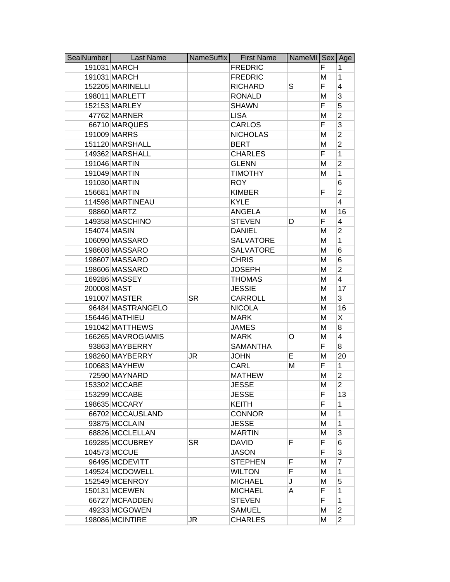| SealNumber  | <b>Last Name</b>   | NameSuffix | <b>First Name</b> | NameMI Sex |    | Age            |
|-------------|--------------------|------------|-------------------|------------|----|----------------|
|             | 191031 MARCH       |            | <b>FREDRIC</b>    |            | F  | 1              |
|             | 191031 MARCH       |            | <b>FREDRIC</b>    |            | M  | 1              |
|             | 152205 MARINELLI   |            | <b>RICHARD</b>    | S          | F  | 4              |
|             | 198011 MARLETT     |            | <b>RONALD</b>     |            | M  | 3              |
|             | 152153 MARLEY      |            | <b>SHAWN</b>      |            | F  | 5              |
|             | 47762 MARNER       |            | <b>LISA</b>       |            | M  | $\overline{2}$ |
|             | 66710 MARQUES      |            | CARLOS            |            | F  | 3              |
|             | 191009 MARRS       |            | <b>NICHOLAS</b>   |            | M  | $\overline{2}$ |
|             | 151120 MARSHALL    |            | <b>BERT</b>       |            | M  | $\overline{2}$ |
|             | 149362 MARSHALL    |            | <b>CHARLES</b>    |            | F  | 1              |
|             | 191046 MARTIN      |            | <b>GLENN</b>      |            | M  | $\overline{2}$ |
|             | 191049 MARTIN      |            | <b>TIMOTHY</b>    |            | M  | 1              |
|             | 191030 MARTIN      |            | <b>ROY</b>        |            |    | 6              |
|             | 156681 MARTIN      |            | <b>KIMBER</b>     |            | F  | $\overline{2}$ |
|             | 114598 MARTINEAU   |            | <b>KYLE</b>       |            |    | 4              |
|             | 98860 MARTZ        |            | <b>ANGELA</b>     |            | M  | 16             |
|             | 149358 MASCHINO    |            | <b>STEVEN</b>     | D          | F  | 4              |
|             | 154074 MASIN       |            | <b>DANIEL</b>     |            | M  | $\overline{2}$ |
|             | 106090 MASSARO     |            | <b>SALVATORE</b>  |            | M  | 1              |
|             | 198608 MASSARO     |            | <b>SALVATORE</b>  |            | M  | 6              |
|             | 198607 MASSARO     |            | <b>CHRIS</b>      |            | M  | 6              |
|             | 198606 MASSARO     |            | <b>JOSEPH</b>     |            | Μ  | 2              |
|             | 169286 MASSEY      |            | <b>THOMAS</b>     |            | M  | 4              |
| 200008 MAST |                    |            | <b>JESSIE</b>     |            | М  | 17             |
|             | 191007 MASTER      | <b>SR</b>  | <b>CARROLL</b>    |            | M  | 3              |
|             | 96484 MASTRANGELO  |            | <b>NICOLA</b>     |            | M  | 16             |
|             | 156446 MATHIEU     |            | <b>MARK</b>       |            | M  | Χ              |
|             | 191042 MATTHEWS    |            | <b>JAMES</b>      |            | M  | 8              |
|             | 166265 MAVROGIAMIS |            | <b>MARK</b>       | O          | M  | 4              |
|             | 93863 MAYBERRY     |            | <b>SAMANTHA</b>   |            | F  | 8              |
|             | 198260 MAYBERRY    | JR         | <b>JOHN</b>       | Е          | M  | 20             |
|             | 100683 MAYHEW      |            | CARL              | M          | F  | 1              |
|             | 72590 MAYNARD      |            | <b>MATHEW</b>     |            | M  | $\overline{2}$ |
|             | 153302 MCCABE      |            | <b>JESSE</b>      |            | M  | $\overline{2}$ |
|             | 153299 MCCABE      |            | <b>JESSE</b>      |            | F  | 13             |
|             | 198635 MCCARY      |            | <b>KEITH</b>      |            | F  | 1              |
|             | 66702 MCCAUSLAND   |            | <b>CONNOR</b>     |            | M  | 1              |
|             | 93875 MCCLAIN      |            | <b>JESSE</b>      |            | M  | 1              |
|             | 68826 MCCLELLAN    |            | <b>MARTIN</b>     |            | М  | 3              |
|             | 169285 MCCUBREY    | <b>SR</b>  | <b>DAVID</b>      | F          | F. | 6              |
|             | 104573 MCCUE       |            | <b>JASON</b>      |            | F  | 3              |
|             | 96495 MCDEVITT     |            | <b>STEPHEN</b>    | F          | M  | 7              |
|             | 149524 MCDOWELL    |            | <b>WILTON</b>     | F          | M  | 1              |
|             | 152549 MCENROY     |            | <b>MICHAEL</b>    | J          | М  | 5              |
|             | 150131 MCEWEN      |            | <b>MICHAEL</b>    | A          | F. | 1              |
|             | 66727 MCFADDEN     |            | <b>STEVEN</b>     |            | F  | 1              |
|             | 49233 MCGOWEN      |            | <b>SAMUEL</b>     |            | M  | $\overline{2}$ |
|             | 198086 MCINTIRE    | JR         | <b>CHARLES</b>    |            | M  | $\overline{2}$ |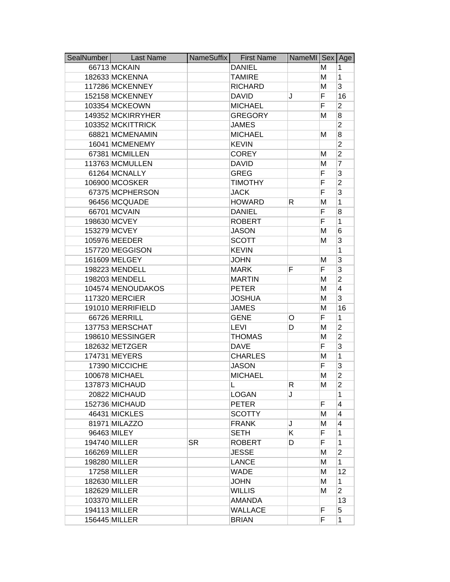| SealNumber | <b>Last Name</b>  | NameSuffix | <b>First Name</b> | NameMI Sex |    | Age            |
|------------|-------------------|------------|-------------------|------------|----|----------------|
|            | 66713 MCKAIN      |            | <b>DANIEL</b>     |            | М  | 1              |
|            | 182633 MCKENNA    |            | <b>TAMIRE</b>     |            | M  | 1              |
|            | 117286 MCKENNEY   |            | <b>RICHARD</b>    |            | M  | 3              |
|            | 152158 MCKENNEY   |            | <b>DAVID</b>      | J          | F  | 16             |
|            | 103354 MCKEOWN    |            | <b>MICHAEL</b>    |            | F  | $\overline{2}$ |
|            | 149352 MCKIRRYHER |            | <b>GREGORY</b>    |            | M  | 8              |
|            | 103352 MCKITTRICK |            | <b>JAMES</b>      |            |    | $\overline{2}$ |
|            | 68821 MCMENAMIN   |            | <b>MICHAEL</b>    |            | M  | 8              |
|            | 16041 MCMENEMY    |            | <b>KEVIN</b>      |            |    | $\overline{2}$ |
|            | 67381 MCMILLEN    |            | <b>COREY</b>      |            | М  | $\overline{2}$ |
|            | 113763 MCMULLEN   |            | <b>DAVID</b>      |            | Μ  | 7              |
|            | 61264 MCNALLY     |            | <b>GREG</b>       |            | F  | 3              |
|            | 106900 MCOSKER    |            | <b>TIMOTHY</b>    |            | F  | $\overline{2}$ |
|            | 67375 MCPHERSON   |            | <b>JACK</b>       |            | F  | 3              |
|            | 96456 MCQUADE     |            | <b>HOWARD</b>     | R          | M  | 1              |
|            | 66701 MCVAIN      |            | <b>DANIEL</b>     |            | F  | 8              |
|            | 198630 MCVEY      |            | <b>ROBERT</b>     |            | F  | 1              |
|            | 153279 MCVEY      |            | <b>JASON</b>      |            | M  | 6              |
|            | 105976 MEEDER     |            | <b>SCOTT</b>      |            | M  | 3              |
|            | 157720 MEGGISON   |            | <b>KEVIN</b>      |            |    | 1              |
|            | 161609 MELGEY     |            | <b>JOHN</b>       |            | M  | 3              |
|            | 198223 MENDELL    |            | <b>MARK</b>       | F          | F  | 3              |
|            | 198203 MENDELL    |            | <b>MARTIN</b>     |            | M  | $\overline{2}$ |
|            | 104574 MENOUDAKOS |            | <b>PETER</b>      |            | M  | 4              |
|            | 117320 MERCIER    |            | <b>JOSHUA</b>     |            | M  | 3              |
|            | 191010 MERRIFIELD |            | <b>JAMES</b>      |            | M  | 16             |
|            | 66726 MERRILL     |            | <b>GENE</b>       | O          | F  | 1              |
|            | 137753 MERSCHAT   |            | <b>LEVI</b>       | D          | M  | $\overline{2}$ |
|            | 198610 MESSINGER  |            | <b>THOMAS</b>     |            | M  | $\overline{2}$ |
|            | 182632 METZGER    |            | <b>DAVE</b>       |            | F  | 3              |
|            | 174731 MEYERS     |            | <b>CHARLES</b>    |            | M  | 1              |
|            | 17390 MICCICHE    |            | <b>JASON</b>      |            | F  | 3              |
|            | 100678 MICHAEL    |            | <b>MICHAEL</b>    |            | Μ  | $\overline{2}$ |
|            | 137873 MICHAUD    |            | L.                | R.         | M  | 2              |
|            | 20822 MICHAUD     |            | <b>LOGAN</b>      | J          |    | 1              |
|            | 152736 MICHAUD    |            | <b>PETER</b>      |            | F  | 4              |
|            | 46431 MICKLES     |            | <b>SCOTTY</b>     |            | M  | 4              |
|            | 81971 MILAZZO     |            | <b>FRANK</b>      | J          | M  | 4              |
|            | 96463 MILEY       |            | <b>SETH</b>       | K.         | F  | 1              |
|            | 194740 MILLER     | <b>SR</b>  | <b>ROBERT</b>     | D          | F. | 1              |
|            | 166269 MILLER     |            | <b>JESSE</b>      |            | M  | $\overline{2}$ |
|            | 198280 MILLER     |            | LANCE             |            | M  | 1              |
|            | 17258 MILLER      |            | <b>WADE</b>       |            | M  | 12             |
|            | 182630 MILLER     |            | <b>JOHN</b>       |            | M  | 1              |
|            | 182629 MILLER     |            | <b>WILLIS</b>     |            | M  | $\overline{2}$ |
|            | 103370 MILLER     |            | <b>AMANDA</b>     |            |    | 13             |
|            | 194113 MILLER     |            | <b>WALLACE</b>    |            | F  | 5              |
|            | 156445 MILLER     |            | <b>BRIAN</b>      |            | F  | 1              |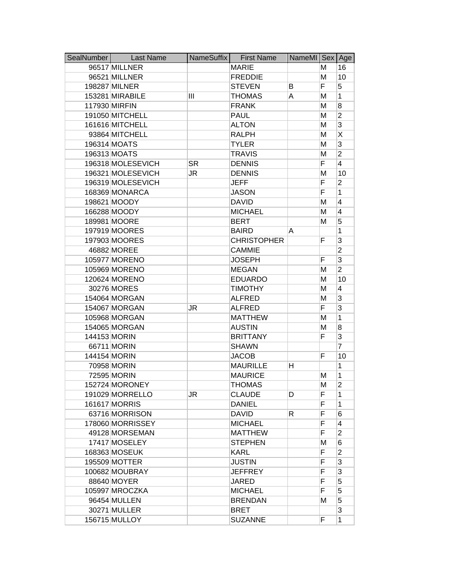| SealNumber | <b>Last Name</b>     | NameSuffix | <b>First Name</b>  | NameMI Sex |   | Age            |
|------------|----------------------|------------|--------------------|------------|---|----------------|
|            | 96517 MILLNER        |            | <b>MARIE</b>       |            | Μ | 16             |
|            | 96521 MILLNER        |            | <b>FREDDIE</b>     |            | M | 10             |
|            | 198287 MILNER        |            | <b>STEVEN</b>      | В          | F | 5              |
|            | 153281 MIRABILE      | Ш          | <b>THOMAS</b>      | A          | Μ | 1              |
|            | 117930 MIRFIN        |            | <b>FRANK</b>       |            | M | 8              |
|            | 191050 MITCHELL      |            | <b>PAUL</b>        |            | Μ | $\overline{2}$ |
|            | 161616 MITCHELL      |            | <b>ALTON</b>       |            | Μ | 3              |
|            | 93864 MITCHELL       |            | <b>RALPH</b>       |            | M | Χ              |
|            | 196314 MOATS         |            | <b>TYLER</b>       |            | Μ | 3              |
|            | 196313 MOATS         |            | <b>TRAVIS</b>      |            | M | $\overline{2}$ |
|            | 196318 MOLESEVICH    | <b>SR</b>  | <b>DENNIS</b>      |            | F | $\overline{4}$ |
|            | 196321 MOLESEVICH    | JR         | <b>DENNIS</b>      |            | M | 10             |
|            | 196319 MOLESEVICH    |            | <b>JEFF</b>        |            | F | 2              |
|            | 168369 MONARCA       |            | <b>JASON</b>       |            | F | 1              |
|            | 198621 MOODY         |            | <b>DAVID</b>       |            | M | 4              |
|            | 166288 MOODY         |            | <b>MICHAEL</b>     |            | M | 4              |
|            | 189981 MOORE         |            | <b>BERT</b>        |            | Μ | 5              |
|            | 197919 MOORES        |            | <b>BAIRD</b>       | A          |   | 1              |
|            | 197903 MOORES        |            | <b>CHRISTOPHER</b> |            | F | 3              |
|            | 46882 MOREE          |            | <b>CAMMIE</b>      |            |   | 2              |
|            | 105977 MORENO        |            | <b>JOSEPH</b>      |            | F | $\overline{3}$ |
|            | 105969 MORENO        |            | <b>MEGAN</b>       |            | M | $\overline{2}$ |
|            | 120624 MORENO        |            | <b>EDUARDO</b>     |            | Μ | 10             |
|            | 30276 MORES          |            | <b>TIMOTHY</b>     |            | Μ | 4              |
|            | 154064 MORGAN        |            | <b>ALFRED</b>      |            | M | 3              |
|            | 154067 MORGAN        | JR         | <b>ALFRED</b>      |            | F | 3              |
|            | 105968 MORGAN        |            | <b>MATTHEW</b>     |            | M | 1              |
|            | 154065 MORGAN        |            | <b>AUSTIN</b>      |            | Μ | 8              |
|            | 144153 MORIN         |            | <b>BRITTANY</b>    |            | F | 3              |
|            | 66711 MORIN          |            | <b>SHAWN</b>       |            |   | 7              |
|            | 144154 MORIN         |            | <b>JACOB</b>       |            | F | 10             |
|            | 70958 MORIN          |            | <b>MAURILLE</b>    | н          |   | 1              |
|            | 72595 MORIN          |            | <b>MAURICE</b>     |            | М | 1              |
|            | 152724 MORONEY       |            | THOMAS             |            | М | 2              |
|            | 191029 MORRELLO      | JR         | <b>CLAUDE</b>      | D          | F | 1              |
|            | <b>161617 MORRIS</b> |            | <b>DANIEL</b>      |            | F | $\mathbf{1}$   |
|            | 63716 MORRISON       |            | <b>DAVID</b>       | R.         | F | 6              |
|            | 178060 MORRISSEY     |            | <b>MICHAEL</b>     |            | F | 4              |
|            | 49128 MORSEMAN       |            | <b>MATTHEW</b>     |            | F | $\overline{2}$ |
|            | 17417 MOSELEY        |            | <b>STEPHEN</b>     |            | М | 6              |
|            | 168363 MOSEUK        |            | <b>KARL</b>        |            | F | $\overline{2}$ |
|            | 195509 MOTTER        |            | <b>JUSTIN</b>      |            | F | 3              |
|            | 100682 MOUBRAY       |            | <b>JEFFREY</b>     |            | F | 3              |
|            | 88640 MOYER          |            | JARED              |            | F | 5              |
|            | 105997 MROCZKA       |            | <b>MICHAEL</b>     |            | F | 5              |
|            | 96454 MULLEN         |            | <b>BRENDAN</b>     |            | М | 5              |
|            | 30271 MULLER         |            | <b>BRET</b>        |            |   | 3              |
|            | 156715 MULLOY        |            | <b>SUZANNE</b>     |            | F | 1              |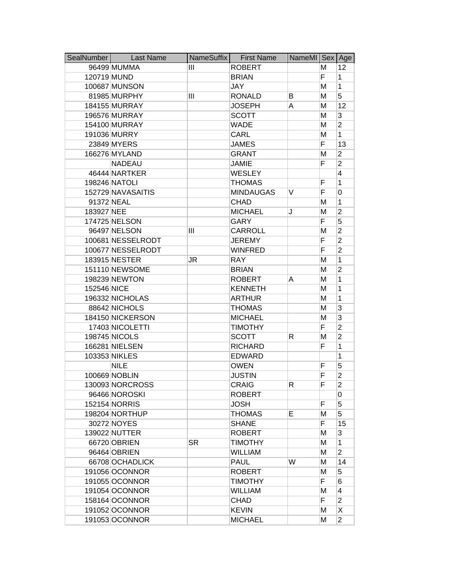| SealNumber  | <b>Last Name</b>  | NameSuffix | <b>First Name</b> | NameMI Sex |    | Age            |
|-------------|-------------------|------------|-------------------|------------|----|----------------|
|             | 96499 MUMMA       | Ш          | <b>ROBERT</b>     |            | M  | 12             |
| 120719 MUND |                   |            | <b>BRIAN</b>      |            | F. | 1              |
|             | 100687 MUNSON     |            | <b>JAY</b>        |            | M  | 1              |
|             | 81985 MURPHY      | Ш          | <b>RONALD</b>     | B          | M  | $\overline{5}$ |
|             | 184155 MURRAY     |            | <b>JOSEPH</b>     | Α          | M  | 12             |
|             | 196576 MURRAY     |            | <b>SCOTT</b>      |            | M  | 3              |
|             | 154100 MURRAY     |            | <b>WADE</b>       |            | M  | $\overline{2}$ |
|             | 191036 MURRY      |            | CARL              |            | M  | 1              |
|             | 23849 MYERS       |            | <b>JAMES</b>      |            | F  | 13             |
|             | 166276 MYLAND     |            | <b>GRANT</b>      |            | M  | $\overline{2}$ |
|             | <b>NADEAU</b>     |            | <b>JAMIE</b>      |            | F  | $\overline{c}$ |
|             | 46444 NARTKER     |            | <b>WESLEY</b>     |            |    | 4              |
|             | 198246 NATOLI     |            | <b>THOMAS</b>     |            | F  | 1              |
|             | 152729 NAVASAITIS |            | <b>MINDAUGAS</b>  | V          | F  | 0              |
| 91372 NEAL  |                   |            | <b>CHAD</b>       |            | M  | 1              |
| 183927 NEE  |                   |            | <b>MICHAEL</b>    | J          | M  | $\overline{2}$ |
|             | 174725 NELSON     |            | GARY              |            | F  | 5              |
|             | 96497 NELSON      | Ш          | <b>CARROLL</b>    |            | M  | $\overline{2}$ |
|             | 100681 NESSELRODT |            | <b>JEREMY</b>     |            | F  | $\overline{2}$ |
|             | 100677 NESSELRODT |            | <b>WINFRED</b>    |            | F  | $\overline{2}$ |
|             | 183915 NESTER     | JR         | <b>RAY</b>        |            | M  | 1              |
|             | 151110 NEWSOME    |            | <b>BRIAN</b>      |            | M  | $\overline{c}$ |
|             | 198239 NEWTON     |            | <b>ROBERT</b>     | A          | M  | 1              |
| 152546 NICE |                   |            | <b>KENNETH</b>    |            | M  | 1              |
|             | 196332 NICHOLAS   |            | <b>ARTHUR</b>     |            | M  | 1              |
|             | 88642 NICHOLS     |            | <b>THOMAS</b>     |            | M  | 3              |
|             | 184150 NICKERSON  |            | <b>MICHAEL</b>    |            | M  | 3              |
|             | 17403 NICOLETTI   |            | <b>TIMOTHY</b>    |            | F  | $\overline{2}$ |
|             | 198745 NICOLS     |            | <b>SCOTT</b>      | R          | M  | $\overline{2}$ |
|             | 166281 NIELSEN    |            | <b>RICHARD</b>    |            | F  | 1              |
|             | 103353 NIKLES     |            | <b>EDWARD</b>     |            |    | 1              |
|             | <b>NILE</b>       |            | <b>OWEN</b>       |            | F  | 5              |
|             | 100669 NOBLIN     |            | <b>JUSTIN</b>     |            | F  | $\overline{2}$ |
|             | 130093 NORCROSS   |            | CRAIG             | R.         | F  | 2              |
|             | 96466 NOROSKI     |            | <b>ROBERT</b>     |            |    | $\Omega$       |
|             | 152154 NORRIS     |            | <b>JOSH</b>       |            | F  | 5              |
|             | 198204 NORTHUP    |            | <b>THOMAS</b>     | E.         | M  | 5              |
|             | 30272 NOYES       |            | <b>SHANE</b>      |            | F  | 15             |
|             | 139022 NUTTER     |            | <b>ROBERT</b>     |            | M  | 3              |
|             | 66720 OBRIEN      | <b>SR</b>  | <b>TIMOTHY</b>    |            | M  | 1              |
|             | 96464 OBRIEN      |            | <b>WILLIAM</b>    |            | M  | $\overline{2}$ |
|             | 66708 OCHADLICK   |            | <b>PAUL</b>       | W          | M  | 14             |
|             | 191056 OCONNOR    |            | <b>ROBERT</b>     |            | M  | 5              |
|             | 191055 OCONNOR    |            | <b>TIMOTHY</b>    |            | F  | 6              |
|             | 191054 OCONNOR    |            | <b>WILLIAM</b>    |            | M  | 4              |
|             | 158164 OCONNOR    |            | CHAD              |            | F. | $\overline{2}$ |
|             | 191052 OCONNOR    |            | <b>KEVIN</b>      |            | M  | X              |
|             | 191053 OCONNOR    |            | <b>MICHAEL</b>    |            | M  | $\overline{2}$ |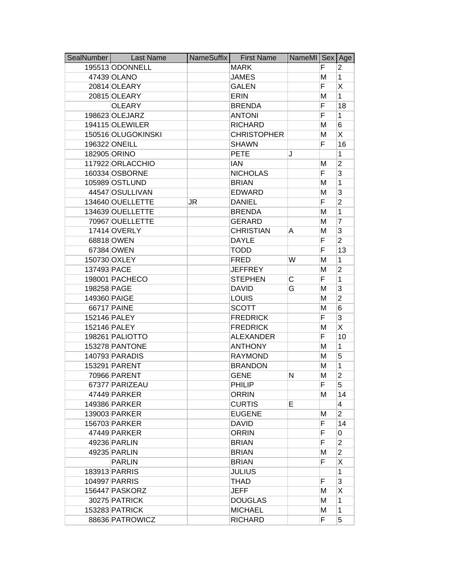| SealNumber   | <b>Last Name</b>   | NameSuffix | <b>First Name</b>  | NameMI Sex Age |   |                |
|--------------|--------------------|------------|--------------------|----------------|---|----------------|
|              | 195513 ODONNELL    |            | <b>MARK</b>        |                | F | 2              |
|              | 47439 OLANO        |            | <b>JAMES</b>       |                | M | 1              |
|              | 20814 OLEARY       |            | <b>GALEN</b>       |                | F | X              |
|              | 20815 OLEARY       |            | <b>ERIN</b>        |                | M | $\mathbf{1}$   |
|              | <b>OLEARY</b>      |            | <b>BRENDA</b>      |                | F | 18             |
|              | 198623 OLEJARZ     |            | <b>ANTONI</b>      |                | F | 1              |
|              | 194115 OLEWILER    |            | <b>RICHARD</b>     |                | M | 6              |
|              | 150516 OLUGOKINSKI |            | <b>CHRISTOPHER</b> |                | M | X              |
|              | 196322 ONEILL      |            | <b>SHAWN</b>       |                | F | 16             |
|              | 182905 ORINO       |            | <b>PETE</b>        | J              |   | 1              |
|              | 117922 ORLACCHIO   |            | <b>IAN</b>         |                | M | $\overline{c}$ |
|              | 160334 OSBORNE     |            | <b>NICHOLAS</b>    |                | F | 3              |
|              | 105989 OSTLUND     |            | <b>BRIAN</b>       |                | M | 1              |
|              | 44547 OSULLIVAN    |            | <b>EDWARD</b>      |                | M | 3              |
|              | 134640 OUELLETTE   | JR         | <b>DANIEL</b>      |                | F | $\overline{2}$ |
|              | 134639 OUELLETTE   |            | <b>BRENDA</b>      |                | M | 1              |
|              | 70967 OUELLETTE    |            | <b>GERARD</b>      |                | M | 7              |
|              | 17414 OVERLY       |            | <b>CHRISTIAN</b>   | A              | M | 3              |
|              | 68818 OWEN         |            | <b>DAYLE</b>       |                | F | $\overline{2}$ |
|              | 67384 OWEN         |            | <b>TODD</b>        |                | F | 13             |
|              | 150730 OXLEY       |            | <b>FRED</b>        | W              | M | 1              |
| 137493 PACE  |                    |            | <b>JEFFREY</b>     |                | M | $\overline{c}$ |
|              | 198001 PACHECO     |            | <b>STEPHEN</b>     | С              | F | 1              |
| 198258 PAGE  |                    |            | <b>DAVID</b>       | G              | M | 3              |
| 149360 PAIGE |                    |            | <b>LOUIS</b>       |                | M | $\overline{2}$ |
|              | 66717 PAINE        |            | <b>SCOTT</b>       |                | M | 6              |
|              | 152146 PALEY       |            | <b>FREDRICK</b>    |                | F | 3              |
|              | 152146 PALEY       |            | <b>FREDRICK</b>    |                | M | X              |
|              | 198261 PALIOTTO    |            | <b>ALEXANDER</b>   |                | F | 10             |
|              | 153278 PANTONE     |            | <b>ANTHONY</b>     |                | M | 1              |
|              | 140793 PARADIS     |            | <b>RAYMOND</b>     |                | M | 5              |
|              | 153291 PARENT      |            | <b>BRANDON</b>     |                | M | 1              |
|              | 70966 PARENT       |            | <b>GENE</b>        | N              | м | $\overline{2}$ |
|              | 67377 PARIZEAU     |            | PHILIP             |                | F | 5              |
|              | 47449 PARKER       |            | <b>ORRIN</b>       |                | м | 14             |
|              | 149386 PARKER      |            | <b>CURTIS</b>      | E              |   | 4              |
|              | 139003 PARKER      |            | <b>EUGENE</b>      |                | M | $\overline{2}$ |
|              | 156703 PARKER      |            | <b>DAVID</b>       |                | F | 14             |
|              | 47449 PARKER       |            | <b>ORRIN</b>       |                | F | 0              |
|              | 49236 PARLIN       |            | <b>BRIAN</b>       |                | F | $\overline{2}$ |
|              | 49235 PARLIN       |            | <b>BRIAN</b>       |                | М | $\overline{2}$ |
|              | <b>PARLIN</b>      |            | <b>BRIAN</b>       |                | F | X              |
|              | 183913 PARRIS      |            | <b>JULIUS</b>      |                |   | 1              |
|              | 104997 PARRIS      |            | THAD               |                | F | 3              |
|              | 156447 PASKORZ     |            | <b>JEFF</b>        |                | M | X              |
|              | 30275 PATRICK      |            | <b>DOUGLAS</b>     |                | M | 1              |
|              | 153283 PATRICK     |            | <b>MICHAEL</b>     |                | M | 1              |
|              | 88636 PATROWICZ    |            | <b>RICHARD</b>     |                | F | 5              |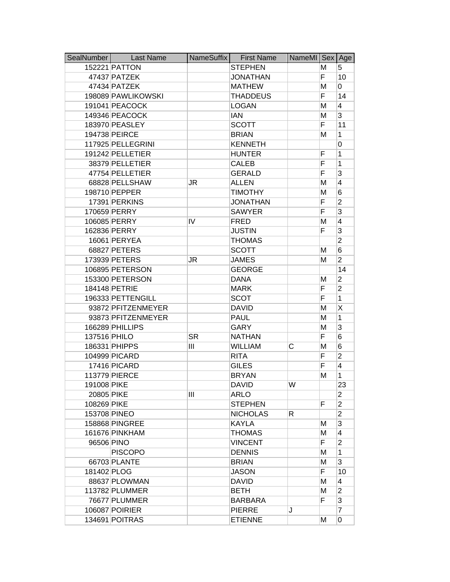| SealNumber   | <b>Last Name</b>   | NameSuffix | <b>First Name</b> | NameMI Sex |    | Age            |
|--------------|--------------------|------------|-------------------|------------|----|----------------|
|              | 152221 PATTON      |            | <b>STEPHEN</b>    |            | M  | 5              |
|              | 47437 PATZEK       |            | <b>JONATHAN</b>   |            | F. | 10             |
|              | 47434 PATZEK       |            | <b>MATHEW</b>     |            | M  | 0              |
|              | 198089 PAWLIKOWSKI |            | <b>THADDEUS</b>   |            | F  | 14             |
|              | 191041 PEACOCK     |            | <b>LOGAN</b>      |            | M  | 4              |
|              | 149346 PEACOCK     |            | <b>IAN</b>        |            | M  | 3              |
|              | 183970 PEASLEY     |            | <b>SCOTT</b>      |            | F  | 11             |
|              | 194738 PEIRCE      |            | <b>BRIAN</b>      |            | M  | 1              |
|              | 117925 PELLEGRINI  |            | <b>KENNETH</b>    |            |    | 0              |
|              | 191242 PELLETIER   |            | <b>HUNTER</b>     |            | F  | 1              |
|              | 38379 PELLETIER    |            | <b>CALEB</b>      |            | F  | 1              |
|              | 47754 PELLETIER    |            | <b>GERALD</b>     |            | F  | 3              |
|              | 68828 PELLSHAW     | JR         | <b>ALLEN</b>      |            | M  | 4              |
|              | 198710 PEPPER      |            | <b>TIMOTHY</b>    |            | M  | 6              |
|              | 17391 PERKINS      |            | <b>JONATHAN</b>   |            | F  | $\overline{2}$ |
|              | 170659 PERRY       |            | <b>SAWYER</b>     |            | F  | 3              |
|              | 106085 PERRY       | IV         | <b>FRED</b>       |            | M  | 4              |
|              | 162836 PERRY       |            | <b>JUSTIN</b>     |            | F  | 3              |
|              | 16061 PERYEA       |            | <b>THOMAS</b>     |            |    | $\overline{2}$ |
|              | 68827 PETERS       |            | <b>SCOTT</b>      |            | M  | 6              |
|              | 173939 PETERS      | JR         | <b>JAMES</b>      |            | M  | $\overline{2}$ |
|              | 106895 PETERSON    |            | <b>GEORGE</b>     |            |    | 14             |
|              | 153300 PETERSON    |            | <b>DANA</b>       |            | M  | $\overline{2}$ |
|              | 184148 PETRIE      |            | <b>MARK</b>       |            | F  | $\overline{2}$ |
|              | 196333 PETTENGILL  |            | <b>SCOT</b>       |            | F  | 1              |
|              | 93872 PFITZENMEYER |            | <b>DAVID</b>      |            | M  | Χ              |
|              | 93873 PFITZENMEYER |            | <b>PAUL</b>       |            | M  | 1              |
|              | 166289 PHILLIPS    |            | GARY              |            | M  | 3              |
| 137516 PHILO |                    | <b>SR</b>  | <b>NATHAN</b>     |            | F  | 6              |
|              | 186331 PHIPPS      | Ш          | <b>WILLIAM</b>    | С          | M  | 6              |
|              | 104999 PICARD      |            | <b>RITA</b>       |            | F  | $\overline{2}$ |
|              | 17416 PICARD       |            | <b>GILES</b>      |            | F  | 4              |
|              | 113779 PIERCE      |            | <b>BRYAN</b>      |            | M  | 1              |
| 191008 PIKE  |                    |            | <b>DAVID</b>      | W          |    | 23             |
| 20805 PIKE   |                    | Ш          | <b>ARLO</b>       |            |    | $\overline{2}$ |
| 108269 PIKE  |                    |            | <b>STEPHEN</b>    |            | F  | $\overline{2}$ |
|              | 153708 PINEO       |            | <b>NICHOLAS</b>   | R          |    | $\overline{2}$ |
|              | 158868 PINGREE     |            | <b>KAYLA</b>      |            | M  | 3              |
|              | 161676 PINKHAM     |            | <b>THOMAS</b>     |            | м  | 4              |
| 96506 PINO   |                    |            | <b>VINCENT</b>    |            | F. | $\overline{2}$ |
|              | <b>PISCOPO</b>     |            | <b>DENNIS</b>     |            | M  | 1              |
|              | 66703 PLANTE       |            | <b>BRIAN</b>      |            | M  | 3              |
| 181402 PLOG  |                    |            | <b>JASON</b>      |            | F  | 10             |
|              | 88637 PLOWMAN      |            | <b>DAVID</b>      |            | м  | 4              |
|              | 113782 PLUMMER     |            | <b>BETH</b>       |            | М  | $\overline{2}$ |
|              | 76677 PLUMMER      |            | <b>BARBARA</b>    |            | F. | 3              |
|              | 106087 POIRIER     |            | <b>PIERRE</b>     | J          |    | 7              |
|              | 134691 POITRAS     |            | <b>ETIENNE</b>    |            | м  | 0              |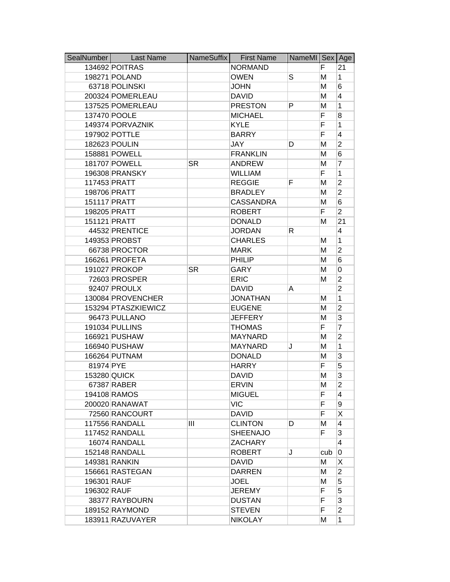| SealNumber  | <b>Last Name</b>    | NameSuffix | <b>First Name</b> | NameMI Sex Age |     |                |
|-------------|---------------------|------------|-------------------|----------------|-----|----------------|
|             | 134692 POITRAS      |            | <b>NORMAND</b>    |                | F   | 21             |
|             | 198271 POLAND       |            | <b>OWEN</b>       | S              | M   | $\mathbf{1}$   |
|             | 63718 POLINSKI      |            | <b>JOHN</b>       |                | M   | 6              |
|             | 200324 POMERLEAU    |            | <b>DAVID</b>      |                | M   | 4              |
|             | 137525 POMERLEAU    |            | <b>PRESTON</b>    | P              | M   | 1              |
|             | 137470 POOLE        |            | <b>MICHAEL</b>    |                | F   | 8              |
|             | 149374 PORVAZNIK    |            | <b>KYLE</b>       |                | F   | 1              |
|             | 197902 POTTLE       |            | <b>BARRY</b>      |                | F   | 4              |
|             | 182623 POULIN       |            | <b>JAY</b>        | D              | M   | $\overline{2}$ |
|             | 158881 POWELL       |            | <b>FRANKLIN</b>   |                | M   | 6              |
|             | 181707 POWELL       | <b>SR</b>  | <b>ANDREW</b>     |                | M   | 7              |
|             | 196308 PRANSKY      |            | <b>WILLIAM</b>    |                | F   | 1              |
|             | 117453 PRATT        |            | <b>REGGIE</b>     | F              | M   | $\overline{c}$ |
|             | 198706 PRATT        |            | <b>BRADLEY</b>    |                | M   | $\overline{2}$ |
|             | 151117 PRATT        |            | <b>CASSANDRA</b>  |                | M   | 6              |
|             | 198205 PRATT        |            | <b>ROBERT</b>     |                | F   | $\overline{2}$ |
|             | 151121 PRATT        |            | <b>DONALD</b>     |                | м   | 21             |
|             | 44532 PRENTICE      |            | <b>JORDAN</b>     | R              |     | 4              |
|             | 149353 PROBST       |            | <b>CHARLES</b>    |                | M   | $\mathbf{1}$   |
|             | 66738 PROCTOR       |            | <b>MARK</b>       |                | M   | $\overline{2}$ |
|             | 166261 PROFETA      |            | PHILIP            |                | M   | 6              |
|             | 191027 PROKOP       | <b>SR</b>  | <b>GARY</b>       |                | M   | 0              |
|             | 72603 PROSPER       |            | <b>ERIC</b>       |                | M   | $\overline{2}$ |
|             | 92407 PROULX        |            | <b>DAVID</b>      | A              |     | $\overline{2}$ |
|             | 130084 PROVENCHER   |            | <b>JONATHAN</b>   |                | M   | $\mathbf{1}$   |
|             | 153294 PTASZKIEWICZ |            | <b>EUGENE</b>     |                | M   | $\overline{2}$ |
|             | 96473 PULLANO       |            | <b>JEFFERY</b>    |                | M   | 3              |
|             | 191034 PULLINS      |            | <b>THOMAS</b>     |                | F   | 7              |
|             | 166921 PUSHAW       |            | <b>MAYNARD</b>    |                | M   | $\overline{2}$ |
|             | 166940 PUSHAW       |            | <b>MAYNARD</b>    | J              | M   | 1              |
|             | 166264 PUTNAM       |            | <b>DONALD</b>     |                | M   | 3              |
| 81974 PYE   |                     |            | <b>HARRY</b>      |                | F   | 5              |
|             | 153280 QUICK        |            | <b>DAVID</b>      |                | M   | 3              |
|             | 67387 RABER         |            | <b>ERVIN</b>      |                | M   | $\overline{2}$ |
|             | 194108 RAMOS        |            | <b>MIGUEL</b>     |                | F.  | 4              |
|             | 200020 RANAWAT      |            | <b>VIC</b>        |                | F   | 9              |
|             | 72560 RANCOURT      |            | <b>DAVID</b>      |                | F   | Χ              |
|             | 117556 RANDALL      | Ш          | <b>CLINTON</b>    | D              | М   | 4              |
|             | 117452 RANDALL      |            | <b>SHEENAJO</b>   |                | F   | 3              |
|             | 16074 RANDALL       |            | <b>ZACHARY</b>    |                |     | 4              |
|             | 152148 RANDALL      |            | <b>ROBERT</b>     | J              | cub | 0              |
|             | 149381 RANKIN       |            | <b>DAVID</b>      |                | М   | Χ              |
|             | 156661 RASTEGAN     |            | <b>DARREN</b>     |                | М   | $\overline{2}$ |
| 196301 RAUF |                     |            | <b>JOEL</b>       |                | М   | 5              |
| 196302 RAUF |                     |            | <b>JEREMY</b>     |                | F.  | 5              |
|             | 38377 RAYBOURN      |            | <b>DUSTAN</b>     |                | F   | 3              |
|             | 189152 RAYMOND      |            | <b>STEVEN</b>     |                | F   | $\overline{2}$ |
|             | 183911 RAZUVAYER    |            | <b>NIKOLAY</b>    |                | M   | $\mathbf{1}$   |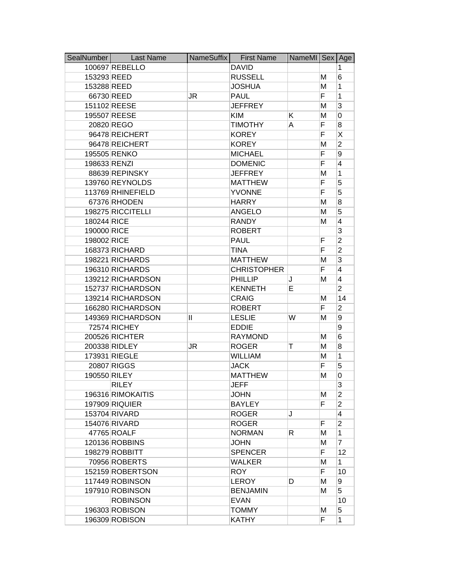| SealNumber   | <b>Last Name</b>      | NameSuffix   | <b>First Name</b>  | NameMI Sex Age |   |                |
|--------------|-----------------------|--------------|--------------------|----------------|---|----------------|
|              | 100697 REBELLO        |              | <b>DAVID</b>       |                |   | 1              |
| 153293 REED  |                       |              | <b>RUSSELL</b>     |                | М | 6              |
| 153288 REED  |                       |              | <b>JOSHUA</b>      |                | M | 1              |
|              | 66730 REED            | JR           | <b>PAUL</b>        |                | F | 1              |
|              | 151102 REESE          |              | <b>JEFFREY</b>     |                | M | 3              |
|              | 195507 REESE          |              | <b>KIM</b>         | Κ              | M | 0              |
|              | 20820 REGO            |              | <b>TIMOTHY</b>     | A              | F | 8              |
|              | 96478 REICHERT        |              | <b>KOREY</b>       |                | F | Χ              |
|              | 96478 REICHERT        |              | <b>KOREY</b>       |                | M | $\overline{2}$ |
|              | 195505 RENKO          |              | <b>MICHAEL</b>     |                | F | 9              |
| 198633 RENZI |                       |              | <b>DOMENIC</b>     |                | F | 4              |
|              | 88639 REPINSKY        |              | <b>JEFFREY</b>     |                | M | 1              |
|              | 139760 REYNOLDS       |              | <b>MATTHEW</b>     |                | F | 5              |
|              | 113769 RHINEFIELD     |              | <b>YVONNE</b>      |                | F | 5              |
|              | 67376 RHODEN          |              | <b>HARRY</b>       |                | M | 8              |
|              | 198275 RICCITELLI     |              | <b>ANGELO</b>      |                | M | 5              |
| 180244 RICE  |                       |              | <b>RANDY</b>       |                | М | 4              |
| 190000 RICE  |                       |              | <b>ROBERT</b>      |                |   | 3              |
| 198002 RICE  |                       |              | <b>PAUL</b>        |                | F | $\overline{2}$ |
|              | 168373 RICHARD        |              | <b>TINA</b>        |                | F | $\overline{2}$ |
|              | 198221 RICHARDS       |              | <b>MATTHEW</b>     |                | M | 3              |
|              | 196310 RICHARDS       |              | <b>CHRISTOPHER</b> |                | F | 4              |
|              | 139212 RICHARDSON     |              | <b>PHILLIP</b>     | J              | М | 4              |
|              | 152737 RICHARDSON     |              | <b>KENNETH</b>     | Е              |   | $\overline{2}$ |
|              | 139214 RICHARDSON     |              | <b>CRAIG</b>       |                | M | 14             |
|              | 166280 RICHARDSON     |              | <b>ROBERT</b>      |                | F | $\overline{2}$ |
|              | 149369 RICHARDSON     | $\mathsf{I}$ | <b>LESLIE</b>      | W              | M | 9              |
|              | 72574 RICHEY          |              | <b>EDDIE</b>       |                |   | 9              |
|              | 200526 RICHTER        |              | <b>RAYMOND</b>     |                | M | 6              |
|              | 200338 RIDLEY         | JR           | <b>ROGER</b>       | Τ              | M | 8              |
|              | 173931 RIEGLE         |              | <b>WILLIAM</b>     |                | M | 1              |
|              | 20807 RIGGS           |              | <b>JACK</b>        |                | F | 5              |
| 190550 RILEY |                       |              | <b>MATTHEW</b>     |                | M | 0              |
|              | <b>RILEY</b>          |              | <b>JEFF</b>        |                |   | 3              |
|              | 196316 RIMOKAITIS     |              | <b>JOHN</b>        |                | М | $\overline{2}$ |
|              | <b>197909 RIQUIER</b> |              | <b>BAYLEY</b>      |                | F | $\overline{2}$ |
|              | 153704 RIVARD         |              | <b>ROGER</b>       | J              |   | 4              |
|              | 154076 RIVARD         |              | <b>ROGER</b>       |                | F | $\overline{2}$ |
|              | 47765 ROALF           |              | <b>NORMAN</b>      | R.             | м | $\mathbf{1}$   |
|              | 120136 ROBBINS        |              | <b>JOHN</b>        |                | М | $\overline{7}$ |
|              | 198279 ROBBITT        |              | <b>SPENCER</b>     |                | F | 12             |
|              | 70956 ROBERTS         |              | <b>WALKER</b>      |                | M | $\mathbf{1}$   |
|              | 152159 ROBERTSON      |              | <b>ROY</b>         |                | F | 10             |
|              | 117449 ROBINSON       |              | <b>LEROY</b>       | D              | М | 9              |
|              | 197910 ROBINSON       |              | <b>BENJAMIN</b>    |                | м | 5              |
|              | <b>ROBINSON</b>       |              | <b>EVAN</b>        |                |   | 10             |
|              | 196303 ROBISON        |              | <b>TOMMY</b>       |                | M | 5              |
|              | 196309 ROBISON        |              | <b>KATHY</b>       |                | F | 1              |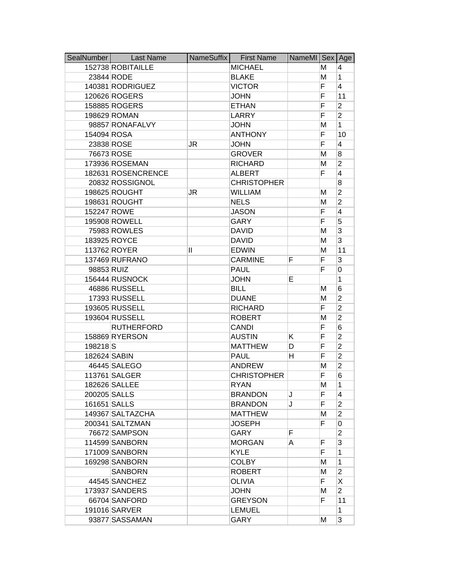| SealNumber          | <b>Last Name</b>   | NameSuffix | <b>First Name</b>  | NameMI Sex Age |    |                         |
|---------------------|--------------------|------------|--------------------|----------------|----|-------------------------|
|                     | 152738 ROBITAILLE  |            | <b>MICHAEL</b>     |                | м  | 4                       |
|                     | 23844 RODE         |            | <b>BLAKE</b>       |                | M  | 1                       |
|                     | 140381 RODRIGUEZ   |            | <b>VICTOR</b>      |                | F  | $\overline{4}$          |
|                     | 120626 ROGERS      |            | <b>JOHN</b>        |                | F  | 11                      |
|                     | 158885 ROGERS      |            | <b>ETHAN</b>       |                | F  | $\overline{2}$          |
|                     | 198629 ROMAN       |            | LARRY              |                | F  | $\overline{2}$          |
|                     | 98857 RONAFALVY    |            | <b>JOHN</b>        |                | M  | $\mathbf{1}$            |
| 154094 ROSA         |                    |            | <b>ANTHONY</b>     |                | F  | 10                      |
|                     | 23838 ROSE         | JR         | <b>JOHN</b>        |                | F  | 4                       |
|                     | 76673 ROSE         |            | <b>GROVER</b>      |                | M  | 8                       |
|                     | 173936 ROSEMAN     |            | <b>RICHARD</b>     |                | M  | $\overline{2}$          |
|                     | 182631 ROSENCRENCE |            | <b>ALBERT</b>      |                | F  | 4                       |
|                     | 20832 ROSSIGNOL    |            | <b>CHRISTOPHER</b> |                |    | 8                       |
|                     | 198625 ROUGHT      | JR         | <b>WILLIAM</b>     |                | M  | $\overline{2}$          |
|                     | 198631 ROUGHT      |            | <b>NELS</b>        |                | M  | $\overline{2}$          |
| 152247 ROWE         |                    |            | <b>JASON</b>       |                | F  | $\overline{4}$          |
|                     | 195908 ROWELL      |            | GARY               |                | F  | 5                       |
|                     | 75983 ROWLES       |            | <b>DAVID</b>       |                | M  | 3                       |
|                     | 183925 ROYCE       |            | <b>DAVID</b>       |                | M  | 3                       |
|                     | 113762 ROYER       | Ш          | <b>EDWIN</b>       |                | M  | 11                      |
|                     | 137469 RUFRANO     |            | <b>CARMINE</b>     | F              | F  | 3                       |
| 98853 RUIZ          |                    |            | <b>PAUL</b>        |                | F  | 0                       |
|                     | 156444 RUSNOCK     |            | <b>JOHN</b>        | Е              |    | 1                       |
|                     | 46886 RUSSELL      |            | <b>BILL</b>        |                | М  | 6                       |
|                     | 17393 RUSSELL      |            | <b>DUANE</b>       |                | M  | $\overline{2}$          |
|                     | 193605 RUSSELL     |            | <b>RICHARD</b>     |                | F  | $\overline{2}$          |
|                     | 193604 RUSSELL     |            | <b>ROBERT</b>      |                | M  | $\overline{2}$          |
|                     | <b>RUTHERFORD</b>  |            | <b>CANDI</b>       |                | F  | 6                       |
|                     | 158869 RYERSON     |            | <b>AUSTIN</b>      | K              | F  | $\overline{2}$          |
| 198218 <sub>S</sub> |                    |            | <b>MATTHEW</b>     | D              | F  | $\overline{2}$          |
| 182624 SABIN        |                    |            | <b>PAUL</b>        | н              | F  | $\overline{2}$          |
|                     | 46445 SALEGO       |            | <b>ANDREW</b>      |                | M  | $\overline{c}$          |
|                     | 113761 SALGER      |            | <b>CHRISTOPHER</b> |                | F  | 6                       |
|                     | 182626 SALLEE      |            | <b>RYAN</b>        |                | М  | 1                       |
|                     | 200205 SALLS       |            | <b>BRANDON</b>     | J              | F  | $\overline{\mathbf{4}}$ |
|                     | 161651 SALLS       |            | <b>BRANDON</b>     | J              | F  | $\overline{2}$          |
|                     | 149367 SALTAZCHA   |            | <b>MATTHEW</b>     |                | М  | $\overline{2}$          |
|                     | 200341 SALTZMAN    |            | <b>JOSEPH</b>      |                | F  | 0                       |
|                     | 76672 SAMPSON      |            | <b>GARY</b>        | F              |    | $\overline{2}$          |
|                     | 114599 SANBORN     |            | <b>MORGAN</b>      | A              | F  | 3                       |
|                     | 171009 SANBORN     |            | <b>KYLE</b>        |                | F  | 1                       |
|                     | 169298 SANBORN     |            | <b>COLBY</b>       |                | M  | 1                       |
|                     | <b>SANBORN</b>     |            | <b>ROBERT</b>      |                | М  | $\overline{2}$          |
|                     | 44545 SANCHEZ      |            | <b>OLIVIA</b>      |                | F  | X                       |
|                     | 173937 SANDERS     |            | <b>JOHN</b>        |                | M  | $\overline{2}$          |
|                     | 66704 SANFORD      |            | <b>GREYSON</b>     |                | F. | 11                      |
|                     | 191016 SARVER      |            | <b>LEMUEL</b>      |                |    | 1                       |
|                     | 93877 SASSAMAN     |            | <b>GARY</b>        |                | м  | 3                       |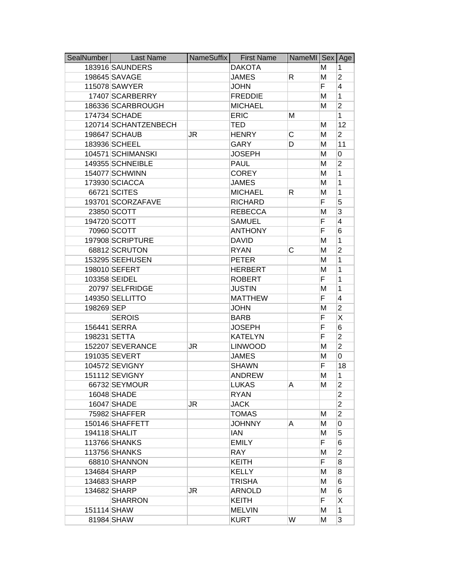|             | SealNumber   Last Name | NameSuffix | <b>First Name</b> | NameMI   Sex |    | Age            |
|-------------|------------------------|------------|-------------------|--------------|----|----------------|
|             | 183916 SAUNDERS        |            | <b>DAKOTA</b>     |              | м  | 1              |
|             | 198645 SAVAGE          |            | <b>JAMES</b>      | R.           | M  | $\overline{2}$ |
|             | 115078 SAWYER          |            | <b>JOHN</b>       |              | F  | $\overline{4}$ |
|             | 17407 SCARBERRY        |            | <b>FREDDIE</b>    |              | M  | 1              |
|             | 186336 SCARBROUGH      |            | <b>MICHAEL</b>    |              | М  | $\overline{2}$ |
|             | 174734 SCHADE          |            | <b>ERIC</b>       | Μ            |    | $\mathbf{1}$   |
|             | 120714 SCHANTZENBECH   |            | <b>TED</b>        |              | M  | 12             |
|             | 198647 SCHAUB          | JR         | <b>HENRY</b>      | С            | M  | $\overline{2}$ |
|             | 183936 SCHEEL          |            | <b>GARY</b>       | D            | M  | 11             |
|             | 104571 SCHIMANSKI      |            | <b>JOSEPH</b>     |              | M  | 0              |
|             | 149355 SCHNEIBLE       |            | <b>PAUL</b>       |              | M  | $\overline{2}$ |
|             | 154077 SCHWINN         |            | <b>COREY</b>      |              | M  | 1              |
|             | 173930 SCIACCA         |            | <b>JAMES</b>      |              | M  | 1              |
|             | 66721 SCITES           |            | <b>MICHAEL</b>    | R            | M  | 1              |
|             | 193701 SCORZAFAVE      |            | <b>RICHARD</b>    |              | F  | 5              |
|             | 23850 SCOTT            |            | <b>REBECCA</b>    |              | M  | 3              |
|             | 194720 SCOTT           |            | <b>SAMUEL</b>     |              | F  | 4              |
|             | 70960 SCOTT            |            | <b>ANTHONY</b>    |              | F  | 6              |
|             | 197908 SCRIPTURE       |            | <b>DAVID</b>      |              | M  | 1              |
|             | 68812 SCRUTON          |            | <b>RYAN</b>       | C            | M  | $\overline{2}$ |
|             | 153295 SEEHUSEN        |            | <b>PETER</b>      |              | M  | 1              |
|             | 198010 SEFERT          |            | <b>HERBERT</b>    |              | M  | 1              |
|             | 103358 SEIDEL          |            | <b>ROBERT</b>     |              | F  | 1              |
|             | 20797 SELFRIDGE        |            | <b>JUSTIN</b>     |              | M  | 1              |
|             | 149350 SELLITTO        |            | <b>MATTHEW</b>    |              | F  | 4              |
| 198269 SEP  |                        |            | <b>JOHN</b>       |              | M  | $\overline{2}$ |
|             | <b>SEROIS</b>          |            | <b>BARB</b>       |              | F  | X              |
|             | 156441 SERRA           |            | <b>JOSEPH</b>     |              | F  | 6              |
|             | 198231 SETTA           |            | <b>KATELYN</b>    |              | F  | $\overline{2}$ |
|             | 152207 SEVERANCE       | JR         | <b>LINWOOD</b>    |              | M  | $\overline{2}$ |
|             | 191035 SEVERT          |            | <b>JAMES</b>      |              | M  | 0              |
|             | 104572 SEVIGNY         |            | <b>SHAWN</b>      |              | F  | 18             |
|             | 151112 SEVIGNY         |            | <b>ANDREW</b>     |              | M  | 1              |
|             | 66732 SEYMOUR          |            | <b>LUKAS</b>      | A            | м  | 2              |
|             | 16048 SHADE            |            | <b>RYAN</b>       |              |    | $\overline{2}$ |
|             | 16047 SHADE            | JR.        | <b>JACK</b>       |              |    | $\overline{2}$ |
|             | 75982 SHAFFER          |            | <b>TOMAS</b>      |              | M  | $\overline{2}$ |
|             | 150146 SHAFFETT        |            | <b>JOHNNY</b>     | A            | М  | 0              |
|             | 194118 SHALIT          |            | <b>IAN</b>        |              | Μ  | 5              |
|             | 113766 SHANKS          |            | <b>EMILY</b>      |              | F. | 6              |
|             | 113756 SHANKS          |            | <b>RAY</b>        |              | M  | $\overline{2}$ |
|             | 68810 SHANNON          |            | <b>KEITH</b>      |              | F  | 8              |
|             | 134684 SHARP           |            | <b>KELLY</b>      |              | M  | 8              |
|             | 134683 SHARP           |            | <b>TRISHA</b>     |              | М  | 6              |
|             | 134682 SHARP           | JR         | <b>ARNOLD</b>     |              | М  | 6              |
|             | <b>SHARRON</b>         |            | <b>KEITH</b>      |              | F. | X              |
| 151114 SHAW |                        |            | <b>MELVIN</b>     |              | M  | $\mathbf{1}$   |
|             | 81984 SHAW             |            | <b>KURT</b>       | W            | M  | 3              |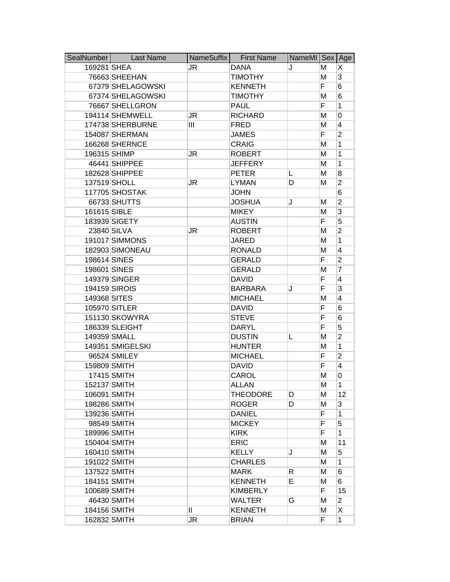| SealNumber   | <b>Last Name</b>  | NameSuffix | <b>First Name</b> | NameMI Sex Age |    |                |
|--------------|-------------------|------------|-------------------|----------------|----|----------------|
| 169281 SHEA  |                   | JR         | <b>DANA</b>       | J              | М  | Χ              |
|              | 76663 SHEEHAN     |            | <b>TIMOTHY</b>    |                | M  | 3              |
|              | 67379 SHELAGOWSKI |            | <b>KENNETH</b>    |                | F  | 6              |
|              | 67374 SHELAGOWSKI |            | <b>TIMOTHY</b>    |                | Μ  | 6              |
|              | 76667 SHELLGRON   |            | <b>PAUL</b>       |                | F  | 1              |
|              | 194114 SHEMWELL   | <b>JR</b>  | <b>RICHARD</b>    |                | Μ  | 0              |
|              | 174738 SHERBURNE  | Ш          | <b>FRED</b>       |                | M  | 4              |
|              | 154087 SHERMAN    |            | <b>JAMES</b>      |                | F  | $\overline{2}$ |
|              | 166268 SHERNCE    |            | <b>CRAIG</b>      |                | Μ  | 1              |
|              | 196315 SHIMP      | JR         | <b>ROBERT</b>     |                | Μ  | $\mathbf{1}$   |
|              | 46441 SHIPPEE     |            | <b>JEFFERY</b>    |                | M  | 1              |
|              | 182628 SHIPPEE    |            | <b>PETER</b>      | L              | Μ  | 8              |
|              | 137519 SHOLL      | JR         | <b>LYMAN</b>      | D              | М  | $\overline{2}$ |
|              | 117705 SHOSTAK    |            | <b>JOHN</b>       |                |    | 6              |
|              | 66733 SHUTTS      |            | <b>JOSHUA</b>     | J              | М  | $\overline{2}$ |
| 161615 SIBLE |                   |            | <b>MIKEY</b>      |                | M  | 3              |
|              | 183939 SIGETY     |            | <b>AUSTIN</b>     |                | F  | 5              |
|              | 23840 SILVA       | JR         | <b>ROBERT</b>     |                | M  | $\overline{2}$ |
|              | 191017 SIMMONS    |            | JARED             |                | M  | 1              |
|              | 182903 SIMONEAU   |            | <b>RONALD</b>     |                | M  | 4              |
| 198614 SINES |                   |            | <b>GERALD</b>     |                | F  | $\overline{2}$ |
| 198601 SINES |                   |            | <b>GERALD</b>     |                | Μ  | 7              |
|              | 149379 SINGER     |            | <b>DAVID</b>      |                | F  | 4              |
|              | 194159 SIROIS     |            | <b>BARBARA</b>    | J              | F  | 3              |
| 149368 SITES |                   |            | <b>MICHAEL</b>    |                | Μ  | 4              |
|              | 105970 SITLER     |            | <b>DAVID</b>      |                | F  | 6              |
|              | 151130 SKOWYRA    |            | <b>STEVE</b>      |                | F  | 6              |
|              | 186339 SLEIGHT    |            | <b>DARYL</b>      |                | F  | 5              |
|              | 149359 SMALL      |            | <b>DUSTIN</b>     | L              | M  | $\overline{2}$ |
|              | 149351 SMIGELSKI  |            | <b>HUNTER</b>     |                | M  | $\mathbf{1}$   |
|              | 96524 SMILEY      |            | <b>MICHAEL</b>    |                | F  | $\overline{2}$ |
| 159809 SMITH |                   |            | <b>DAVID</b>      |                | F  | 4              |
|              | 17415 SMITH       |            | CAROL             |                | M  | 0              |
| 152137 SMITH |                   |            | ALLAN             |                | M  | 1              |
|              | 106091 SMITH      |            | <b>THEODORE</b>   | D              | M  | 12             |
|              | 198286 SMITH      |            | <b>ROGER</b>      | D              | M  | 3              |
|              | 139236 SMITH      |            | <b>DANIEL</b>     |                | F  | 1              |
|              | 98549 SMITH       |            | <b>MICKEY</b>     |                | F  | 5              |
|              | 189996 SMITH      |            | <b>KIRK</b>       |                | F  | 1              |
|              | 150404 SMITH      |            | <b>ERIC</b>       |                | M  | 11             |
|              | 160410 SMITH      |            | <b>KELLY</b>      | J              | M  | 5              |
|              | 191022 SMITH      |            | <b>CHARLES</b>    |                | M  | 1              |
| 137522 SMITH |                   |            | <b>MARK</b>       | R.             | М  | 6              |
|              | 184151 SMITH      |            | <b>KENNETH</b>    | E              | М  | 6              |
|              | 100689 SMITH      |            | <b>KIMBERLY</b>   |                | F. | 15             |
|              | 46430 SMITH       |            | <b>WALTER</b>     | G              | Μ  | $\overline{2}$ |
|              | 184156 SMITH      | Ш          | <b>KENNETH</b>    |                | M  | X              |
|              | 162832 SMITH      | JR         | <b>BRIAN</b>      |                | F  | $\mathbf{1}$   |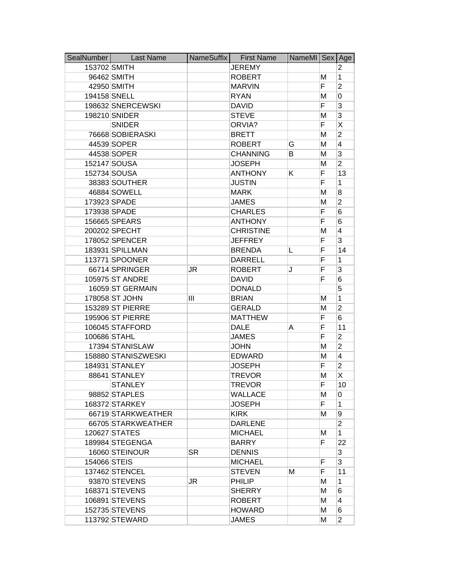| SealNumber   | <b>Last Name</b>    | NameSuffix | <b>First Name</b> | NameMI Sex Age |    |                |
|--------------|---------------------|------------|-------------------|----------------|----|----------------|
| 153702 SMITH |                     |            | <b>JEREMY</b>     |                |    | 2              |
|              | 96462 SMITH         |            | <b>ROBERT</b>     |                | М  | $\mathbf{1}$   |
|              | 42950 SMITH         |            | <b>MARVIN</b>     |                | F  | $\overline{2}$ |
|              | 194158 SNELL        |            | <b>RYAN</b>       |                | M  | 0              |
|              | 198632 SNERCEWSKI   |            | <b>DAVID</b>      |                | F  | 3              |
|              | 198210 SNIDER       |            | <b>STEVE</b>      |                | M  | 3              |
|              | <b>SNIDER</b>       |            | ORVIA?            |                | F  | Χ              |
|              | 76668 SOBIERASKI    |            | <b>BRETT</b>      |                | M  | $\overline{2}$ |
|              | 44539 SOPER         |            | <b>ROBERT</b>     | G              | M  | 4              |
|              | 44538 SOPER         |            | <b>CHANNING</b>   | B              | M  | 3              |
|              | 152147 SOUSA        |            | <b>JOSEPH</b>     |                | M  | $\overline{2}$ |
|              | 152734 SOUSA        |            | <b>ANTHONY</b>    | Κ              | F  | 13             |
|              | 38383 SOUTHER       |            | <b>JUSTIN</b>     |                | F  | 1              |
|              | 46884 SOWELL        |            | <b>MARK</b>       |                | M  | 8              |
|              | 173923 SPADE        |            | <b>JAMES</b>      |                | M  | $\overline{2}$ |
|              | 173938 SPADE        |            | <b>CHARLES</b>    |                | F  | 6              |
|              | 156665 SPEARS       |            | <b>ANTHONY</b>    |                | F  | 6              |
|              | 200202 SPECHT       |            | <b>CHRISTINE</b>  |                | M  | 4              |
|              | 178052 SPENCER      |            | <b>JEFFREY</b>    |                | F  | 3              |
|              | 183931 SPILLMAN     |            | <b>BRENDA</b>     | L              | F  | 14             |
|              | 113771 SPOONER      |            | <b>DARRELL</b>    |                | F  | 1              |
|              | 66714 SPRINGER      | JR         | <b>ROBERT</b>     | J              | F  | 3              |
|              | 105975 ST ANDRE     |            | <b>DAVID</b>      |                | F  | 6              |
|              | 16059 ST GERMAIN    |            | <b>DONALD</b>     |                |    | 5              |
|              | 178058 ST JOHN      | Ш          | <b>BRIAN</b>      |                | M  | 1              |
|              | 153289 ST PIERRE    |            | <b>GERALD</b>     |                | M  | $\overline{2}$ |
|              | 195906 ST PIERRE    |            | <b>MATTHEW</b>    |                | F  | 6              |
|              | 106045 STAFFORD     |            | <b>DALE</b>       | A              | F  | 11             |
|              | 100686 STAHL        |            | <b>JAMES</b>      |                | F  | $\overline{2}$ |
|              | 17394 STANISLAW     |            | <b>JOHN</b>       |                | M  | $\overline{2}$ |
|              | 158880 STANISZWESKI |            | <b>EDWARD</b>     |                | M  | $\overline{4}$ |
|              | 184931 STANLEY      |            | <b>JOSEPH</b>     |                | F  | $\overline{2}$ |
|              | 88641 STANLEY       |            | <b>TREVOR</b>     |                | M  | Χ              |
|              | <b>STANLEY</b>      |            | <b>TREVOR</b>     |                | F  | 10             |
|              | 98852 STAPLES       |            | <b>WALLACE</b>    |                | M  | 0              |
|              | 168372 STARKEY      |            | <b>JOSEPH</b>     |                | F  | $\mathbf{1}$   |
|              | 66719 STARKWEATHER  |            | <b>KIRK</b>       |                | М  | 9              |
|              | 66705 STARKWEATHER  |            | <b>DARLENE</b>    |                |    | $\overline{c}$ |
|              | 120627 STATES       |            | <b>MICHAEL</b>    |                | Μ  | $\mathbf{1}$   |
|              | 189984 STEGENGA     |            | <b>BARRY</b>      |                | F. | 22             |
|              | 16060 STEINOUR      | <b>SR</b>  | <b>DENNIS</b>     |                |    | 3              |
| 154066 STEIS |                     |            | <b>MICHAEL</b>    |                | F  | 3              |
|              | 137462 STENCEL      |            | <b>STEVEN</b>     | Μ              | F  | 11             |
|              | 93870 STEVENS       | JR         | <b>PHILIP</b>     |                | М  | 1              |
|              | 168371 STEVENS      |            | <b>SHERRY</b>     |                | М  | 6              |
|              | 106891 STEVENS      |            | <b>ROBERT</b>     |                | М  | $\overline{4}$ |
|              | 152735 STEVENS      |            | <b>HOWARD</b>     |                | М  | 6              |
|              | 113792 STEWARD      |            | <b>JAMES</b>      |                | M  | $\overline{2}$ |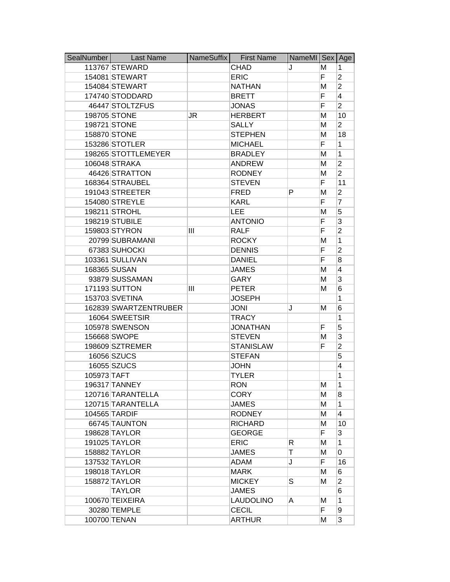| SealNumber  | <b>Last Name</b>      | NameSuffix | <b>First Name</b> | NameMI   Sex |    | Age            |
|-------------|-----------------------|------------|-------------------|--------------|----|----------------|
|             | 113767 STEWARD        |            | <b>CHAD</b>       | J            | м  | 1              |
|             | 154081 STEWART        |            | <b>ERIC</b>       |              | F. | $\overline{2}$ |
|             | 154084 STEWART        |            | <b>NATHAN</b>     |              | M  | $\overline{2}$ |
|             | 174740 STODDARD       |            | <b>BRETT</b>      |              | F  | $\overline{4}$ |
|             | 46447 STOLTZFUS       |            | <b>JONAS</b>      |              | F  | $\overline{2}$ |
|             | 198705 STONE          | JR         | <b>HERBERT</b>    |              | M  | 10             |
|             | 198721 STONE          |            | <b>SALLY</b>      |              | M  | $\overline{2}$ |
|             | 158870 STONE          |            | <b>STEPHEN</b>    |              | M  | 18             |
|             | 153286 STOTLER        |            | <b>MICHAEL</b>    |              | F  | 1              |
|             | 198265 STOTTLEMEYER   |            | <b>BRADLEY</b>    |              | M  | 1              |
|             | 106048 STRAKA         |            | <b>ANDREW</b>     |              | M  | $\overline{2}$ |
|             | 46426 STRATTON        |            | <b>RODNEY</b>     |              | M  | $\overline{2}$ |
|             | 168364 STRAUBEL       |            | <b>STEVEN</b>     |              | F  | 11             |
|             | 191043 STREETER       |            | <b>FRED</b>       | P            | M  | $\overline{2}$ |
|             | 154080 STREYLE        |            | <b>KARL</b>       |              | F  | $\overline{7}$ |
|             | 198211 STROHL         |            | <b>LEE</b>        |              | M  | 5              |
|             | 198219 STUBILE        |            | <b>ANTONIO</b>    |              | F  | 3              |
|             | 159803 STYRON         | Ш          | <b>RALF</b>       |              | F  | $\overline{2}$ |
|             | 20799 SUBRAMANI       |            | <b>ROCKY</b>      |              | M  | 1              |
|             | 67383 SUHOCKI         |            | <b>DENNIS</b>     |              | F  | $\overline{2}$ |
|             | 103361 SULLIVAN       |            | <b>DANIEL</b>     |              | F  | 8              |
|             | 168365 SUSAN          |            | <b>JAMES</b>      |              | M  | 4              |
|             | 93879 SUSSAMAN        |            | GARY              |              | M  | 3              |
|             | 171193 SUTTON         | Ш          | <b>PETER</b>      |              | М  | 6              |
|             | 153703 SVETINA        |            | <b>JOSEPH</b>     |              |    | 1              |
|             | 162839 SWARTZENTRUBER |            | <b>JONI</b>       | J            | M  | 6              |
|             | 16064 SWEETSIR        |            | <b>TRACY</b>      |              |    | 1              |
|             | 105978 SWENSON        |            | <b>JONATHAN</b>   |              | F  | 5              |
|             | 156668 SWOPE          |            | <b>STEVEN</b>     |              | M  | 3              |
|             | 198609 SZTREMER       |            | <b>STANISLAW</b>  |              | F  | $\overline{c}$ |
|             | 16056 SZUCS           |            | <b>STEFAN</b>     |              |    | 5              |
|             | 16055 SZUCS           |            | <b>JOHN</b>       |              |    | 4              |
| 105973 TAFT |                       |            | <b>TYLER</b>      |              |    | 1              |
|             | 196317 TANNEY         |            | <b>RON</b>        |              | м  | 1              |
|             | 120716 TARANTELLA     |            | <b>CORY</b>       |              | M  | 8              |
|             | 120715 TARANTELLA     |            | <b>JAMES</b>      |              | M  | 1              |
|             | 104565 TARDIF         |            | <b>RODNEY</b>     |              | M  | 4              |
|             | 66745 TAUNTON         |            | <b>RICHARD</b>    |              | M  | 10             |
|             | 198628 TAYLOR         |            | <b>GEORGE</b>     |              | F  | 3              |
|             | 191025 TAYLOR         |            | <b>ERIC</b>       | R            | M  | 1              |
|             | 158882 TAYLOR         |            | <b>JAMES</b>      | T            | M  | 0              |
|             | 137532 TAYLOR         |            | <b>ADAM</b>       | J            | F  | 16             |
|             | 198018 TAYLOR         |            | <b>MARK</b>       |              | м  | 6              |
|             | 158872 TAYLOR         |            | <b>MICKEY</b>     | S            | M  | $\overline{2}$ |
|             | <b>TAYLOR</b>         |            | <b>JAMES</b>      |              |    | 6              |
|             | 100670 TEIXEIRA       |            | <b>LAUDOLINO</b>  | Α            | М  | 1              |
|             | 30280 TEMPLE          |            | <b>CECIL</b>      |              | F  | 9              |
|             | 100700 TENAN          |            | <b>ARTHUR</b>     |              | M  | 3              |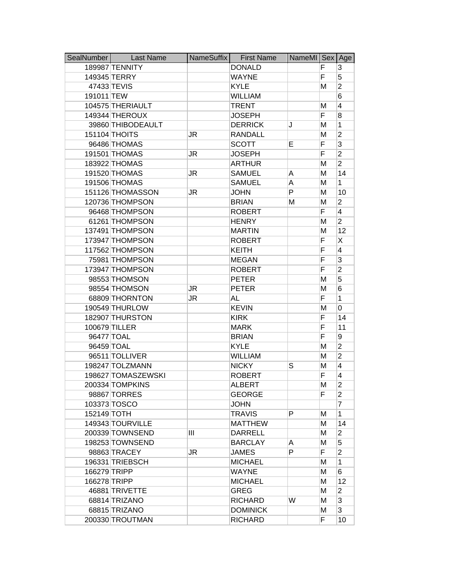| SealNumber   | <b>Last Name</b>   | NameSuffix | <b>First Name</b> | NameMI Sex Age |    |                         |
|--------------|--------------------|------------|-------------------|----------------|----|-------------------------|
|              | 189987 TENNITY     |            | <b>DONALD</b>     |                | F  | 3                       |
|              | 149345 TERRY       |            | <b>WAYNE</b>      |                | F  | 5                       |
|              | 47433 TEVIS        |            | <b>KYLE</b>       |                | M  | $\overline{2}$          |
| 191011 TEW   |                    |            | <b>WILLIAM</b>    |                |    | 6                       |
|              | 104575 THERIAULT   |            | <b>TRENT</b>      |                | M  | 4                       |
|              | 149344 THEROUX     |            | <b>JOSEPH</b>     |                | F  | 8                       |
|              | 39860 THIBODEAULT  |            | <b>DERRICK</b>    | J              | M  | 1                       |
|              | 151104 THOITS      | JR         | <b>RANDALL</b>    |                | M  | $\overline{2}$          |
|              | 96486 THOMAS       |            | <b>SCOTT</b>      | E              | F  | 3                       |
|              | 191501 THOMAS      | JR         | <b>JOSEPH</b>     |                | F  | $\overline{2}$          |
|              | 183922 THOMAS      |            | <b>ARTHUR</b>     |                | M  | $\overline{2}$          |
|              | 191520 THOMAS      | JR         | <b>SAMUEL</b>     | A              | M  | 14                      |
|              | 191506 THOMAS      |            | <b>SAMUEL</b>     | A              | M  | $\mathbf{1}$            |
|              | 151126 THOMASSON   | JR         | <b>JOHN</b>       | P              | M  | 10                      |
|              | 120736 THOMPSON    |            | <b>BRIAN</b>      | М              | M  | $\overline{2}$          |
|              | 96468 THOMPSON     |            | <b>ROBERT</b>     |                | F  | $\overline{\mathbf{4}}$ |
|              | 61261 THOMPSON     |            | <b>HENRY</b>      |                | M  | $\overline{2}$          |
|              | 137491 THOMPSON    |            | <b>MARTIN</b>     |                | M  | 12                      |
|              | 173947 THOMPSON    |            | <b>ROBERT</b>     |                | F  | X                       |
|              | 117562 THOMPSON    |            | <b>KEITH</b>      |                | F  | $\overline{4}$          |
|              | 75981 THOMPSON     |            | <b>MEGAN</b>      |                | F  | 3                       |
|              | 173947 THOMPSON    |            | <b>ROBERT</b>     |                | F  | $\overline{2}$          |
|              | 98553 THOMSON      |            | <b>PETER</b>      |                | M  | 5                       |
|              | 98554 THOMSON      | JR         | <b>PETER</b>      |                | M  | 6                       |
|              | 68809 THORNTON     | JR         | <b>AL</b>         |                | F  | $\mathbf{1}$            |
|              | 190549 THURLOW     |            | <b>KEVIN</b>      |                | M  | 0                       |
|              | 182907 THURSTON    |            | <b>KIRK</b>       |                | F  | 14                      |
|              | 100679 TILLER      |            | <b>MARK</b>       |                | F  | 11                      |
|              | 96477 TOAL         |            | <b>BRIAN</b>      |                | F  | 9                       |
| 96459 TOAL   |                    |            | <b>KYLE</b>       |                | M  | $\overline{2}$          |
|              | 96511 TOLLIVER     |            | <b>WILLIAM</b>    |                | M  | $\overline{2}$          |
|              | 198247 TOLZMANN    |            | <b>NICKY</b>      | S              | M  | 4                       |
|              | 198627 TOMASZEWSKI |            | <b>ROBERT</b>     |                | F  | 4                       |
|              | 200334 TOMPKINS    |            | <b>ALBERT</b>     |                | М  | $\overline{2}$          |
|              | 98867 TORRES       |            | <b>GEORGE</b>     |                | F  | $\overline{2}$          |
|              | 103373 TOSCO       |            | <b>JOHN</b>       |                |    | $\overline{7}$          |
| 152149 TOTH  |                    |            | <b>TRAVIS</b>     | P              | м  | 1                       |
|              | 149343 TOURVILLE   |            | <b>MATTHEW</b>    |                | М  | 14                      |
|              | 200339 TOWNSEND    | Ш          | <b>DARRELL</b>    |                | м  | $\overline{2}$          |
|              | 198253 TOWNSEND    |            | <b>BARCLAY</b>    | A              | M  | 5                       |
|              | 98863 TRACEY       | JR         | <b>JAMES</b>      | P              | F. | $\overline{2}$          |
|              | 196331 TRIEBSCH    |            | <b>MICHAEL</b>    |                | M  | 1                       |
| 166279 TRIPP |                    |            | <b>WAYNE</b>      |                | М  | 6                       |
| 166278 TRIPP |                    |            | <b>MICHAEL</b>    |                | M  | 12                      |
|              | 46881 TRIVETTE     |            | <b>GREG</b>       |                | M  | $\overline{2}$          |
|              | 68814 TRIZANO      |            | <b>RICHARD</b>    | W              | M  | 3                       |
|              | 68815 TRIZANO      |            | <b>DOMINICK</b>   |                | M  | 3                       |
|              | 200330 TROUTMAN    |            | <b>RICHARD</b>    |                | F  | 10                      |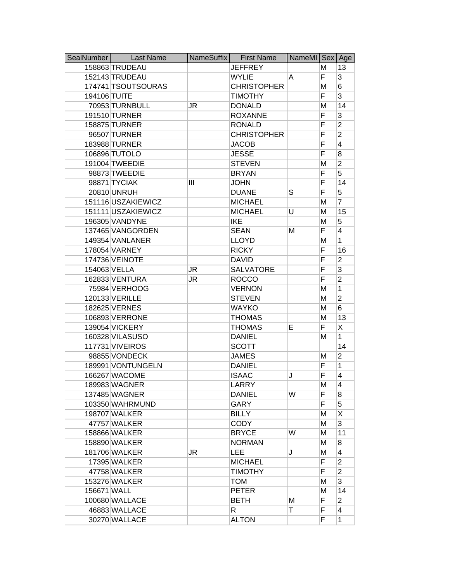| SealNumber   | <b>Last Name</b>   | NameSuffix | <b>First Name</b>  | NameMI Sex Age |    |                |
|--------------|--------------------|------------|--------------------|----------------|----|----------------|
|              | 158863 TRUDEAU     |            | <b>JEFFREY</b>     |                | М  | 13             |
|              | 152143 TRUDEAU     |            | <b>WYLIE</b>       | A              | F. | 3              |
|              | 174741 TSOUTSOURAS |            | <b>CHRISTOPHER</b> |                | M  | 6              |
| 194106 TUITE |                    |            | <b>TIMOTHY</b>     |                | F  | 3              |
|              | 70953 TURNBULL     | JR         | <b>DONALD</b>      |                | M  | 14             |
|              | 191510 TURNER      |            | <b>ROXANNE</b>     |                | F  | 3              |
|              | 158875 TURNER      |            | <b>RONALD</b>      |                | F  | $\overline{2}$ |
|              | 96507 TURNER       |            | <b>CHRISTOPHER</b> |                | F  | $\overline{2}$ |
|              | 183988 TURNER      |            | <b>JACOB</b>       |                | F  | 4              |
|              | 106896 TUTOLO      |            | <b>JESSE</b>       |                | F  | 8              |
|              | 191004 TWEEDIE     |            | <b>STEVEN</b>      |                | M  | $\overline{2}$ |
|              | 98873 TWEEDIE      |            | <b>BRYAN</b>       |                | F  | 5              |
|              | 98871 TYCIAK       | Ш          | <b>JOHN</b>        |                | F  | 14             |
|              | 20810 UNRUH        |            | <b>DUANE</b>       | S              | F  | 5              |
|              | 151116 USZAKIEWICZ |            | <b>MICHAEL</b>     |                | M  | $\overline{7}$ |
|              | 151111 USZAKIEWICZ |            | <b>MICHAEL</b>     | U              | M  | 15             |
|              | 196305 VANDYNE     |            | <b>IKE</b>         |                | M  | 5              |
|              | 137465 VANGORDEN   |            | <b>SEAN</b>        | Μ              | F  | 4              |
|              | 149354 VANLANER    |            | <b>LLOYD</b>       |                | M  | 1              |
|              | 178054 VARNEY      |            | <b>RICKY</b>       |                | F  | 16             |
|              | 174736 VEINOTE     |            | <b>DAVID</b>       |                | F  | $\overline{2}$ |
|              | 154063 VELLA       | JR         | <b>SALVATORE</b>   |                | F  | 3              |
|              | 162833 VENTURA     | JR         | <b>ROCCO</b>       |                | F  | $\overline{2}$ |
|              | 75984 VERHOOG      |            | <b>VERNON</b>      |                | M  | 1              |
|              | 120133 VERILLE     |            | <b>STEVEN</b>      |                | M  | $\overline{2}$ |
|              | 182625 VERNES      |            | <b>WAYKO</b>       |                | M  | 6              |
|              | 106893 VERRONE     |            | <b>THOMAS</b>      |                | M  | 13             |
|              | 139054 VICKERY     |            | <b>THOMAS</b>      | E.             | F  | Χ              |
|              | 160328 VILASUSO    |            | <b>DANIEL</b>      |                | M  | 1              |
|              | 117731 VIVEIROS    |            | <b>SCOTT</b>       |                |    | 14             |
|              | 98855 VONDECK      |            | <b>JAMES</b>       |                | M  | $\overline{2}$ |
|              | 189991 VONTUNGELN  |            | <b>DANIEL</b>      |                | F  | 1              |
|              | 166267 WACOME      |            | <b>ISAAC</b>       | J              | F  | 4              |
|              | 189983 WAGNER      |            | LARRY              |                | M  | 4              |
|              | 137485 WAGNER      |            | <b>DANIEL</b>      | W              | F  | 8              |
|              | 103350 WAHRMUND    |            | <b>GARY</b>        |                | F  | 5              |
|              | 198707 WALKER      |            | <b>BILLY</b>       |                | M  | X              |
|              | 47757 WALKER       |            | <b>CODY</b>        |                | M  | 3              |
|              | 158866 WALKER      |            | <b>BRYCE</b>       | W              | м  | 11             |
|              | 158890 WALKER      |            | <b>NORMAN</b>      |                | м  | 8              |
|              | 181706 WALKER      | JR         | <b>LEE</b>         | J              | M  | $\overline{4}$ |
|              | 17395 WALKER       |            | <b>MICHAEL</b>     |                | F  | $\overline{2}$ |
|              | 47758 WALKER       |            | <b>TIMOTHY</b>     |                | F  | $\overline{2}$ |
|              | 153276 WALKER      |            | <b>TOM</b>         |                | M  | 3              |
| 156671 WALL  |                    |            | <b>PETER</b>       |                | M  | 14             |
|              | 100680 WALLACE     |            | <b>BETH</b>        | M              | F  | $\overline{2}$ |
|              | 46883 WALLACE      |            | R.                 | Τ              | F  | 4              |
|              | 30270 WALLACE      |            | <b>ALTON</b>       |                | F  | 1              |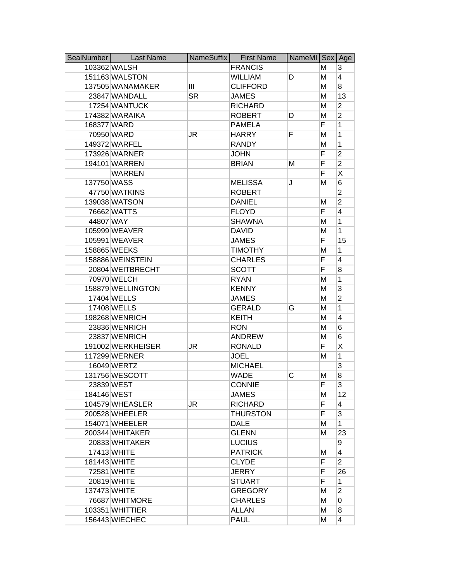| SealNumber  | <b>Last Name</b>  | NameSuffix | <b>First Name</b> | NameMI Sex Age |    |                         |
|-------------|-------------------|------------|-------------------|----------------|----|-------------------------|
|             | 103362 WALSH      |            | <b>FRANCIS</b>    |                | Μ  | 3                       |
|             | 151163 WALSTON    |            | <b>WILLIAM</b>    | D              | M  | $\overline{4}$          |
|             | 137505 WANAMAKER  | Ш          | <b>CLIFFORD</b>   |                | Μ  | 8                       |
|             | 23847 WANDALL     | <b>SR</b>  | <b>JAMES</b>      |                | Μ  | 13                      |
|             | 17254 WANTUCK     |            | <b>RICHARD</b>    |                | M  | 2                       |
|             | 174382 WARAIKA    |            | <b>ROBERT</b>     | D              | Μ  | $\overline{2}$          |
| 168377 WARD |                   |            | <b>PAMELA</b>     |                | F  | 1                       |
|             | 70950 WARD        | JR         | <b>HARRY</b>      | F              | M  | 1                       |
|             | 149372 WARFEL     |            | <b>RANDY</b>      |                | Μ  | $\mathbf{1}$            |
|             | 173926 WARNER     |            | <b>JOHN</b>       |                | F  | $\overline{2}$          |
|             | 194101 WARREN     |            | <b>BRIAN</b>      | Μ              | F  | $\overline{c}$          |
|             | <b>WARREN</b>     |            |                   |                | F  | Χ                       |
| 137750 WASS |                   |            | <b>MELISSA</b>    | J              | M  | 6                       |
|             | 47750 WATKINS     |            | <b>ROBERT</b>     |                |    | $\overline{2}$          |
|             | 139038 WATSON     |            | <b>DANIEL</b>     |                | М  | $\overline{2}$          |
|             | 76662 WATTS       |            | <b>FLOYD</b>      |                | F  | 4                       |
| 44807 WAY   |                   |            | <b>SHAWNA</b>     |                | М  | $\mathbf{1}$            |
|             | 105999 WEAVER     |            | <b>DAVID</b>      |                | M  | $\mathbf{1}$            |
|             | 105991 WEAVER     |            | <b>JAMES</b>      |                | F  | 15                      |
|             | 158865 WEEKS      |            | <b>TIMOTHY</b>    |                | M  | $\mathbf{1}$            |
|             | 158886 WEINSTEIN  |            | <b>CHARLES</b>    |                | F  | 4                       |
|             | 20804 WEITBRECHT  |            | <b>SCOTT</b>      |                | F  | 8                       |
|             | 70970 WELCH       |            | <b>RYAN</b>       |                | M  | 1                       |
|             | 158879 WELLINGTON |            | <b>KENNY</b>      |                | Μ  | 3                       |
|             | 17404 WELLS       |            | <b>JAMES</b>      |                | Μ  | $\overline{2}$          |
|             | 17408 WELLS       |            | <b>GERALD</b>     | G              | Μ  | 1                       |
|             | 198268 WENRICH    |            | <b>KEITH</b>      |                | Μ  | 4                       |
|             | 23836 WENRICH     |            | <b>RON</b>        |                | M  | 6                       |
|             | 23837 WENRICH     |            | <b>ANDREW</b>     |                | M  | 6                       |
|             | 191002 WERKHEISER | JR         | <b>RONALD</b>     |                | F  | Χ                       |
|             | 117299 WERNER     |            | <b>JOEL</b>       |                | M  | $\mathbf{1}$            |
|             | 16049 WERTZ       |            | <b>MICHAEL</b>    |                |    | 3                       |
|             | 131756 WESCOTT    |            | <b>WADE</b>       | С              | М  | 8                       |
|             | 23839 WEST        |            | <b>CONNIE</b>     |                | Н, | 3                       |
| 184146 WEST |                   |            | <b>JAMES</b>      |                | Μ  | $12 \overline{ }$       |
|             | 104579 WHEASLER   | JR.        | <b>RICHARD</b>    |                | F  | 4                       |
|             | 200528 WHEELER    |            | THURSTON          |                | F  | 3                       |
|             | 154071 WHEELER    |            | <b>DALE</b>       |                | М  | 1                       |
|             | 200344 WHITAKER   |            | <b>GLENN</b>      |                | м  | 23                      |
|             | 20833 WHITAKER    |            | <b>LUCIUS</b>     |                |    | 9                       |
|             | 17413 WHITE       |            | <b>PATRICK</b>    |                | Μ  | $\overline{\mathbf{4}}$ |
|             | 181443 WHITE      |            | <b>CLYDE</b>      |                | F  | $\overline{2}$          |
|             | 72581 WHITE       |            | JERRY             |                | F  | 26                      |
|             | 20819 WHITE       |            | <b>STUART</b>     |                | F  | 1                       |
|             | 137473 WHITE      |            | <b>GREGORY</b>    |                | Μ  | $\overline{2}$          |
|             | 76687 WHITMORE    |            | <b>CHARLES</b>    |                | M  | 0                       |
|             | 103351 WHITTIER   |            | <b>ALLAN</b>      |                | M  | 8                       |
|             | 156443 WIECHEC    |            | <b>PAUL</b>       |                | Μ  | 4                       |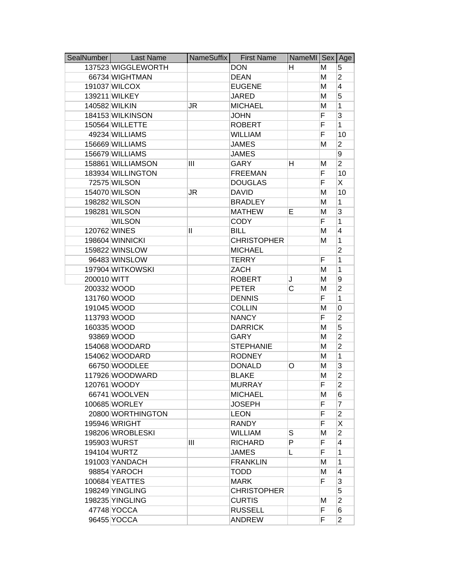| SealNumber   | <b>Last Name</b>   | NameSuffix | <b>First Name</b>  | NameMI Sex Age |    |                |
|--------------|--------------------|------------|--------------------|----------------|----|----------------|
|              | 137523 WIGGLEWORTH |            | <b>DON</b>         | н              | М  | 5              |
|              | 66734 WIGHTMAN     |            | <b>DEAN</b>        |                | M  | $\overline{2}$ |
|              | 191037 WILCOX      |            | <b>EUGENE</b>      |                | M  | 4              |
|              | 139211 WILKEY      |            | <b>JARED</b>       |                | M  | 5              |
|              | 140582 WILKIN      | JR         | <b>MICHAEL</b>     |                | M  | 1              |
|              | 184153 WILKINSON   |            | <b>JOHN</b>        |                | F  | 3              |
|              | 150564 WILLETTE    |            | <b>ROBERT</b>      |                | F  | 1              |
|              | 49234 WILLIAMS     |            | <b>WILLIAM</b>     |                | F  | 10             |
|              | 156669 WILLIAMS    |            | <b>JAMES</b>       |                | M  | $\overline{2}$ |
|              | 156679 WILLIAMS    |            | <b>JAMES</b>       |                |    | 9              |
|              | 158861 WILLIAMSON  | Ш          | <b>GARY</b>        | н              | М  | $\overline{2}$ |
|              | 183934 WILLINGTON  |            | <b>FREEMAN</b>     |                | F  | 10             |
|              | 72575 WILSON       |            | <b>DOUGLAS</b>     |                | F  | X              |
|              | 154070 WILSON      | JR         | <b>DAVID</b>       |                | M  | 10             |
|              | 198282 WILSON      |            | <b>BRADLEY</b>     |                | M  | 1              |
|              | 198281 WILSON      |            | <b>MATHEW</b>      | E              | M  | 3              |
|              | <b>WILSON</b>      |            | <b>CODY</b>        |                | F  | 1              |
| 120762 WINES |                    | Ш          | <b>BILL</b>        |                | M  | 4              |
|              | 198604 WINNICKI    |            | <b>CHRISTOPHER</b> |                | M  | 1              |
|              | 159822 WINSLOW     |            | <b>MICHAEL</b>     |                |    | $\overline{c}$ |
|              | 96483 WINSLOW      |            | <b>TERRY</b>       |                | F  | 1              |
|              | 197904 WITKOWSKI   |            | ZACH               |                | M  | 1              |
| 200010 WITT  |                    |            | <b>ROBERT</b>      | J              | M  | 9              |
| 200332 WOOD  |                    |            | <b>PETER</b>       | С              | M  | $\overline{2}$ |
| 131760 WOOD  |                    |            | <b>DENNIS</b>      |                | F  | 1              |
| 191045 WOOD  |                    |            | <b>COLLIN</b>      |                | M  | 0              |
| 113793 WOOD  |                    |            | <b>NANCY</b>       |                | F  | $\overline{2}$ |
| 160335 WOOD  |                    |            | <b>DARRICK</b>     |                | M  | 5              |
|              | 93869 WOOD         |            | GARY               |                | M  | $\overline{2}$ |
|              | 154068 WOODARD     |            | <b>STEPHANIE</b>   |                | M  | $\overline{2}$ |
|              | 154062 WOODARD     |            | <b>RODNEY</b>      |                | M  | 1              |
|              | 66750 WOODLEE      |            | <b>DONALD</b>      | O              | M  | 3              |
|              | 117926 WOODWARD    |            | <b>BLAKE</b>       |                | M  | $\overline{2}$ |
|              | 120761 WOODY       |            | <b>MURRAY</b>      |                | F  | $\mathbf{2}$   |
|              | 66741 WOOLVEN      |            | <b>MICHAEL</b>     |                | М  | 6              |
|              | 100685 WORLEY      |            | <b>JOSEPH</b>      |                | F. | $\overline{7}$ |
|              | 20800 WORTHINGTON  |            | <b>LEON</b>        |                | F  | $\overline{2}$ |
|              | 195946 WRIGHT      |            | <b>RANDY</b>       |                | F  | Χ              |
|              | 198206 WROBLESKI   |            | <b>WILLIAM</b>     | S              | M  | $\overline{2}$ |
|              | 195903 WURST       | Ш          | <b>RICHARD</b>     | P              | F. | 4              |
|              | 194104 WURTZ       |            | <b>JAMES</b>       | L              | F  | 1              |
|              | 191003 YANDACH     |            | <b>FRANKLIN</b>    |                | M  | 1              |
|              | 98854 YAROCH       |            | <b>TODD</b>        |                | M  | 4              |
|              | 100684 YEATTES     |            | MARK               |                | F  | 3              |
|              | 198249 YINGLING    |            | <b>CHRISTOPHER</b> |                |    | 5              |
|              | 198235 YINGLING    |            | <b>CURTIS</b>      |                | М  | $\overline{2}$ |
|              | 47748 YOCCA        |            | <b>RUSSELL</b>     |                | F  | 6              |
|              | 96455 YOCCA        |            | <b>ANDREW</b>      |                | F  | $\overline{2}$ |